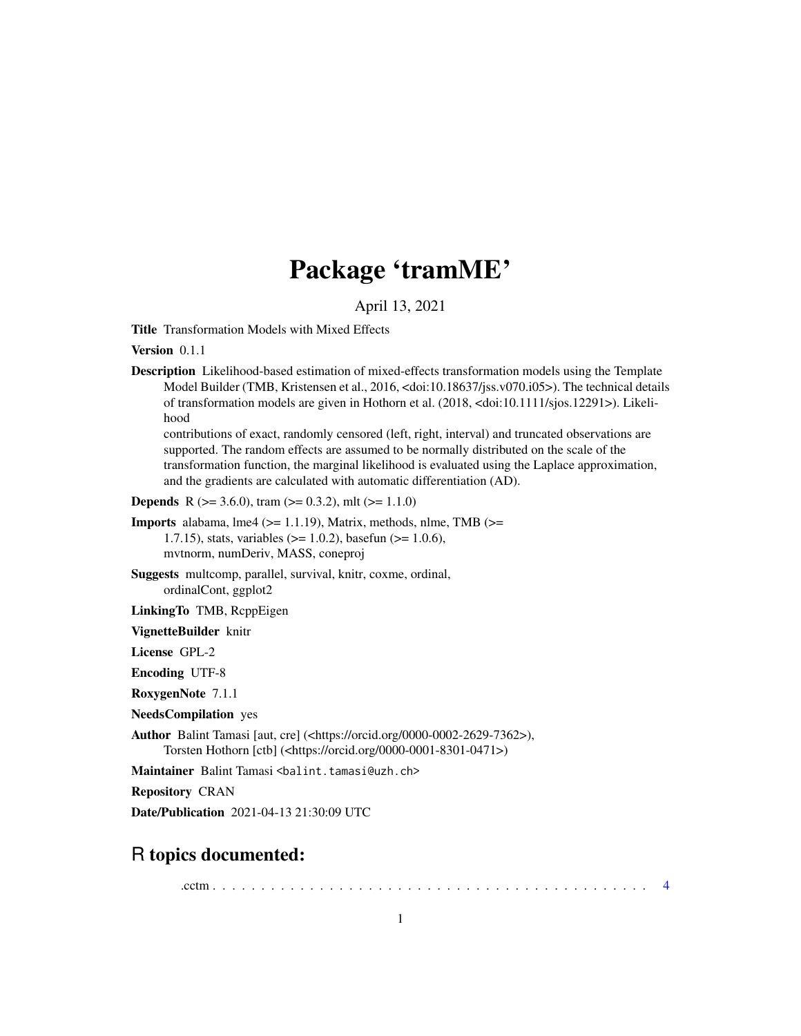# Package 'tramME'

April 13, 2021

<span id="page-0-0"></span>Title Transformation Models with Mixed Effects

Version 0.1.1

Description Likelihood-based estimation of mixed-effects transformation models using the Template Model Builder (TMB, Kristensen et al., 2016, <doi:10.18637/jss.v070.i05>). The technical details of transformation models are given in Hothorn et al. (2018, <doi:10.1111/sjos.12291>). Likelihood

contributions of exact, randomly censored (left, right, interval) and truncated observations are supported. The random effects are assumed to be normally distributed on the scale of the transformation function, the marginal likelihood is evaluated using the Laplace approximation, and the gradients are calculated with automatic differentiation (AD).

**Depends** R ( $>= 3.6.0$ ), tram ( $>= 0.3.2$ ), mlt ( $>= 1.1.0$ )

**Imports** alabama, lme4 ( $>= 1.1.19$ ), Matrix, methods, nlme, TMB ( $>=$ 1.7.15), stats, variables (>= 1.0.2), basefun (>= 1.0.6), mvtnorm, numDeriv, MASS, coneproj

Suggests multcomp, parallel, survival, knitr, coxme, ordinal, ordinalCont, ggplot2

LinkingTo TMB, RcppEigen

VignetteBuilder knitr

License GPL-2

Encoding UTF-8

RoxygenNote 7.1.1

NeedsCompilation yes

Author Balint Tamasi [aut, cre] (<https://orcid.org/0000-0002-2629-7362>), Torsten Hothorn [ctb] (<https://orcid.org/0000-0001-8301-0471>)

Maintainer Balint Tamasi <balint.tamasi@uzh.ch>

Repository CRAN

Date/Publication 2021-04-13 21:30:09 UTC

# R topics documented:

.cctm . . . . . . . . . . . . . . . . . . . . . . . . . . . . . . . . . . . . . . . . . . . . . [4](#page-3-0)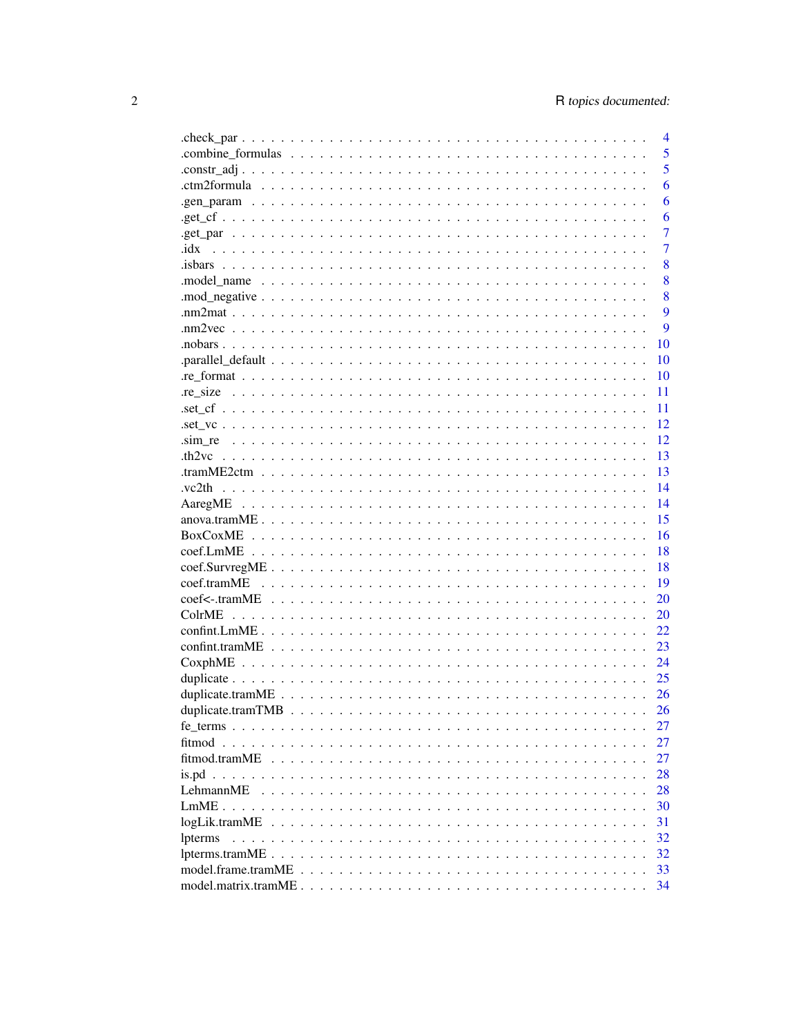|               | $\overline{4}$ |
|---------------|----------------|
|               | 5              |
|               | 5              |
|               | 6              |
|               | 6              |
|               | 6              |
|               | 7              |
| .idx          | $\overline{7}$ |
|               | 8              |
|               | 8              |
|               | 8              |
|               | 9              |
|               | 9              |
|               | 10             |
|               | 10             |
|               | 10             |
|               | 11             |
|               | 11             |
|               | 12             |
|               | 12             |
|               |                |
|               | 13             |
|               | 13             |
| .vc2th        | 14             |
|               | 14             |
|               | 15             |
|               | 16             |
|               | 18             |
|               | 18             |
|               | 19             |
|               | 20             |
|               | 20             |
|               | 22.            |
|               | 23             |
|               | 24             |
|               | 25             |
|               | 26             |
|               | 26             |
|               | 27             |
|               | 27             |
| fitmod.tramME | 27             |
|               | 28             |
| LehmannME     | 28             |
|               | 30             |
| logLik.tramME | 31             |
| lpterms       | 32             |
|               | 32             |
|               | 33             |
|               | 34             |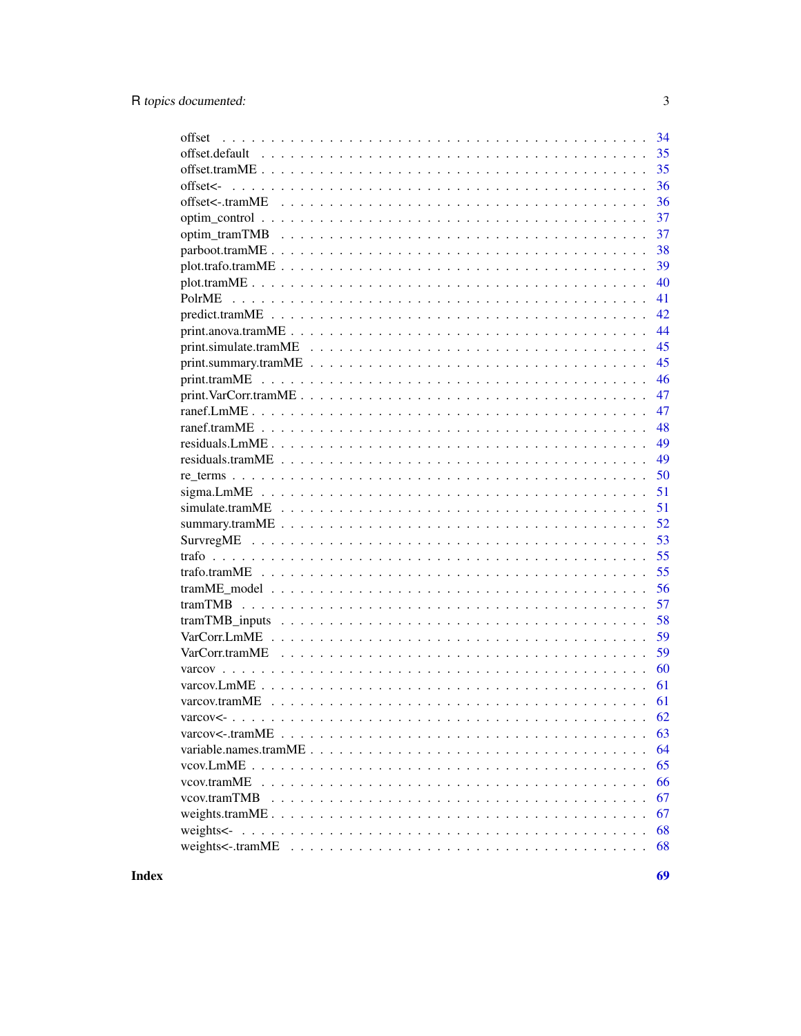| 34<br>offset                                                                                                                 |
|------------------------------------------------------------------------------------------------------------------------------|
| 35                                                                                                                           |
| 35                                                                                                                           |
| offset<-<br>36                                                                                                               |
| 36                                                                                                                           |
| 37                                                                                                                           |
| 37                                                                                                                           |
| 38                                                                                                                           |
| 39                                                                                                                           |
| 40                                                                                                                           |
| 41                                                                                                                           |
| 42                                                                                                                           |
| 44                                                                                                                           |
| 45                                                                                                                           |
| 45                                                                                                                           |
| 46                                                                                                                           |
| $print.VarCorr.tramME \dots \dots \dots \dots \dots \dots \dots \dots \dots \dots \dots \dots \dots \dots \dots \dots$<br>47 |
| 47                                                                                                                           |
| 48                                                                                                                           |
| 49                                                                                                                           |
| 49                                                                                                                           |
| 50                                                                                                                           |
| 51                                                                                                                           |
| 51                                                                                                                           |
| 52                                                                                                                           |
| 53                                                                                                                           |
| 55                                                                                                                           |
| 55                                                                                                                           |
| 56                                                                                                                           |
| 57                                                                                                                           |
| 58                                                                                                                           |
| 59                                                                                                                           |
| 59                                                                                                                           |
| 60                                                                                                                           |
| 61                                                                                                                           |
| 61                                                                                                                           |
|                                                                                                                              |
| 63                                                                                                                           |
| 64                                                                                                                           |
| 65                                                                                                                           |
| 66                                                                                                                           |
| 67                                                                                                                           |
| 67                                                                                                                           |
| 68                                                                                                                           |
| 68                                                                                                                           |
|                                                                                                                              |

**Index**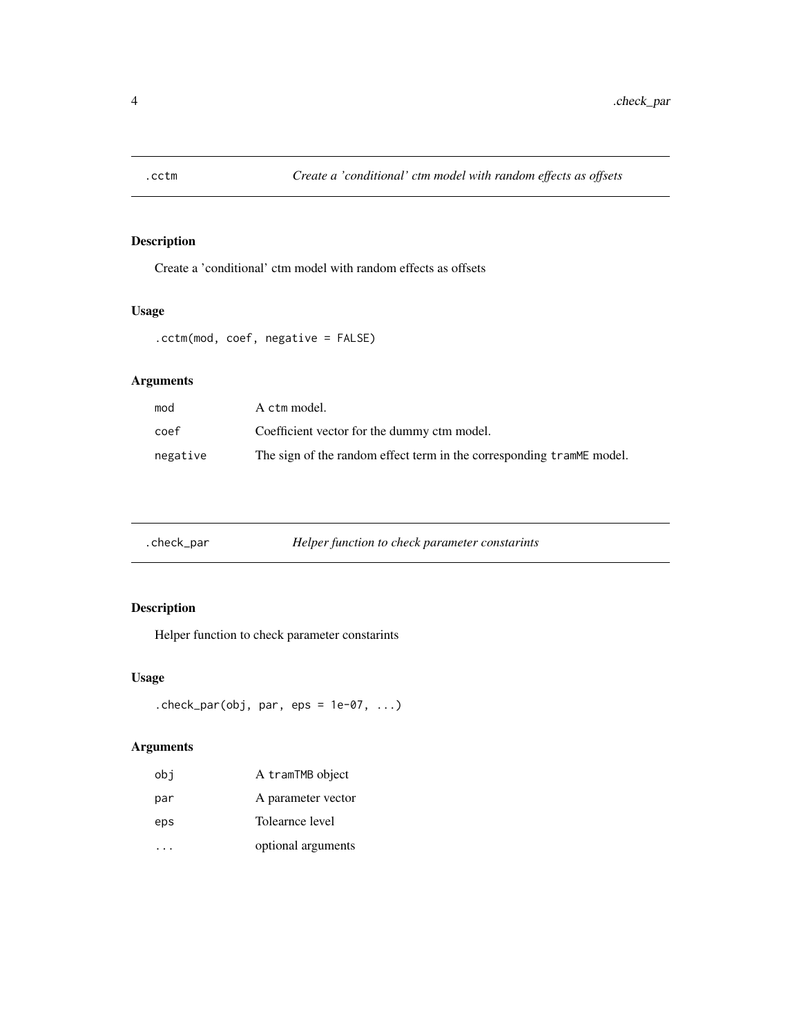<span id="page-3-0"></span>

Create a 'conditional' ctm model with random effects as offsets

# Usage

.cctm(mod, coef, negative = FALSE)

## Arguments

| mod      | A ctm model.                                                           |
|----------|------------------------------------------------------------------------|
| coef     | Coefficient vector for the dummy ctm model.                            |
| negative | The sign of the random effect term in the corresponding trammer model. |

| .check_par | Helper function to check parameter constarints |  |
|------------|------------------------------------------------|--|
|------------|------------------------------------------------|--|

# Description

Helper function to check parameter constarints

#### Usage

```
.check_par(obj, par, eps = 1e-07, ...)
```

| obi | A tramTMB object   |
|-----|--------------------|
| par | A parameter vector |
| eps | Tolearnce level    |
|     | optional arguments |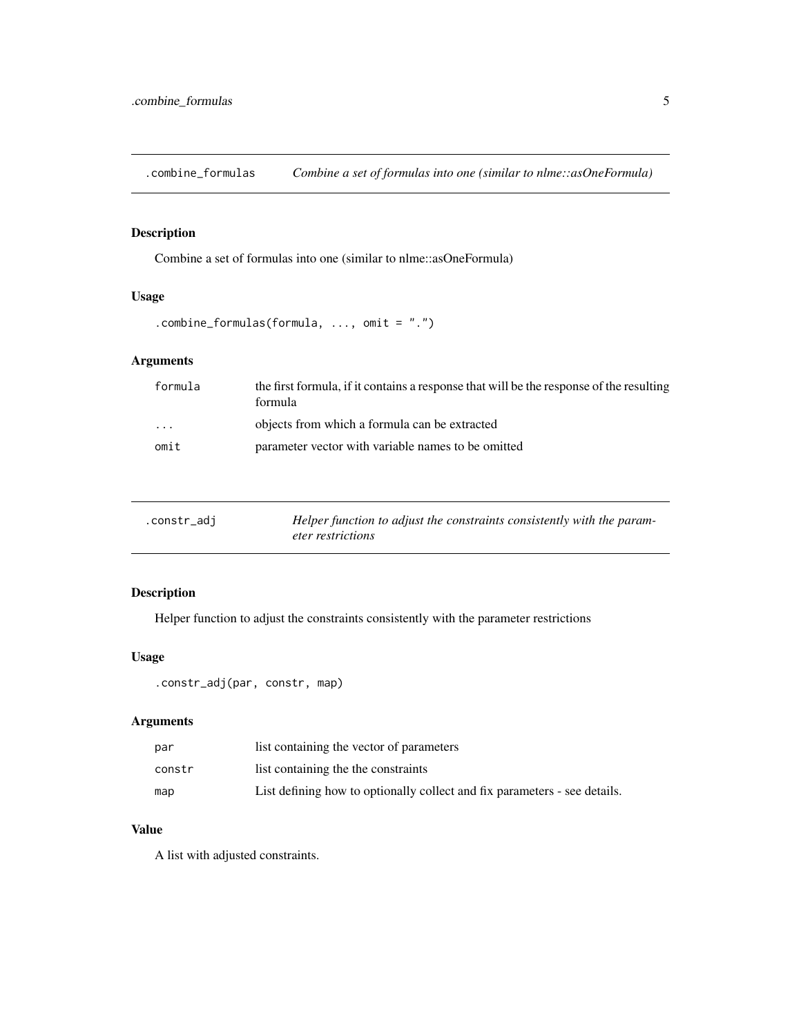<span id="page-4-0"></span>.combine\_formulas *Combine a set of formulas into one (similar to nlme::asOneFormula)*

## Description

Combine a set of formulas into one (similar to nlme::asOneFormula)

## Usage

```
.combine_formulas(formula, ..., omit = ".")
```
# Arguments

| formula                 | the first formula, if it contains a response that will be the response of the resulting<br>formula |
|-------------------------|----------------------------------------------------------------------------------------------------|
| $\cdot$ $\cdot$ $\cdot$ | objects from which a formula can be extracted                                                      |
| omit                    | parameter vector with variable names to be omitted                                                 |

| .constr_adj | Helper function to adjust the constraints consistently with the param- |
|-------------|------------------------------------------------------------------------|
|             | <i>eter restrictions</i>                                               |

# Description

Helper function to adjust the constraints consistently with the parameter restrictions

## Usage

```
.constr_adj(par, constr, map)
```
# Arguments

| par    | list containing the vector of parameters                                  |
|--------|---------------------------------------------------------------------------|
| constr | list containing the the constraints                                       |
| map    | List defining how to optionally collect and fix parameters - see details. |

#### Value

A list with adjusted constraints.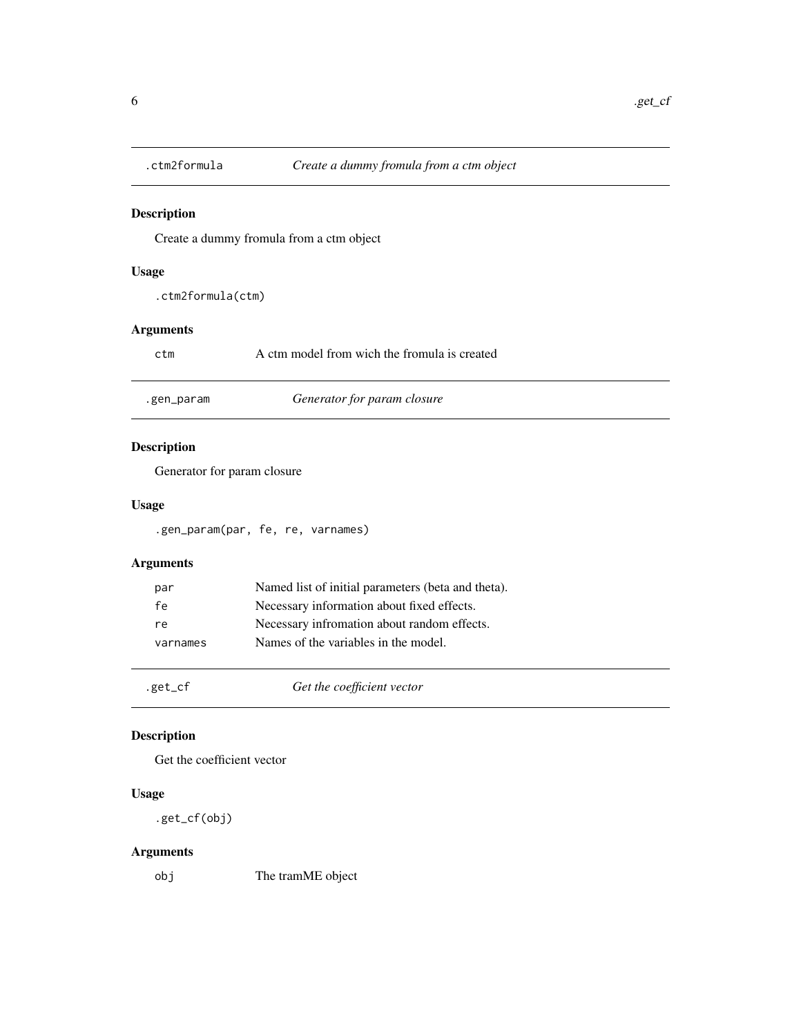<span id="page-5-0"></span>

Create a dummy fromula from a ctm object

## Usage

.ctm2formula(ctm)

## Arguments

| ctm | A ctm model from wich the fromula is created |
|-----|----------------------------------------------|
|     |                                              |

| .gen_param | Generator for param closure |
|------------|-----------------------------|
|------------|-----------------------------|

# Description

Generator for param closure

## Usage

.gen\_param(par, fe, re, varnames)

# Arguments

| par      | Named list of initial parameters (beta and theta). |
|----------|----------------------------------------------------|
| fe       | Necessary information about fixed effects.         |
| re       | Necessary infromation about random effects.        |
| varnames | Names of the variables in the model.               |
|          |                                                    |

.get\_cf *Get the coefficient vector*

# Description

Get the coefficient vector

#### Usage

.get\_cf(obj)

## Arguments

obj The tramME object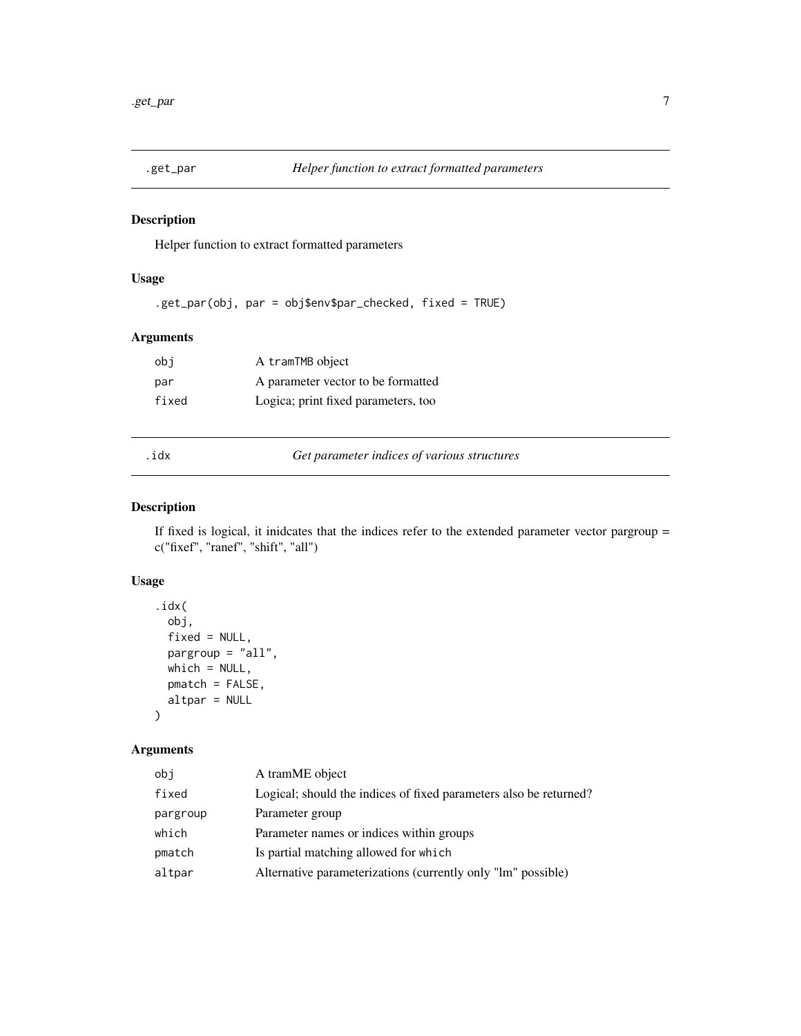<span id="page-6-0"></span>

Helper function to extract formatted parameters

#### Usage

.get\_par(obj, par = obj\$env\$par\_checked, fixed = TRUE)

## Arguments

| obi   | A tramTMB object                    |
|-------|-------------------------------------|
| par   | A parameter vector to be formatted  |
| fixed | Logica; print fixed parameters, too |

.idx *Get parameter indices of various structures*

#### Description

If fixed is logical, it inidcates that the indices refer to the extended parameter vector pargroup = c("fixef", "ranef", "shift", "all")

## Usage

```
.idx(
 obj,
 fixed = NULL,pargroup = "all",
 which = NULL,pmatch = FALSE,
 altpar = NULL
)
```

| obi      | A tramME object                                                   |
|----------|-------------------------------------------------------------------|
| fixed    | Logical; should the indices of fixed parameters also be returned? |
| pargroup | Parameter group                                                   |
| which    | Parameter names or indices within groups                          |
| pmatch   | Is partial matching allowed for which                             |
| altpar   | Alternative parameterizations (currently only "lm" possible)      |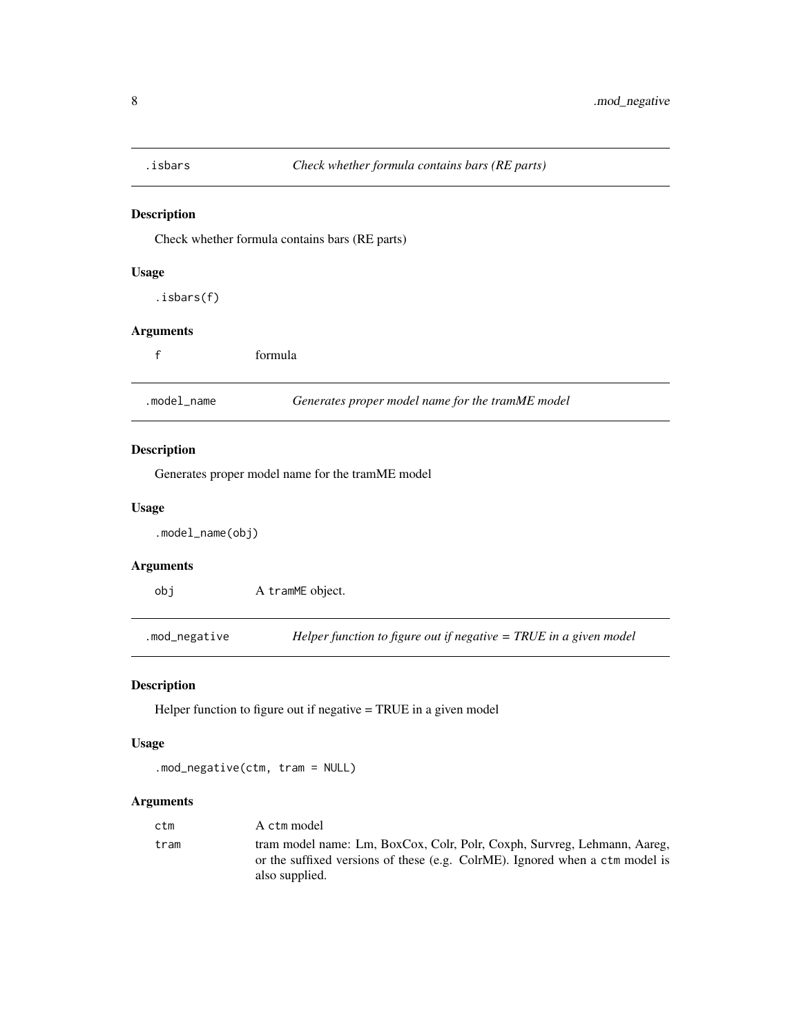<span id="page-7-0"></span>

Check whether formula contains bars (RE parts)

## Usage

.isbars(f)

## Arguments

|             | formula                                          |  |
|-------------|--------------------------------------------------|--|
| .model name | Generates proper model name for the tramME model |  |

## Description

Generates proper model name for the tramME model

## Usage

.model\_name(obj)

## Arguments

obj A tramME object.

.mod\_negative *Helper function to figure out if negative = TRUE in a given model*

## Description

Helper function to figure out if negative = TRUE in a given model

#### Usage

.mod\_negative(ctm, tram = NULL)

| A ctm model                                                                                                                                                                |
|----------------------------------------------------------------------------------------------------------------------------------------------------------------------------|
| tram model name: Lm, BoxCox, Colr, Polr, Coxph, Survreg, Lehmann, Aareg,<br>or the suffixed versions of these (e.g. ColrME). Ignored when a ctm model is<br>also supplied. |
|                                                                                                                                                                            |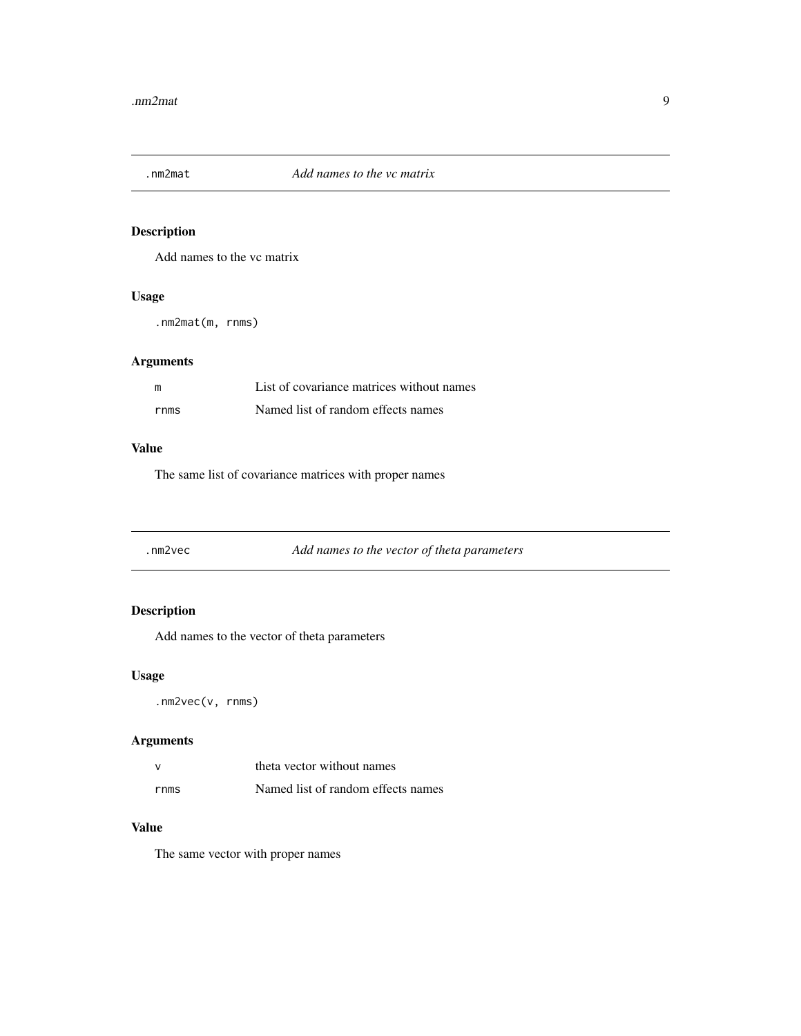<span id="page-8-0"></span>

Add names to the vc matrix

## Usage

.nm2mat(m, rnms)

# Arguments

| m    | List of covariance matrices without names |
|------|-------------------------------------------|
| rnms | Named list of random effects names        |

#### Value

The same list of covariance matrices with proper names

.nm2vec *Add names to the vector of theta parameters*

## Description

Add names to the vector of theta parameters

## Usage

.nm2vec(v, rnms)

## Arguments

| $\mathbf{v}$ | theta vector without names         |  |
|--------------|------------------------------------|--|
| rnms         | Named list of random effects names |  |

# Value

The same vector with proper names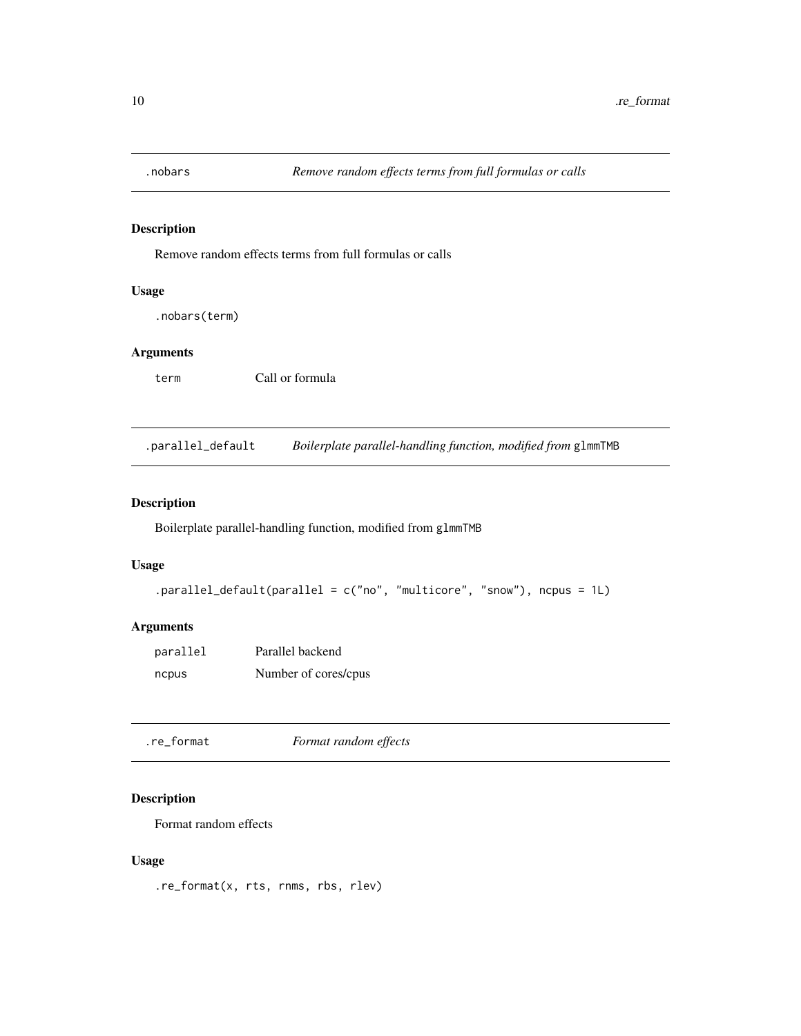<span id="page-9-0"></span>

Remove random effects terms from full formulas or calls

#### Usage

.nobars(term)

## Arguments

term Call or formula

.parallel\_default *Boilerplate parallel-handling function, modified from* glmmTMB

# Description

Boilerplate parallel-handling function, modified from glmmTMB

#### Usage

```
.parallel_default(parallel = c("no", "multicore", "snow"), ncpus = 1L)
```
## Arguments

| parallel | Parallel backend     |
|----------|----------------------|
| ncpus    | Number of cores/cpus |

.re\_format *Format random effects*

# **Description**

Format random effects

#### Usage

.re\_format(x, rts, rnms, rbs, rlev)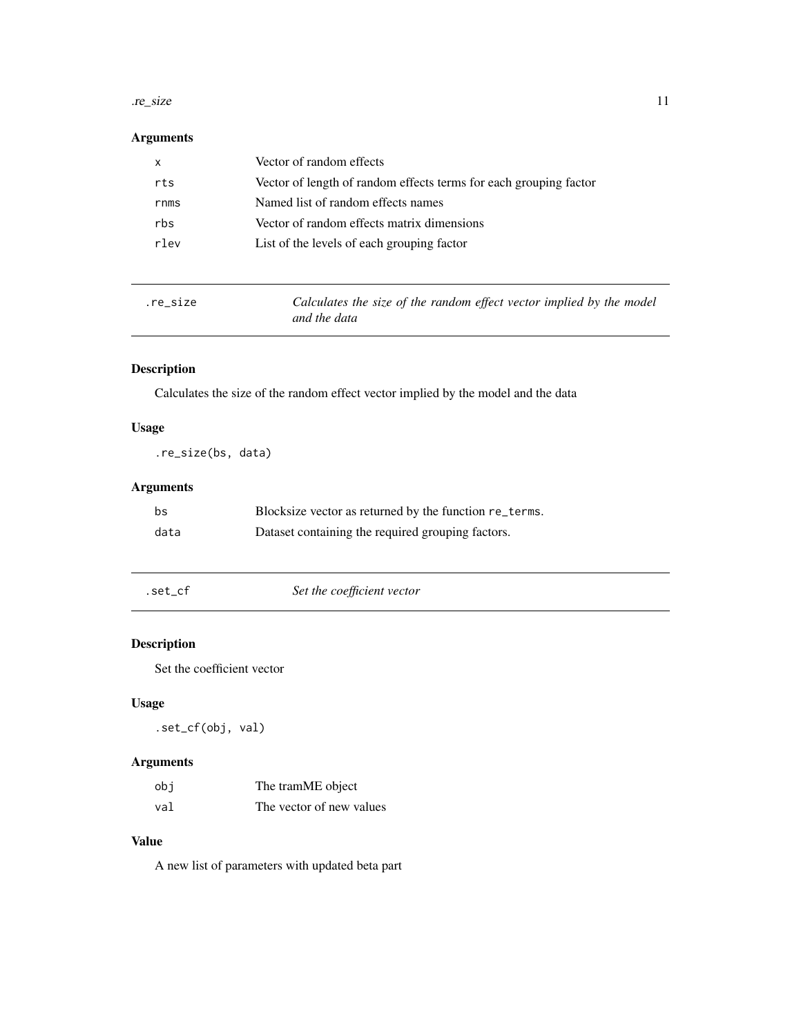#### <span id="page-10-0"></span>.re\_size 11

# Arguments

| х    | Vector of random effects                                          |
|------|-------------------------------------------------------------------|
| rts  | Vector of length of random effects terms for each grouping factor |
| rnms | Named list of random effects names                                |
| rbs  | Vector of random effects matrix dimensions                        |
| rlev | List of the levels of each grouping factor                        |
|      |                                                                   |

| re size. | Calculates the size of the random effect vector implied by the model |
|----------|----------------------------------------------------------------------|
|          | and the data                                                         |

# Description

Calculates the size of the random effect vector implied by the model and the data

## Usage

.re\_size(bs, data)

## Arguments

| bs   | Blocksize vector as returned by the function re_terms. |
|------|--------------------------------------------------------|
| data | Dataset containing the required grouping factors.      |

.set\_cf *Set the coefficient vector*

# Description

Set the coefficient vector

#### Usage

.set\_cf(obj, val)

## Arguments

| obi | The tramME object        |
|-----|--------------------------|
| val | The vector of new values |

# Value

A new list of parameters with updated beta part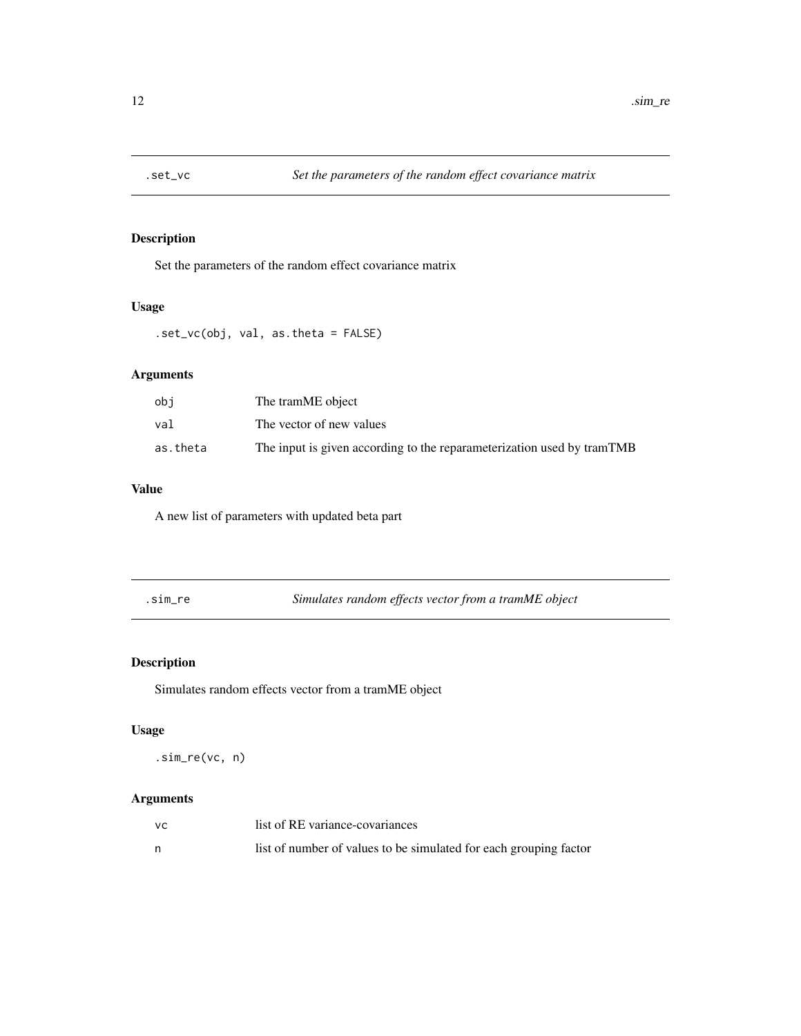<span id="page-11-0"></span>

Set the parameters of the random effect covariance matrix

## Usage

.set\_vc(obj, val, as.theta = FALSE)

# Arguments

| obi      | The tramME object                                                      |
|----------|------------------------------------------------------------------------|
| val      | The vector of new values                                               |
| as.theta | The input is given according to the reparameterization used by tramTMB |

# Value

A new list of parameters with updated beta part

| ٠ |  |
|---|--|
|   |  |
|   |  |

.sim\_re *Simulates random effects vector from a tramME object*

# Description

Simulates random effects vector from a tramME object

#### Usage

.sim\_re(vc, n)

| vс | list of RE variance-covariances                                   |
|----|-------------------------------------------------------------------|
|    | list of number of values to be simulated for each grouping factor |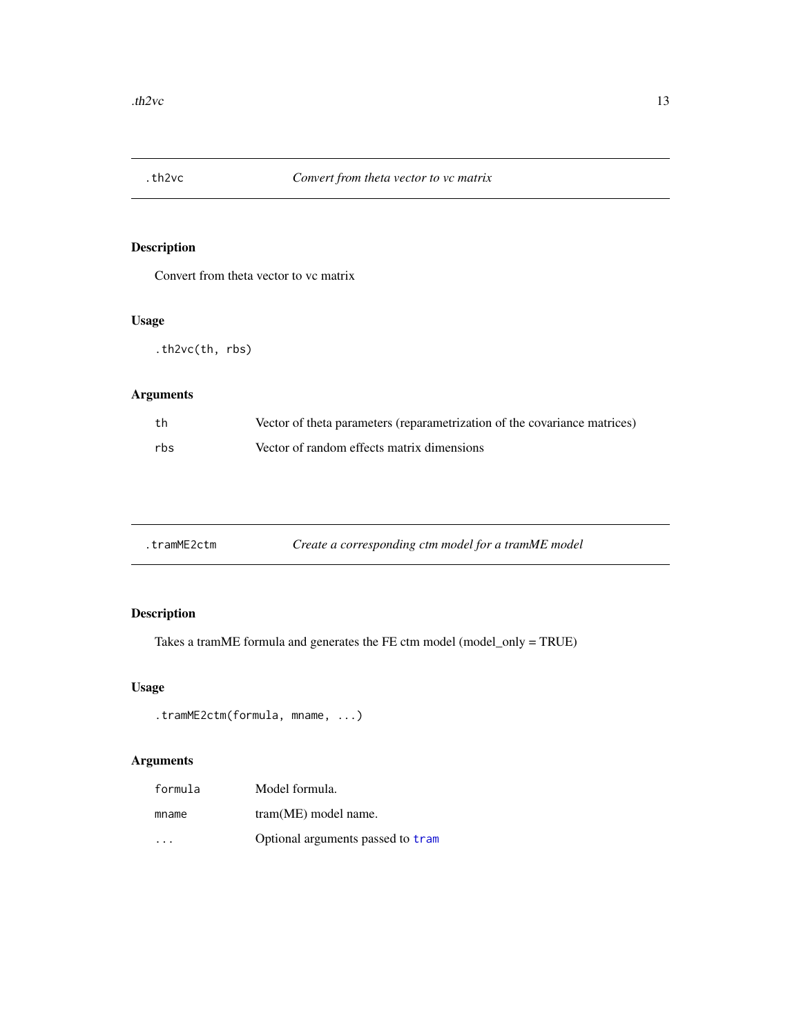<span id="page-12-0"></span>

Convert from theta vector to vc matrix

## Usage

.th2vc(th, rbs)

## Arguments

| th  | Vector of theta parameters (reparametrization of the covariance matrices) |
|-----|---------------------------------------------------------------------------|
| rbs | Vector of random effects matrix dimensions                                |

| .tramME2ctm | Create a corresponding ctm model for a tramME model |
|-------------|-----------------------------------------------------|
|-------------|-----------------------------------------------------|

# Description

Takes a tramME formula and generates the FE ctm model (model\_only = TRUE)

## Usage

```
.tramME2ctm(formula, mname, ...)
```

| formula  | Model formula.                    |
|----------|-----------------------------------|
| mname    | $tram(ME) \text{ model name}.$    |
| $\cdots$ | Optional arguments passed to tram |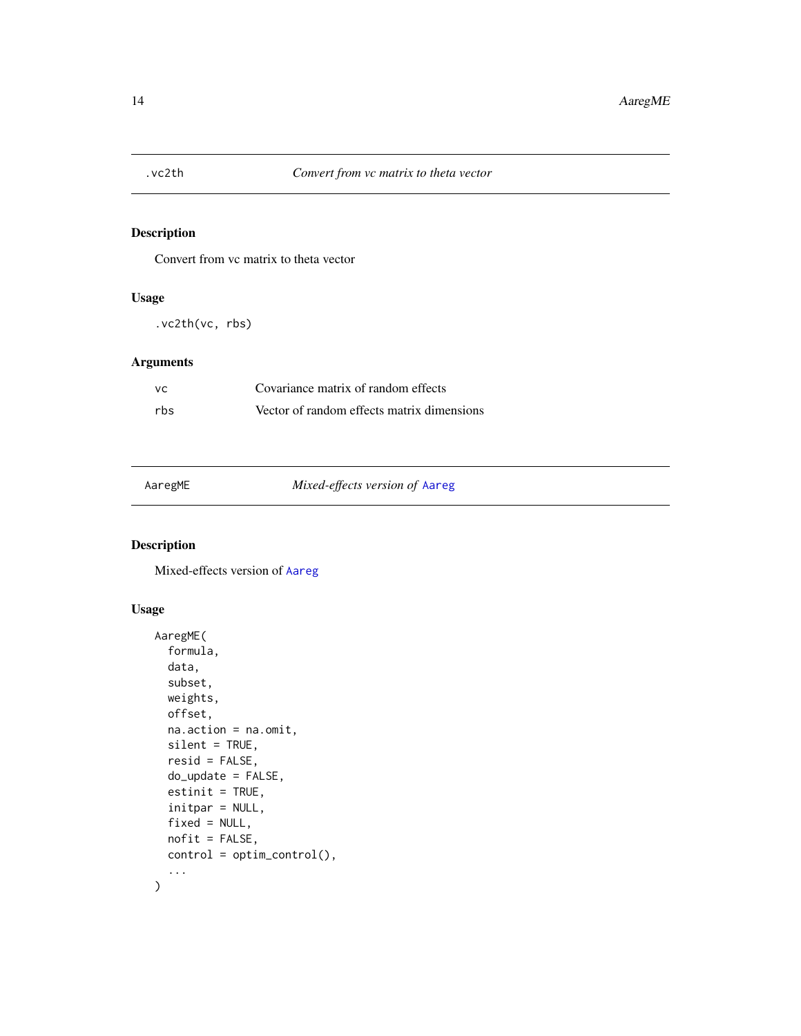<span id="page-13-0"></span>

Convert from vc matrix to theta vector

#### Usage

.vc2th(vc, rbs)

## Arguments

| - VC | Covariance matrix of random effects        |
|------|--------------------------------------------|
| rbs  | Vector of random effects matrix dimensions |

| AaregME |
|---------|
|---------|

AaregME *Mixed-effects version of* [Aareg](#page-0-0)

## Description

Mixed-effects version of [Aareg](#page-0-0)

```
AaregME(
  formula,
  data,
  subset,
  weights,
  offset,
  na.action = na.omit,
  silent = TRUE,
  resid = FALSE,
  do_update = FALSE,
  estinit = TRUE,
  initpar = NULL,
  fixed = NULL,
  nofit = FALSE,
  control = optim_control(),
  ...
\overline{\phantom{a}}
```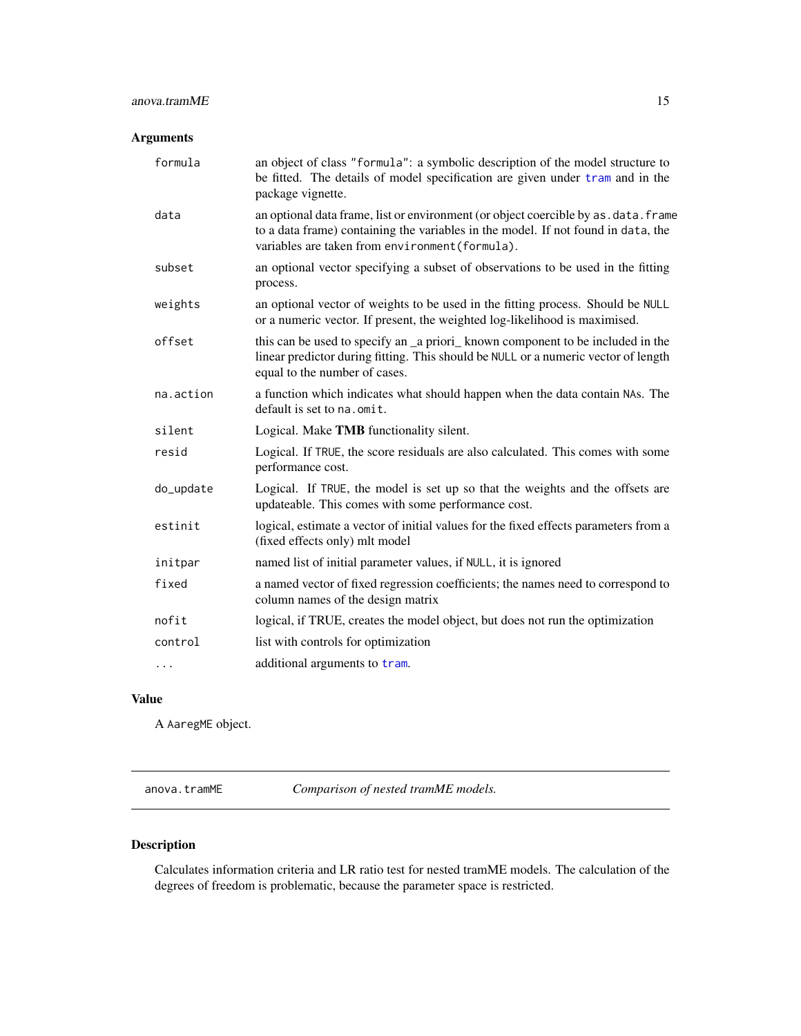## <span id="page-14-0"></span>anova.tramME 15

# Arguments

| formula   | an object of class "formula": a symbolic description of the model structure to<br>be fitted. The details of model specification are given under tram and in the<br>package vignette.                                         |  |  |  |
|-----------|------------------------------------------------------------------------------------------------------------------------------------------------------------------------------------------------------------------------------|--|--|--|
| data      | an optional data frame, list or environment (or object coercible by as . data. frame<br>to a data frame) containing the variables in the model. If not found in data, the<br>variables are taken from environment (formula). |  |  |  |
| subset    | an optional vector specifying a subset of observations to be used in the fitting<br>process.                                                                                                                                 |  |  |  |
| weights   | an optional vector of weights to be used in the fitting process. Should be NULL<br>or a numeric vector. If present, the weighted log-likelihood is maximised.                                                                |  |  |  |
| offset    | this can be used to specify an _a priori_ known component to be included in the<br>linear predictor during fitting. This should be NULL or a numeric vector of length<br>equal to the number of cases.                       |  |  |  |
| na.action | a function which indicates what should happen when the data contain NAs. The<br>default is set to na.omit.                                                                                                                   |  |  |  |
| silent    | Logical. Make TMB functionality silent.                                                                                                                                                                                      |  |  |  |
| resid     | Logical. If TRUE, the score residuals are also calculated. This comes with some<br>performance cost.                                                                                                                         |  |  |  |
| do_update | Logical. If TRUE, the model is set up so that the weights and the offsets are<br>updateable. This comes with some performance cost.                                                                                          |  |  |  |
| estinit   | logical, estimate a vector of initial values for the fixed effects parameters from a<br>(fixed effects only) mlt model                                                                                                       |  |  |  |
| initpar   | named list of initial parameter values, if NULL, it is ignored                                                                                                                                                               |  |  |  |
| fixed     | a named vector of fixed regression coefficients; the names need to correspond to<br>column names of the design matrix                                                                                                        |  |  |  |
| nofit     | logical, if TRUE, creates the model object, but does not run the optimization                                                                                                                                                |  |  |  |
| control   | list with controls for optimization                                                                                                                                                                                          |  |  |  |
| $\cdots$  | additional arguments to tram.                                                                                                                                                                                                |  |  |  |

# Value

A AaregME object.

anova.tramME *Comparison of nested tramME models.*

# Description

Calculates information criteria and LR ratio test for nested tramME models. The calculation of the degrees of freedom is problematic, because the parameter space is restricted.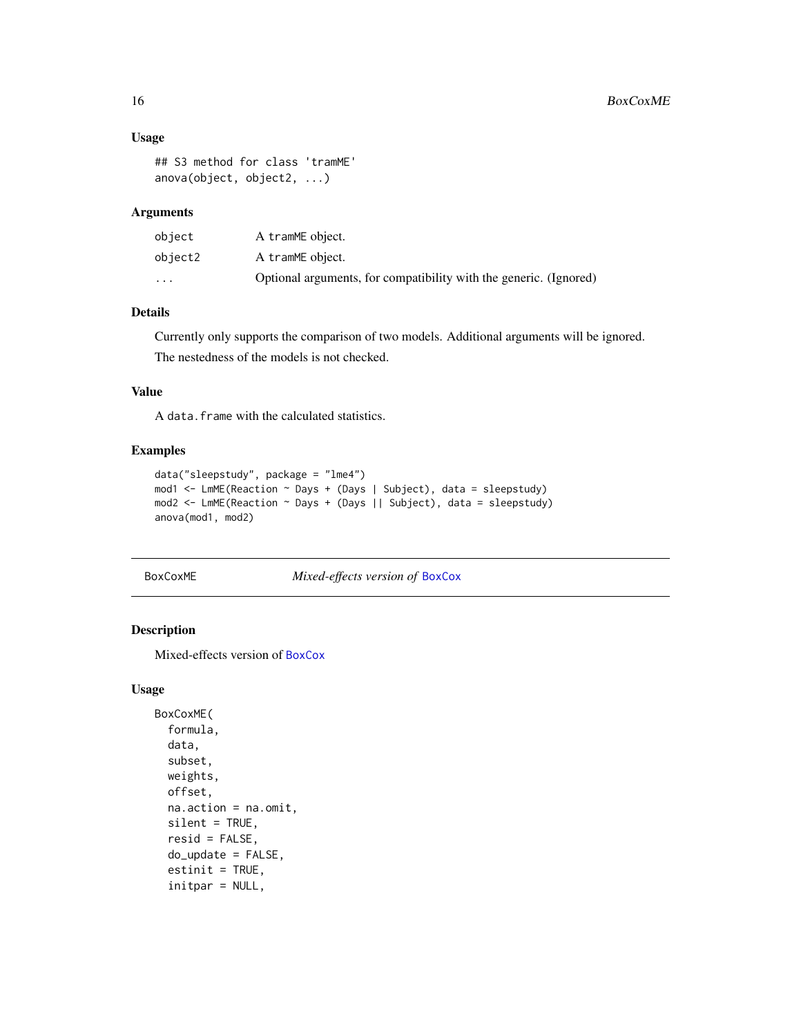#### Usage

```
## S3 method for class 'tramME'
anova(object, object2, ...)
```
## Arguments

| object  | A tramME object.                                                  |
|---------|-------------------------------------------------------------------|
| object2 | A tramME object.                                                  |
| $\cdot$ | Optional arguments, for compatibility with the generic. (Ignored) |

## Details

Currently only supports the comparison of two models. Additional arguments will be ignored. The nestedness of the models is not checked.

#### Value

A data.frame with the calculated statistics.

## Examples

```
data("sleepstudy", package = "lme4")
mod1 <- LmME(Reaction ~ Days + (Days | Subject), data = sleepstudy)
mod2 <- LmME(Reaction ~ Days + (Days || Subject), data = sleepstudy)
anova(mod1, mod2)
```
BoxCoxME *Mixed-effects version of* [BoxCox](#page-0-0)

#### Description

Mixed-effects version of [BoxCox](#page-0-0)

```
BoxCoxME(
  formula,
  data,
  subset,
  weights,
 offset,
  na.action = na.omit,
  silent = TRUE,
  resid = FALSE,
  do_update = FALSE,
  estinit = TRUE,initpar = NULL,
```
<span id="page-15-0"></span>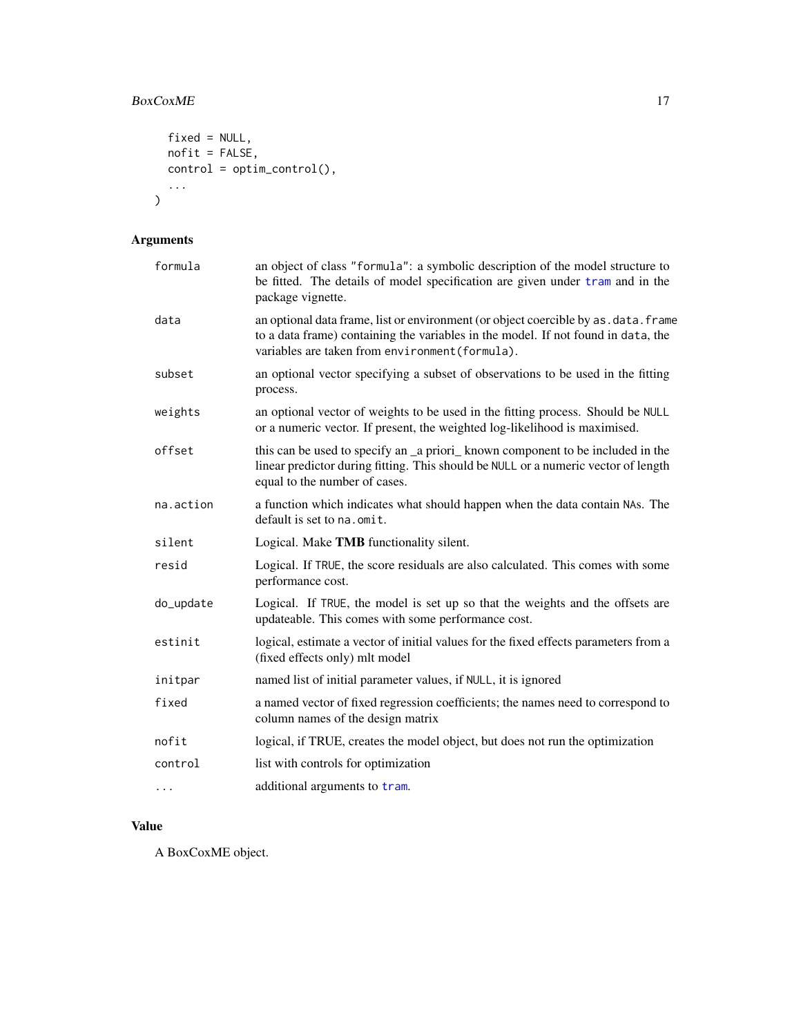# <span id="page-16-0"></span>BoxCoxME 17

```
fixed = NULL,nofit = FALSE,
 control = optim_control(),
  ...
\mathcal{L}
```
# Arguments

| formula   | an object of class "formula": a symbolic description of the model structure to<br>be fitted. The details of model specification are given under tram and in the<br>package vignette.                                         |
|-----------|------------------------------------------------------------------------------------------------------------------------------------------------------------------------------------------------------------------------------|
| data      | an optional data frame, list or environment (or object coercible by as . data. frame<br>to a data frame) containing the variables in the model. If not found in data, the<br>variables are taken from environment (formula). |
| subset    | an optional vector specifying a subset of observations to be used in the fitting<br>process.                                                                                                                                 |
| weights   | an optional vector of weights to be used in the fitting process. Should be NULL<br>or a numeric vector. If present, the weighted log-likelihood is maximised.                                                                |
| offset    | this can be used to specify an _a priori_ known component to be included in the<br>linear predictor during fitting. This should be NULL or a numeric vector of length<br>equal to the number of cases.                       |
| na.action | a function which indicates what should happen when the data contain NAs. The<br>default is set to na. omit.                                                                                                                  |
| silent    | Logical. Make TMB functionality silent.                                                                                                                                                                                      |
| resid     | Logical. If TRUE, the score residuals are also calculated. This comes with some<br>performance cost.                                                                                                                         |
| do_update | Logical. If TRUE, the model is set up so that the weights and the offsets are<br>updateable. This comes with some performance cost.                                                                                          |
| estinit   | logical, estimate a vector of initial values for the fixed effects parameters from a<br>(fixed effects only) mlt model                                                                                                       |
| initpar   | named list of initial parameter values, if NULL, it is ignored                                                                                                                                                               |
| fixed     | a named vector of fixed regression coefficients; the names need to correspond to<br>column names of the design matrix                                                                                                        |
| nofit     | logical, if TRUE, creates the model object, but does not run the optimization                                                                                                                                                |
| control   | list with controls for optimization                                                                                                                                                                                          |
| .         | additional arguments to tram.                                                                                                                                                                                                |

# Value

A BoxCoxME object.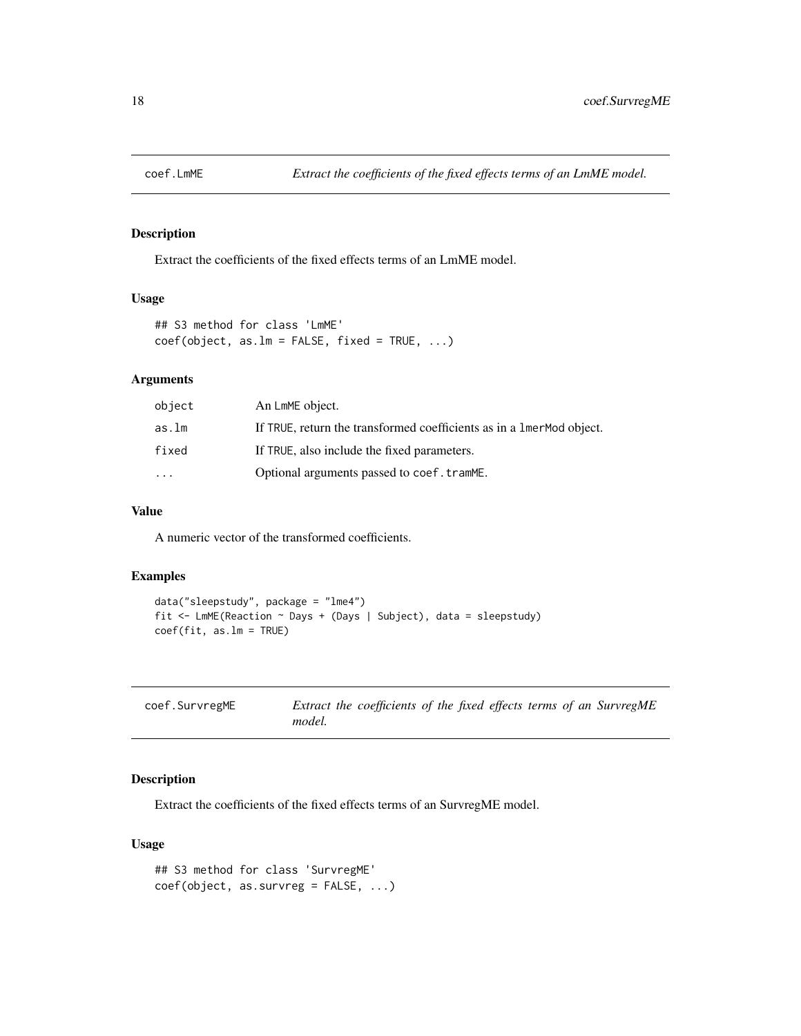<span id="page-17-0"></span>

Extract the coefficients of the fixed effects terms of an LmME model.

# Usage

```
## S3 method for class 'LmME'
coef(object, as.lm = FALSE, fixed = TRUE, ...)
```
#### Arguments

| object    | An LmME object.                                                        |
|-----------|------------------------------------------------------------------------|
| as.lm     | If TRUE, return the transformed coefficients as in a 1 mer Mod object. |
| fixed     | If TRUE, also include the fixed parameters.                            |
| $\ddotsc$ | Optional arguments passed to coef.tramME.                              |

#### Value

A numeric vector of the transformed coefficients.

## Examples

```
data("sleepstudy", package = "lme4")
fit <- LmME(Reaction ~ Days + (Days | Subject), data = sleepstudy)
coef(fit, as.lm = TRUE)
```

| coef.SurvregME | Extract the coefficients of the fixed effects terms of an SurvregME |  |  |  |  |
|----------------|---------------------------------------------------------------------|--|--|--|--|
|                | model.                                                              |  |  |  |  |

#### Description

Extract the coefficients of the fixed effects terms of an SurvregME model.

```
## S3 method for class 'SurvregME'
coef(object, as.survreg = FALSE, ...)
```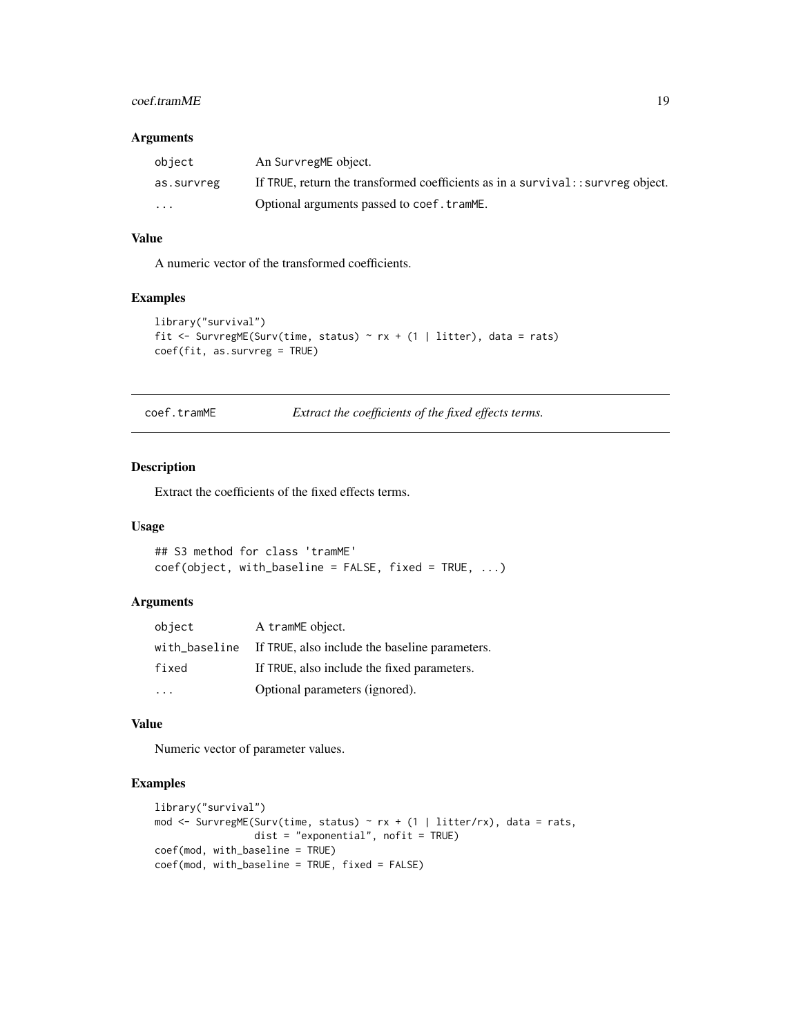#### <span id="page-18-0"></span>coef.tramME 19

#### Arguments

| object                  | An SurvregME object.                                                             |
|-------------------------|----------------------------------------------------------------------------------|
| as.survreg              | If TRUE, return the transformed coefficients as in a survival: : survreg object. |
| $\cdot$ $\cdot$ $\cdot$ | Optional arguments passed to coef.tramME.                                        |

## Value

A numeric vector of the transformed coefficients.

#### Examples

```
library("survival")
fit <- SurvregME(Surv(time, status) ~ rx + (1 | litter), data = rats)
coef(fit, as.survreg = TRUE)
```
coef.tramME *Extract the coefficients of the fixed effects terms.*

## Description

Extract the coefficients of the fixed effects terms.

#### Usage

```
## S3 method for class 'tramME'
coef(object, with_baseline = FALSE, fixed = TRUE, ...)
```
#### Arguments

| object | A tramME object.                                             |
|--------|--------------------------------------------------------------|
|        | with_baseline If TRUE, also include the baseline parameters. |
| fixed  | If TRUE, also include the fixed parameters.                  |
|        | Optional parameters (ignored).                               |

#### Value

Numeric vector of parameter values.

```
library("survival")
mod <- SurvregME(Surv(time, status) ~ rx + (1 | litter/rx), data = rats,
                 dist = "exponential", nofit = TRUE)
coef(mod, with_baseline = TRUE)
coef(mod, with_baseline = TRUE, fixed = FALSE)
```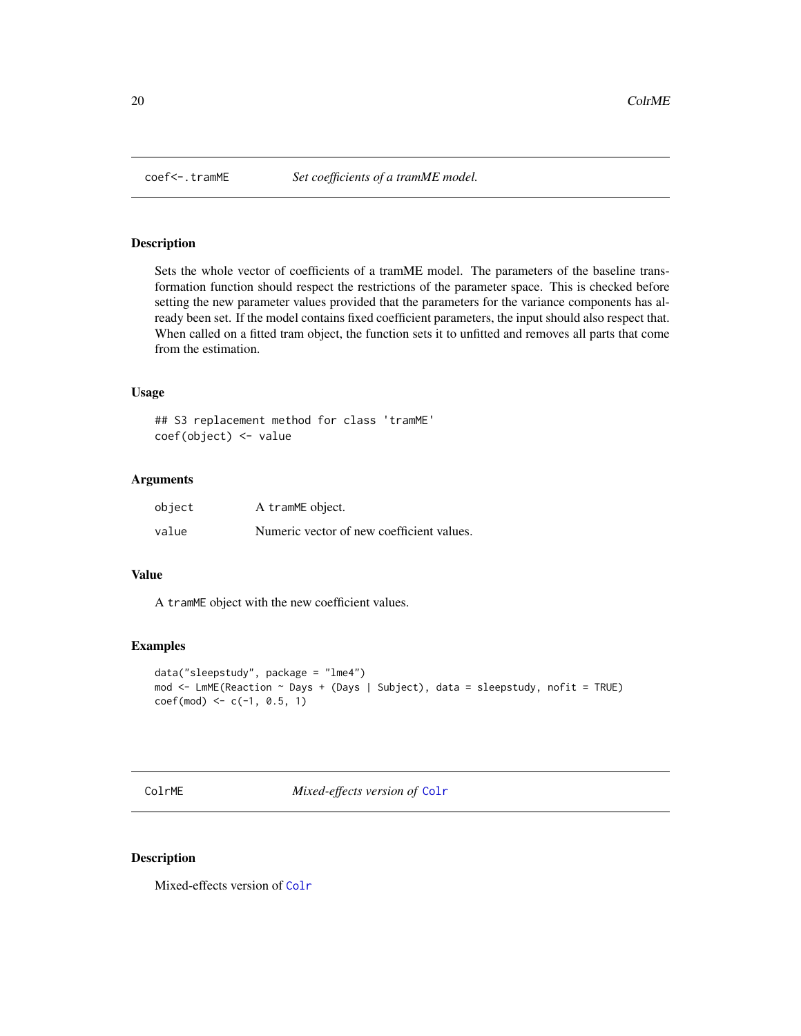<span id="page-19-0"></span>

Sets the whole vector of coefficients of a tramME model. The parameters of the baseline transformation function should respect the restrictions of the parameter space. This is checked before setting the new parameter values provided that the parameters for the variance components has already been set. If the model contains fixed coefficient parameters, the input should also respect that. When called on a fitted tram object, the function sets it to unfitted and removes all parts that come from the estimation.

#### Usage

```
## S3 replacement method for class 'tramME'
coef(object) <- value
```
#### Arguments

| object | A tramME object.                          |
|--------|-------------------------------------------|
| value  | Numeric vector of new coefficient values. |

#### Value

A tramME object with the new coefficient values.

#### Examples

```
data("sleepstudy", package = "lme4")
mod <- LmME(Reaction ~ Days + (Days | Subject), data = sleepstudy, nofit = TRUE)
coef(mod) \leq c(-1, 0.5, 1)
```
ColrME *Mixed-effects version of* [Colr](#page-0-0)

#### Description

Mixed-effects version of [Colr](#page-0-0)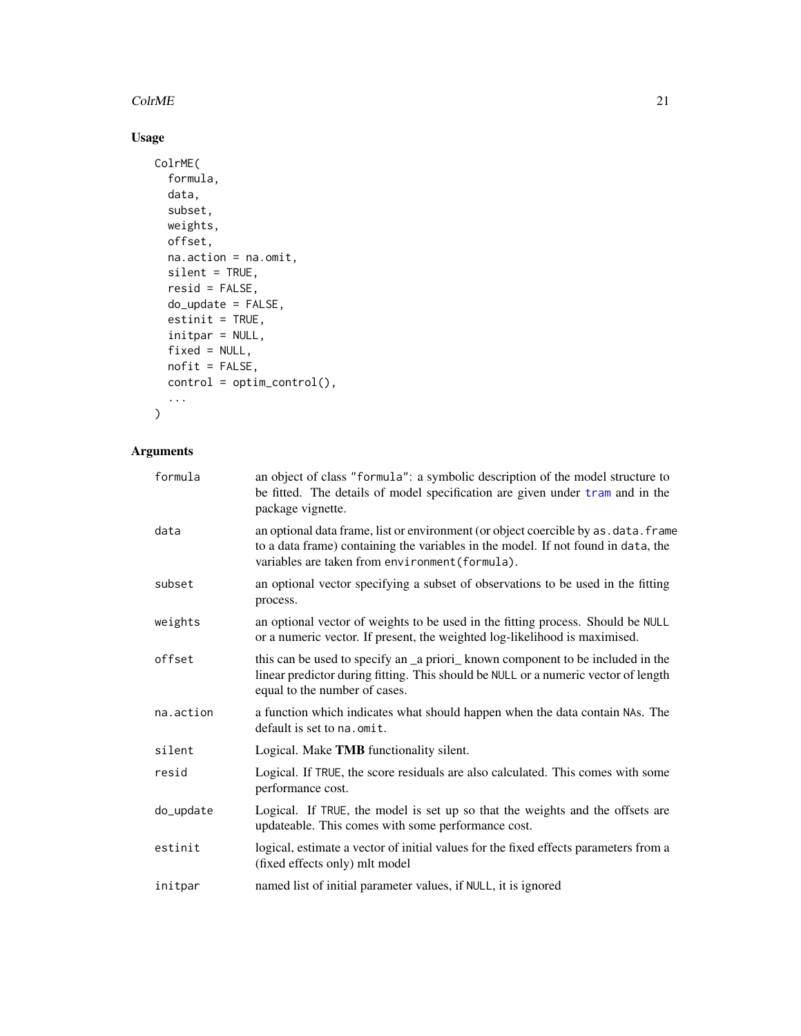#### <span id="page-20-0"></span> $ColrME$  21

# Usage

```
ColrME(
  formula,
  data,
  subset,
  weights,
  offset,
  na.action = na.omit,
  silent = TRUE,
  resid = FALSE,
  do_update = FALSE,
  estinit = TRUE,initpar = NULL,
  fixed = NULL,
  nofit = FALSE,
  control = optim_control(),
  ...
\mathcal{L}
```

| formula   | an object of class "formula": a symbolic description of the model structure to<br>be fitted. The details of model specification are given under tram and in the<br>package vignette.                                         |
|-----------|------------------------------------------------------------------------------------------------------------------------------------------------------------------------------------------------------------------------------|
| data      | an optional data frame, list or environment (or object coercible by as . data. frame<br>to a data frame) containing the variables in the model. If not found in data, the<br>variables are taken from environment (formula). |
| subset    | an optional vector specifying a subset of observations to be used in the fitting<br>process.                                                                                                                                 |
| weights   | an optional vector of weights to be used in the fitting process. Should be NULL<br>or a numeric vector. If present, the weighted log-likelihood is maximised.                                                                |
| offset    | this can be used to specify an _a priori_known component to be included in the<br>linear predictor during fitting. This should be NULL or a numeric vector of length<br>equal to the number of cases.                        |
| na.action | a function which indicates what should happen when the data contain NAs. The<br>default is set to na, omit.                                                                                                                  |
| silent    | Logical. Make TMB functionality silent.                                                                                                                                                                                      |
| resid     | Logical. If TRUE, the score residuals are also calculated. This comes with some<br>performance cost.                                                                                                                         |
| do_update | Logical. If TRUE, the model is set up so that the weights and the offsets are<br>updateable. This comes with some performance cost.                                                                                          |
| estinit   | logical, estimate a vector of initial values for the fixed effects parameters from a<br>(fixed effects only) mlt model                                                                                                       |
| initpar   | named list of initial parameter values, if NULL, it is ignored                                                                                                                                                               |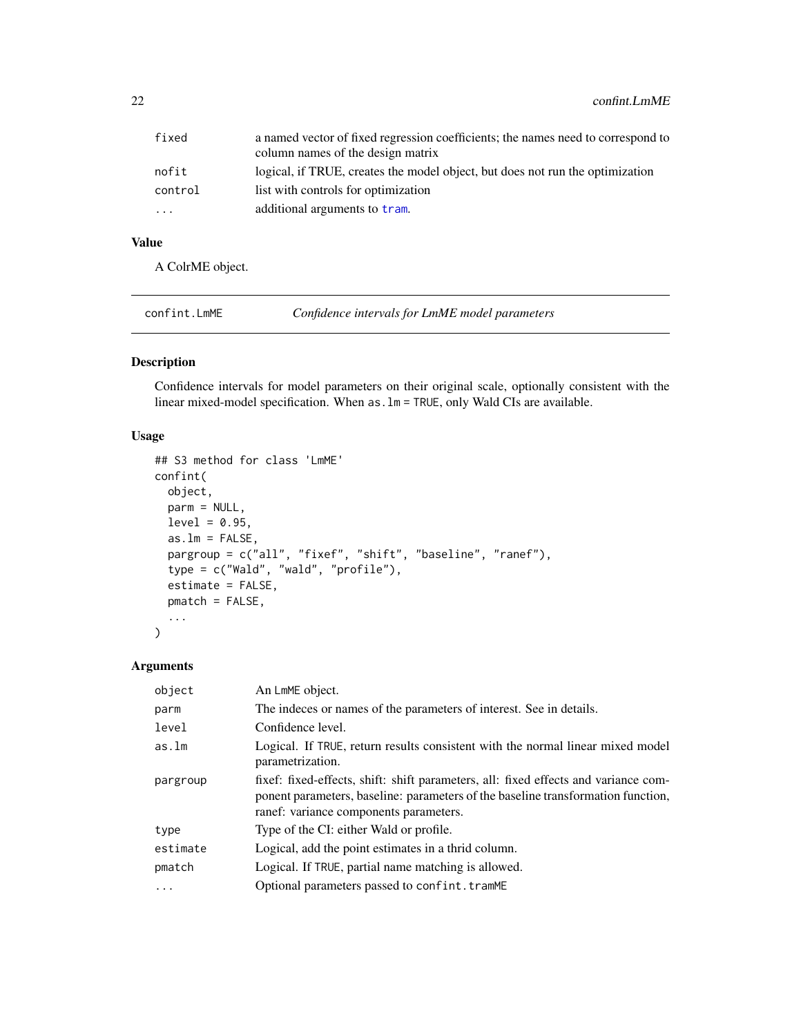<span id="page-21-0"></span>

| fixed   | a named vector of fixed regression coefficients; the names need to correspond to<br>column names of the design matrix |
|---------|-----------------------------------------------------------------------------------------------------------------------|
| nofit   | logical, if TRUE, creates the model object, but does not run the optimization                                         |
| control | list with controls for optimization                                                                                   |
| .       | additional arguments to tram.                                                                                         |

# Value

A ColrME object.

| confint.LmME | Confidence intervals for LmME model parameters |  |
|--------------|------------------------------------------------|--|
|              |                                                |  |

## Description

Confidence intervals for model parameters on their original scale, optionally consistent with the linear mixed-model specification. When as.lm = TRUE, only Wald CIs are available.

#### Usage

```
## S3 method for class 'LmME'
confint(
 object,
 parm = NULL,
 level = 0.95,as.lm = FALSE,pargroup = c("all", "fixef", "shift", "baseline", "ranef"),
  type = c("Wald", "wald", "profile"),
  estimate = FALSE,
 pmatch = FALSE,
  ...
\mathcal{L}
```

| object   | An LmME object.                                                                                                                                                                                                   |
|----------|-------------------------------------------------------------------------------------------------------------------------------------------------------------------------------------------------------------------|
| parm     | The indeces or names of the parameters of interest. See in details.                                                                                                                                               |
| level    | Confidence level.                                                                                                                                                                                                 |
| as.lm    | Logical. If TRUE, return results consistent with the normal linear mixed model<br>parametrization.                                                                                                                |
| pargroup | fixef: fixed-effects, shift: shift parameters, all: fixed effects and variance com-<br>ponent parameters, baseline: parameters of the baseline transformation function,<br>ranef: variance components parameters. |
| type     | Type of the CI: either Wald or profile.                                                                                                                                                                           |
| estimate | Logical, add the point estimates in a thrid column.                                                                                                                                                               |
| pmatch   | Logical. If TRUE, partial name matching is allowed.                                                                                                                                                               |
|          | Optional parameters passed to confint.tramME                                                                                                                                                                      |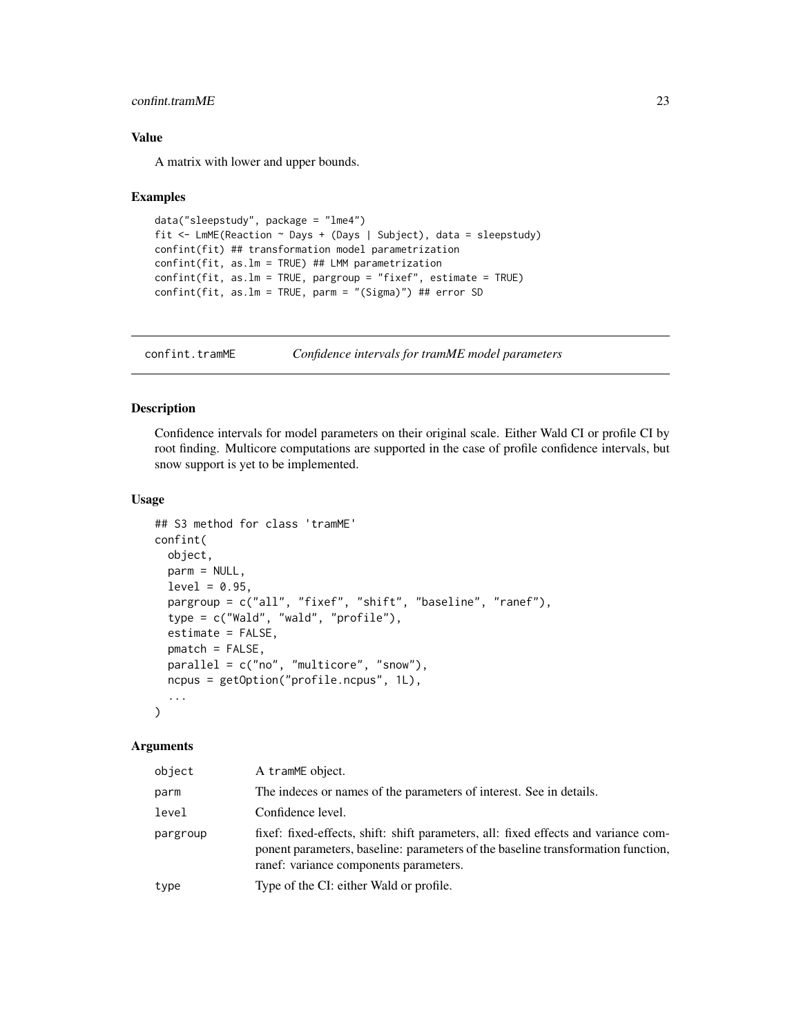#### <span id="page-22-0"></span>confint.tramME 23

#### Value

A matrix with lower and upper bounds.

#### Examples

```
data("sleepstudy", package = "lme4")
fit <- LmME(Reaction ~ Days + (Days | Subject), data = sleepstudy)
confint(fit) ## transformation model parametrization
confint(fit, as.lm = TRUE) ## LMM parametrization
confint(fit, as.lm = TRUE, pargroup = "fixef", estimate = TRUE)
confint(fit, as.lm = TRUE, parm = "(Sigma)") ## error SD
```
confint.tramME *Confidence intervals for tramME model parameters*

## Description

Confidence intervals for model parameters on their original scale. Either Wald CI or profile CI by root finding. Multicore computations are supported in the case of profile confidence intervals, but snow support is yet to be implemented.

#### Usage

```
## S3 method for class 'tramME'
confint(
  object,
 parm = NULL,
  level = 0.95,
  pargroup = c("all", "fixef", "shift", "baseline", "ranef"),
  type = c("Wald", "wald", "profile"),
  estimate = FALSE,
  pmatch = FALSE,
  parallel = c("no", "multicore", "snow"),
  ncpus = getOption("profile.ncpus", 1L),
  ...
\mathcal{L}
```

| object   | A tramME object.                                                                                                                                                                                                  |
|----------|-------------------------------------------------------------------------------------------------------------------------------------------------------------------------------------------------------------------|
| parm     | The indeces or names of the parameters of interest. See in details.                                                                                                                                               |
| level    | Confidence level.                                                                                                                                                                                                 |
| pargroup | fixef: fixed-effects, shift: shift parameters, all: fixed effects and variance com-<br>ponent parameters, baseline: parameters of the baseline transformation function,<br>ranef: variance components parameters. |
| type     | Type of the CI: either Wald or profile.                                                                                                                                                                           |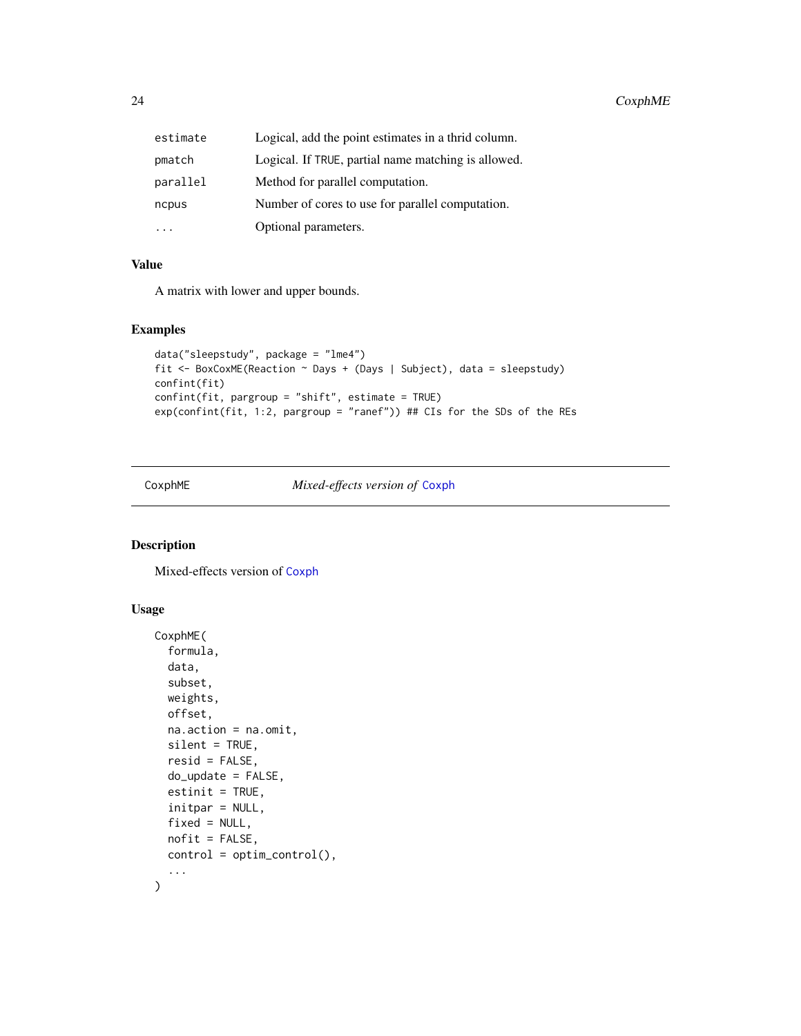<span id="page-23-0"></span>

| estimate | Logical, add the point estimates in a thrid column. |
|----------|-----------------------------------------------------|
| pmatch   | Logical. If TRUE, partial name matching is allowed. |
| parallel | Method for parallel computation.                    |
| ncpus    | Number of cores to use for parallel computation.    |
|          | Optional parameters.                                |

#### Value

A matrix with lower and upper bounds.

## Examples

```
data("sleepstudy", package = "lme4")
fit <- BoxCoxME(Reaction ~ Days + (Days | Subject), data = sleepstudy)
confint(fit)
confint(fit, pargroup = "shift", estimate = TRUE)
exp(confint(fit, 1:2, pargroup = "ranef")) ## CIs for the SDs of the REs
```
CoxphME *Mixed-effects version of* [Coxph](#page-0-0)

#### Description

Mixed-effects version of [Coxph](#page-0-0)

```
CoxphME(
  formula,
  data,
  subset,
 weights,
 offset,
 na.action = na.omit,
  silent = TRUE,resid = FALSE,
  do_update = FALSE,
 estinit = TRUE,
  initpar = NULL,
  fixed = NULL,
 nofit = FALSE,control = optim_control(),
  ...
\mathcal{L}
```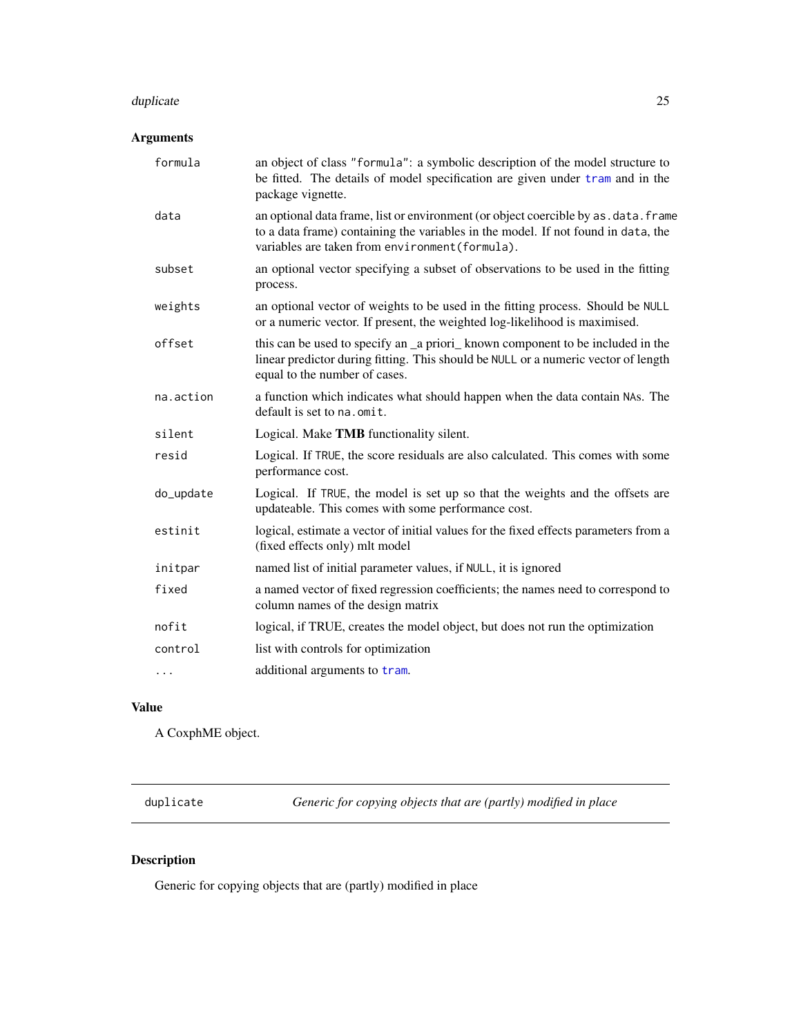#### <span id="page-24-0"></span>duplicate 25

# Arguments

| formula   | an object of class "formula": a symbolic description of the model structure to<br>be fitted. The details of model specification are given under tram and in the<br>package vignette.                                         |
|-----------|------------------------------------------------------------------------------------------------------------------------------------------------------------------------------------------------------------------------------|
| data      | an optional data frame, list or environment (or object coercible by as . data. frame<br>to a data frame) containing the variables in the model. If not found in data, the<br>variables are taken from environment (formula). |
| subset    | an optional vector specifying a subset of observations to be used in the fitting<br>process.                                                                                                                                 |
| weights   | an optional vector of weights to be used in the fitting process. Should be NULL<br>or a numeric vector. If present, the weighted log-likelihood is maximised.                                                                |
| offset    | this can be used to specify an _a priori_ known component to be included in the<br>linear predictor during fitting. This should be NULL or a numeric vector of length<br>equal to the number of cases.                       |
| na.action | a function which indicates what should happen when the data contain NAs. The<br>default is set to na. omit.                                                                                                                  |
| silent    | Logical. Make TMB functionality silent.                                                                                                                                                                                      |
| resid     | Logical. If TRUE, the score residuals are also calculated. This comes with some<br>performance cost.                                                                                                                         |
| do_update | Logical. If TRUE, the model is set up so that the weights and the offsets are<br>updateable. This comes with some performance cost.                                                                                          |
| estinit   | logical, estimate a vector of initial values for the fixed effects parameters from a<br>(fixed effects only) mlt model                                                                                                       |
| initpar   | named list of initial parameter values, if NULL, it is ignored                                                                                                                                                               |
| fixed     | a named vector of fixed regression coefficients; the names need to correspond to<br>column names of the design matrix                                                                                                        |
| nofit     | logical, if TRUE, creates the model object, but does not run the optimization                                                                                                                                                |
| control   | list with controls for optimization                                                                                                                                                                                          |
| $\cdots$  | additional arguments to tram.                                                                                                                                                                                                |
|           |                                                                                                                                                                                                                              |

# Value

A CoxphME object.

duplicate *Generic for copying objects that are (partly) modified in place*

# Description

Generic for copying objects that are (partly) modified in place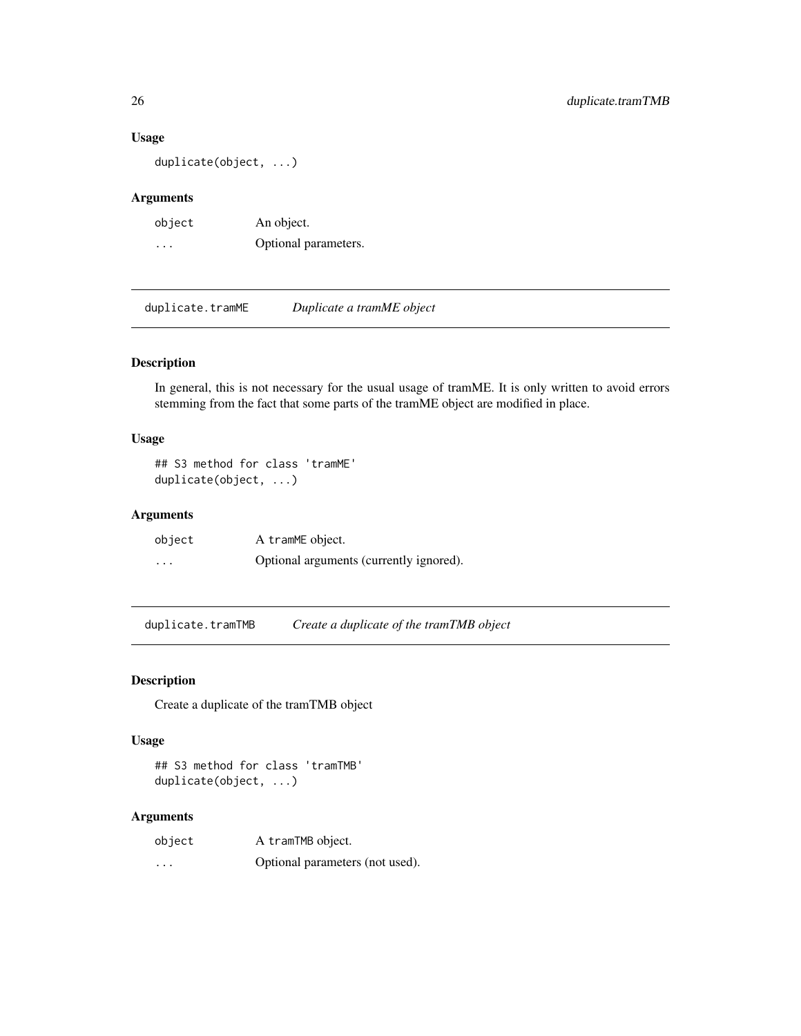#### Usage

duplicate(object, ...)

## Arguments

| object   | An object.           |
|----------|----------------------|
| $\cdots$ | Optional parameters. |

duplicate.tramME *Duplicate a tramME object*

## Description

In general, this is not necessary for the usual usage of tramME. It is only written to avoid errors stemming from the fact that some parts of the tramME object are modified in place.

## Usage

```
## S3 method for class 'tramME'
duplicate(object, ...)
```
#### Arguments

| object                  | A tramME object.                        |
|-------------------------|-----------------------------------------|
| $\cdot$ $\cdot$ $\cdot$ | Optional arguments (currently ignored). |

duplicate.tramTMB *Create a duplicate of the tramTMB object*

## Description

Create a duplicate of the tramTMB object

## Usage

## S3 method for class 'tramTMB' duplicate(object, ...)

| object   | A tramTMB object.               |
|----------|---------------------------------|
| $\cdots$ | Optional parameters (not used). |

<span id="page-25-0"></span>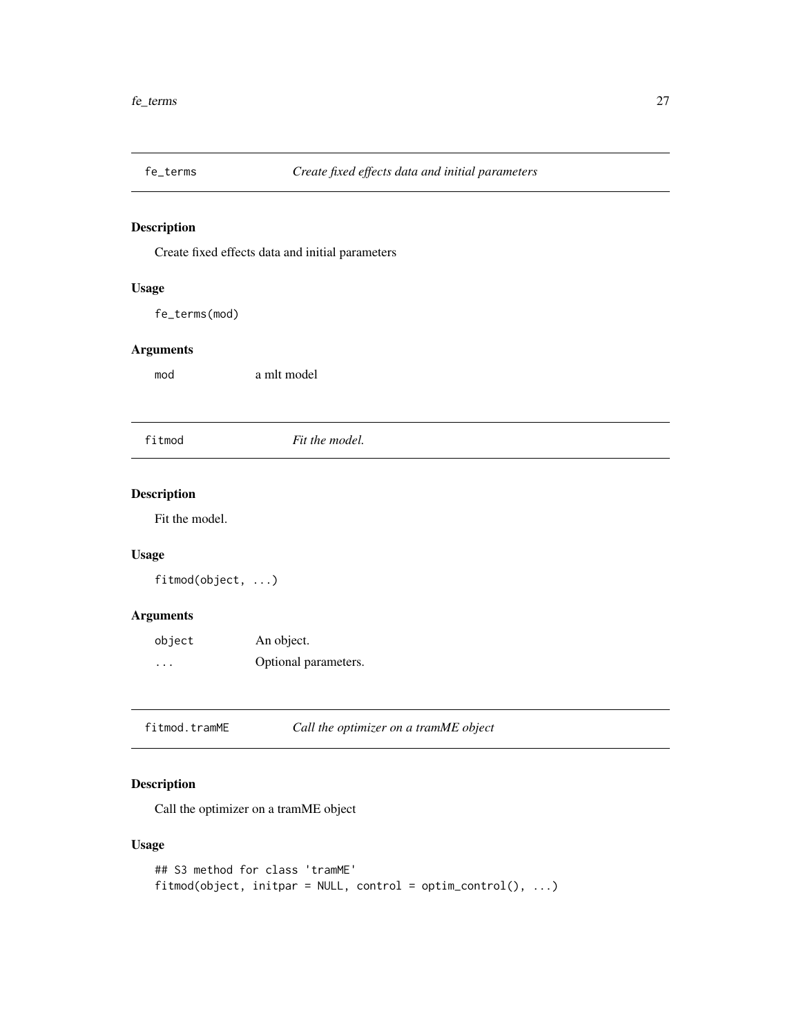<span id="page-26-0"></span>

Create fixed effects data and initial parameters

# Usage

fe\_terms(mod)

## Arguments

mod a mlt model

fitmod *Fit the model.*

## Description

Fit the model.

## Usage

fitmod(object, ...)

## Arguments

| object   | An object.           |
|----------|----------------------|
| $\cdots$ | Optional parameters. |

fitmod.tramME *Call the optimizer on a tramME object*

# Description

Call the optimizer on a tramME object

```
## S3 method for class 'tramME'
fitmod(object, initpar = NULL, control = optim_countcol(), ...)
```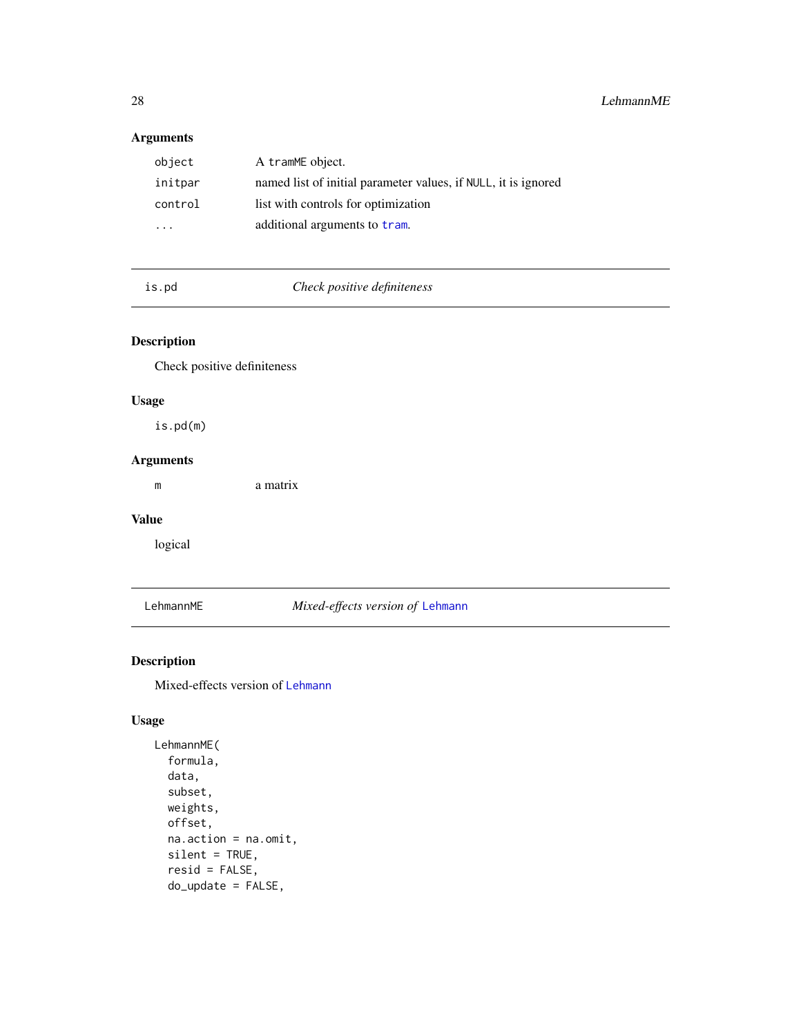# <span id="page-27-0"></span>Arguments

| object                  | A tramME object.                                               |
|-------------------------|----------------------------------------------------------------|
| initpar                 | named list of initial parameter values, if NULL, it is ignored |
| control                 | list with controls for optimization                            |
| $\cdot$ $\cdot$ $\cdot$ | additional arguments to tram.                                  |

is.pd *Check positive definiteness*

## Description

Check positive definiteness

## Usage

is.pd(m)

# Arguments

m a matrix

#### Value

logical

# LehmannME *Mixed-effects version of* [Lehmann](#page-0-0)

## Description

Mixed-effects version of [Lehmann](#page-0-0)

```
LehmannME(
  formula,
  data,
  subset,
 weights,
 offset,
  na.action = na.omit,
  silent = TRUE,
  resid = FALSE,
  do_update = FALSE,
```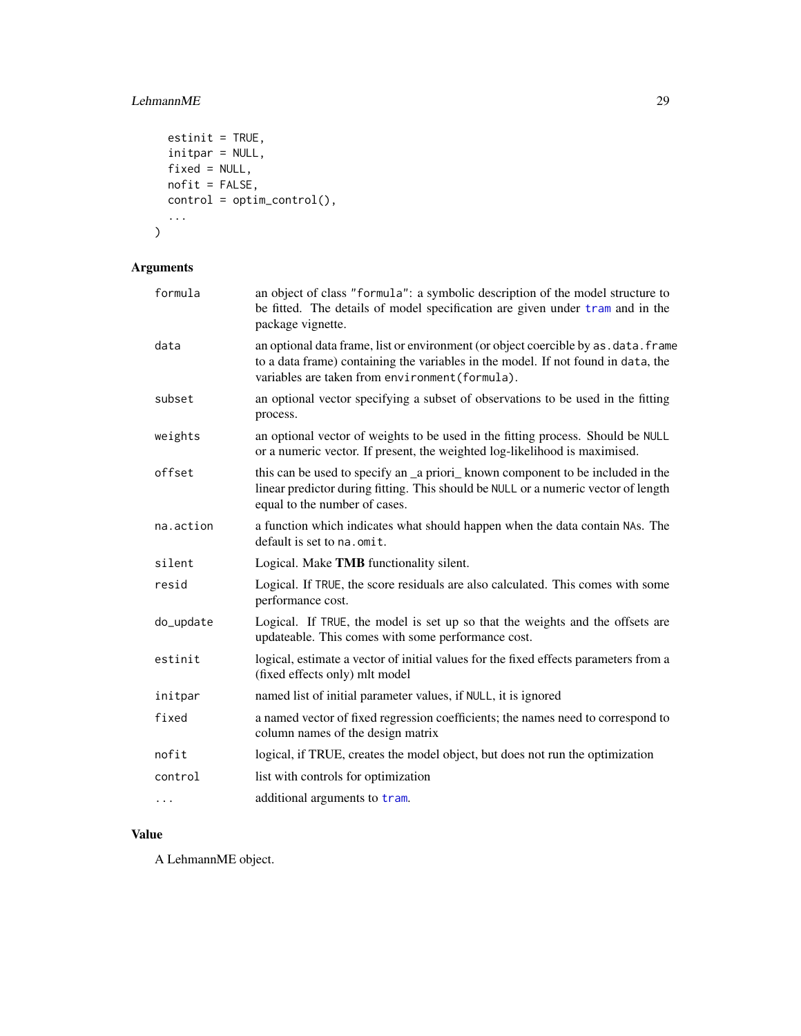# LehmannME 29

```
estinit = TRUE,initpar = NULL,fixed = NULL,nofit = FALSE,
 control = optim_control(),
  ...
\mathcal{L}
```
# Arguments

| formula   | an object of class "formula": a symbolic description of the model structure to<br>be fitted. The details of model specification are given under tram and in the<br>package vignette.                                         |
|-----------|------------------------------------------------------------------------------------------------------------------------------------------------------------------------------------------------------------------------------|
| data      | an optional data frame, list or environment (or object coercible by as . data. frame<br>to a data frame) containing the variables in the model. If not found in data, the<br>variables are taken from environment (formula). |
| subset    | an optional vector specifying a subset of observations to be used in the fitting<br>process.                                                                                                                                 |
| weights   | an optional vector of weights to be used in the fitting process. Should be NULL<br>or a numeric vector. If present, the weighted log-likelihood is maximised.                                                                |
| offset    | this can be used to specify an _a priori_known component to be included in the<br>linear predictor during fitting. This should be NULL or a numeric vector of length<br>equal to the number of cases.                        |
| na.action | a function which indicates what should happen when the data contain NAs. The<br>default is set to na.omit.                                                                                                                   |
| silent    | Logical. Make TMB functionality silent.                                                                                                                                                                                      |
| resid     | Logical. If TRUE, the score residuals are also calculated. This comes with some<br>performance cost.                                                                                                                         |
| do_update | Logical. If TRUE, the model is set up so that the weights and the offsets are<br>updateable. This comes with some performance cost.                                                                                          |
| estinit   | logical, estimate a vector of initial values for the fixed effects parameters from a<br>(fixed effects only) mlt model                                                                                                       |
| initpar   | named list of initial parameter values, if NULL, it is ignored                                                                                                                                                               |
| fixed     | a named vector of fixed regression coefficients; the names need to correspond to<br>column names of the design matrix                                                                                                        |
| nofit     | logical, if TRUE, creates the model object, but does not run the optimization                                                                                                                                                |
| control   | list with controls for optimization                                                                                                                                                                                          |
| .         | additional arguments to tram.                                                                                                                                                                                                |
|           |                                                                                                                                                                                                                              |

# Value

A LehmannME object.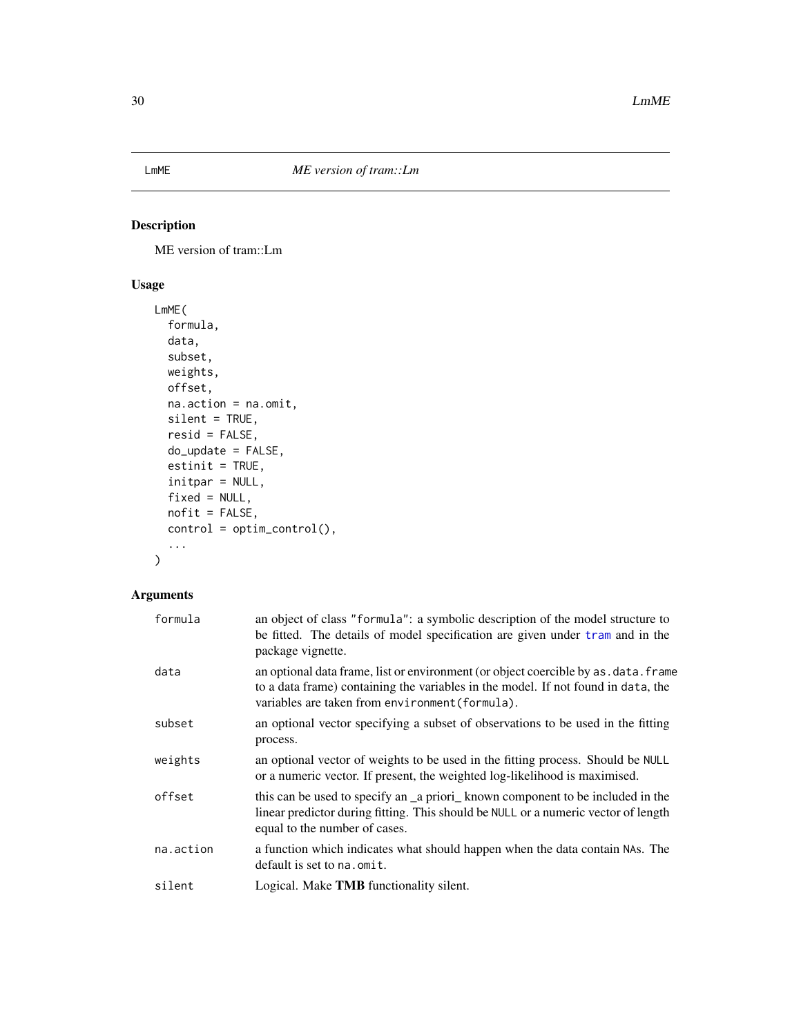<span id="page-29-0"></span>

ME version of tram::Lm

# Usage

```
LmME(
  formula,
  data,
  subset,
  weights,
  offset,
  na.action = na.omit,
  silent = TRUE,
  resid = FALSE,do_update = FALSE,
  estinit = TRUE,
  initpar = NULL,
  fixed = NULL,
  nofit = FALSE,
  control = optim_control(),
  ...
)
```

| formula   | an object of class "formula": a symbolic description of the model structure to<br>be fitted. The details of model specification are given under tram and in the<br>package vignette.                                         |
|-----------|------------------------------------------------------------------------------------------------------------------------------------------------------------------------------------------------------------------------------|
| data      | an optional data frame, list or environment (or object coercible by as . data. frame<br>to a data frame) containing the variables in the model. If not found in data, the<br>variables are taken from environment (formula). |
| subset    | an optional vector specifying a subset of observations to be used in the fitting<br>process.                                                                                                                                 |
| weights   | an optional vector of weights to be used in the fitting process. Should be NULL<br>or a numeric vector. If present, the weighted log-likelihood is maximised.                                                                |
| offset    | this can be used to specify an a priori known component to be included in the<br>linear predictor during fitting. This should be NULL or a numeric vector of length<br>equal to the number of cases.                         |
| na.action | a function which indicates what should happen when the data contain NAs. The<br>default is set to na.omit.                                                                                                                   |
| silent    | Logical. Make <b>TMB</b> functionality silent.                                                                                                                                                                               |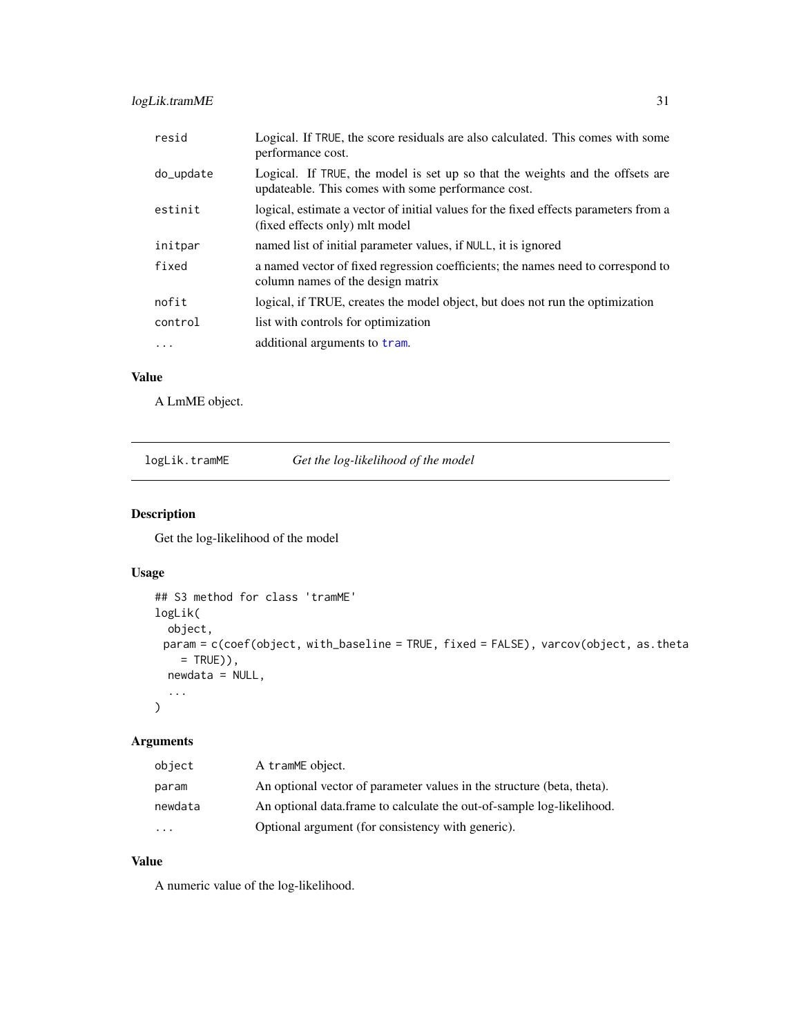# <span id="page-30-0"></span>logLik.tramME 31

| Logical. If TRUE, the score residuals are also calculated. This comes with some<br>performance cost.                                |
|-------------------------------------------------------------------------------------------------------------------------------------|
| Logical. If TRUE, the model is set up so that the weights and the offsets are<br>updateable. This comes with some performance cost. |
| logical, estimate a vector of initial values for the fixed effects parameters from a<br>(fixed effects only) mlt model              |
| named list of initial parameter values, if NULL, it is ignored                                                                      |
| a named vector of fixed regression coefficients; the names need to correspond to<br>column names of the design matrix               |
| logical, if TRUE, creates the model object, but does not run the optimization                                                       |
| list with controls for optimization                                                                                                 |
| additional arguments to tram.                                                                                                       |
|                                                                                                                                     |

## Value

A LmME object.

| logLik.tramME | Get the log-likelihood of the model |
|---------------|-------------------------------------|
|               |                                     |

# Description

Get the log-likelihood of the model

# Usage

```
## S3 method for class 'tramME'
logLik(
  object,
 param = c(coef(object, with_baseline = TRUE, fixed = FALSE), varcov(object, as.theta
    = TRUE)),
  newdata = NULL,
  ...
\mathcal{L}
```
# Arguments

| object   | A tramME object.                                                       |
|----------|------------------------------------------------------------------------|
| param    | An optional vector of parameter values in the structure (beta, theta). |
| newdata  | An optional data frame to calculate the out-of-sample log-likelihood.  |
| $\cdots$ | Optional argument (for consistency with generic).                      |

#### Value

A numeric value of the log-likelihood.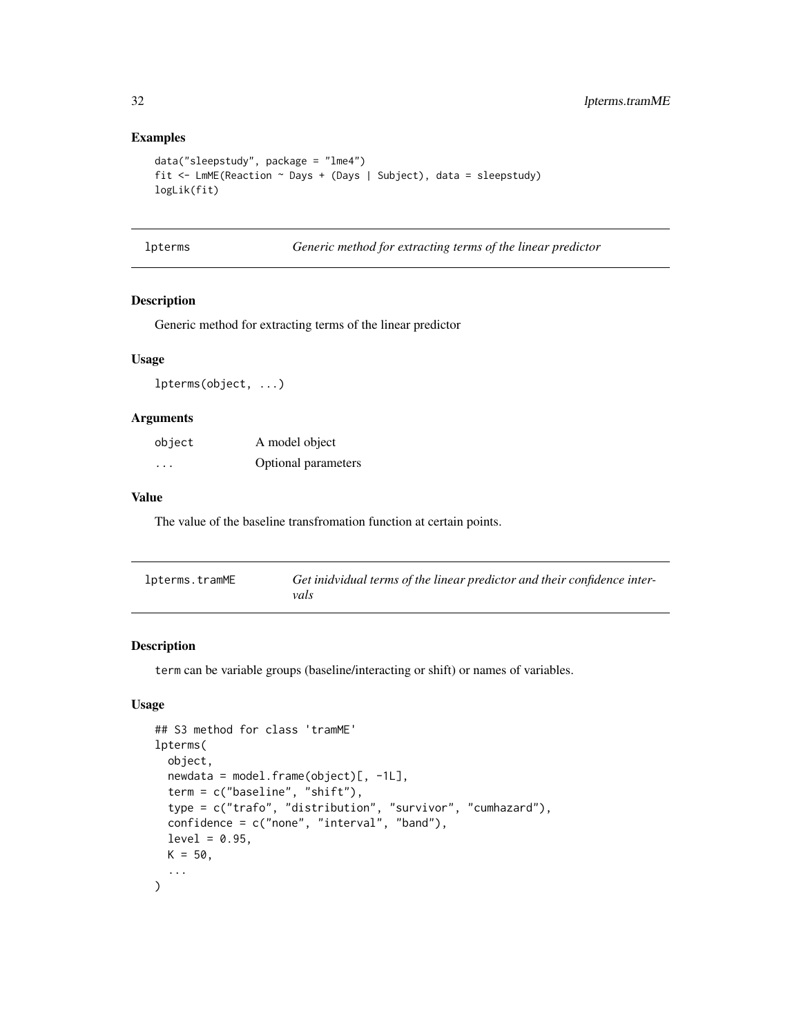## Examples

```
data("sleepstudy", package = "lme4")
fit <- LmME(Reaction ~ Days + (Days | Subject), data = sleepstudy)
logLik(fit)
```
s **Generic method for extracting terms of the linear predictor** 

#### Description

Generic method for extracting terms of the linear predictor

#### Usage

lpterms(object, ...)

#### Arguments

| object | A model object      |
|--------|---------------------|
| .      | Optional parameters |

#### Value

The value of the baseline transfromation function at certain points.

| lpterms.tramME | Get inidvidual terms of the linear predictor and their confidence inter- |
|----------------|--------------------------------------------------------------------------|
|                | vals                                                                     |

## Description

term can be variable groups (baseline/interacting or shift) or names of variables.

```
## S3 method for class 'tramME'
lpterms(
 object,
  newdata = model-frame(object)[, -1L],term = c("baseline", "shift"),
  type = c("trafo", "distribution", "survivor", "cumhazard"),
  confidence = c("none", "interval", "band"),
  level = 0.95,K = 50,
  ...
\mathcal{L}
```
<span id="page-31-0"></span>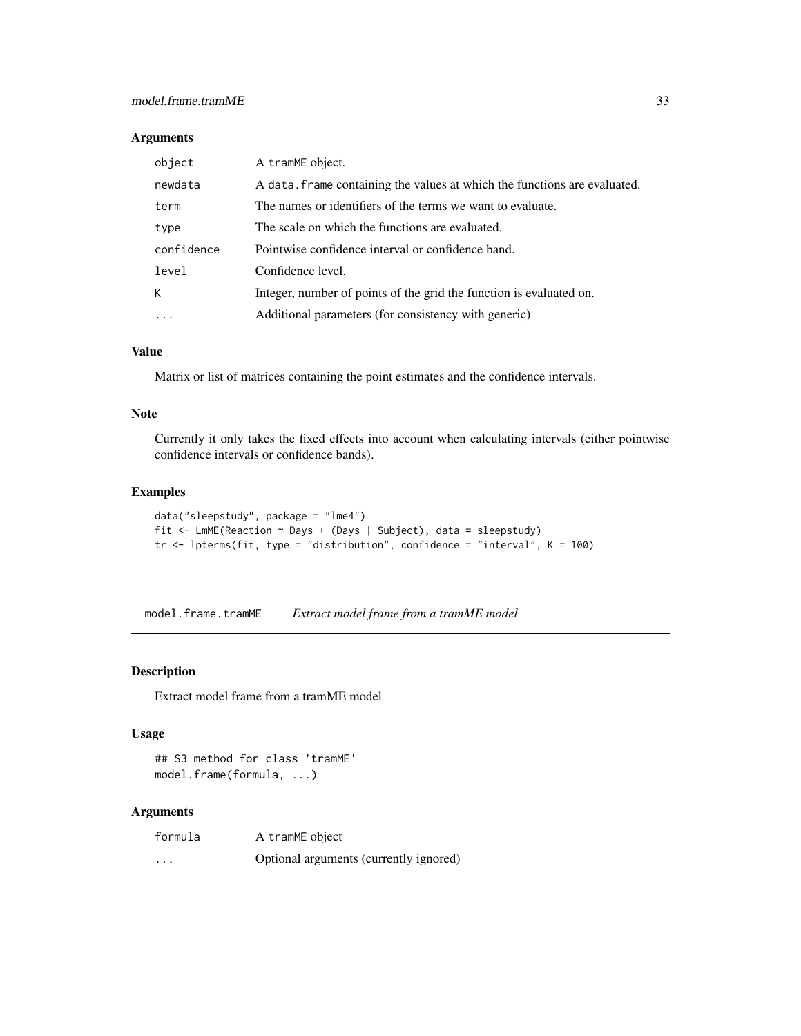#### <span id="page-32-0"></span>Arguments

| object     | A tramME object.                                                          |
|------------|---------------------------------------------------------------------------|
| newdata    | A data. Frame containing the values at which the functions are evaluated. |
| term       | The names or identifiers of the terms we want to evaluate.                |
| type       | The scale on which the functions are evaluated.                           |
| confidence | Pointwise confidence interval or confidence band.                         |
| level      | Confidence level.                                                         |
| K          | Integer, number of points of the grid the function is evaluated on.       |
| $\cdot$    | Additional parameters (for consistency with generic)                      |

## Value

Matrix or list of matrices containing the point estimates and the confidence intervals.

#### Note

Currently it only takes the fixed effects into account when calculating intervals (either pointwise confidence intervals or confidence bands).

#### Examples

```
data("sleepstudy", package = "lme4")
fit <- LmME(Reaction ~ Days + (Days | Subject), data = sleepstudy)
tr \le 1pterms(fit, type = "distribution", confidence = "interval", K = 100)
```
model.frame.tramME *Extract model frame from a tramME model*

#### Description

Extract model frame from a tramME model

#### Usage

```
## S3 method for class 'tramME'
model.frame(formula, ...)
```

| formula | A tramME object                        |
|---------|----------------------------------------|
| $\cdot$ | Optional arguments (currently ignored) |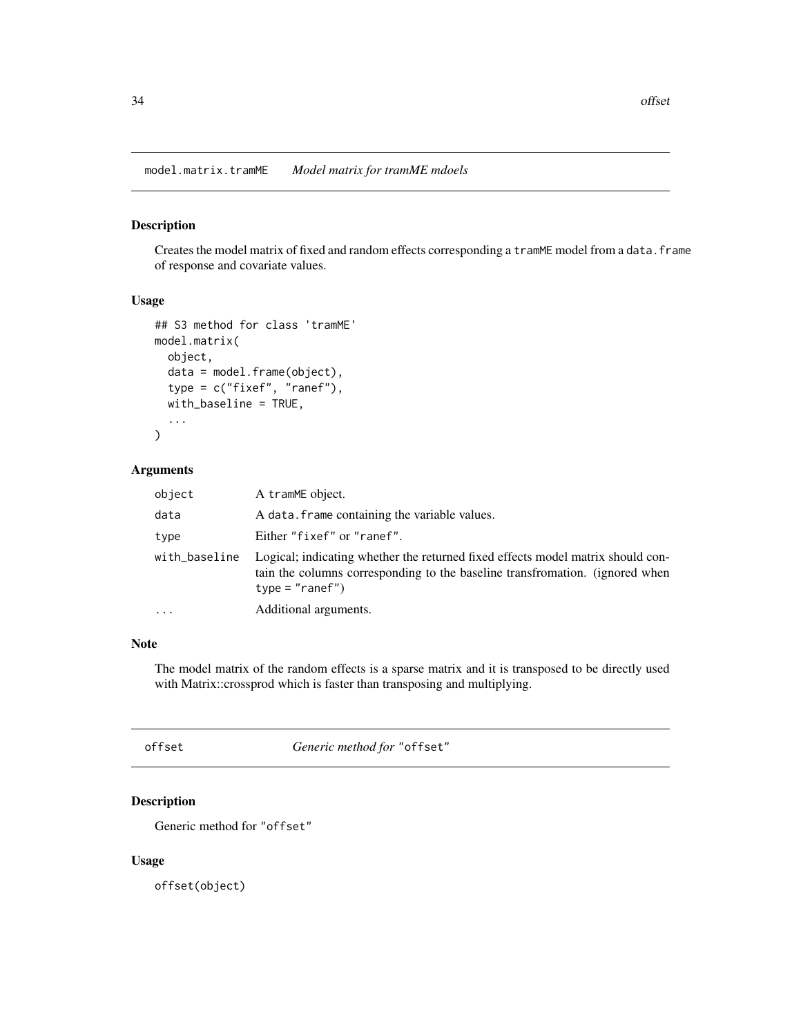<span id="page-33-0"></span>model.matrix.tramME *Model matrix for tramME mdoels*

## Description

Creates the model matrix of fixed and random effects corresponding a tramME model from a data.frame of response and covariate values.

## Usage

```
## S3 method for class 'tramME'
model.matrix(
 object,
  data = model.frame(object),
  type = c("fixef", "ranef"),
 with_baseline = TRUE,
  ...
\mathcal{L}
```
# Arguments

| object        | A tramME object.                                                                                                                                                                     |
|---------------|--------------------------------------------------------------------------------------------------------------------------------------------------------------------------------------|
| data          | A data. frame containing the variable values.                                                                                                                                        |
| type          | Either "fixef" or "ranef".                                                                                                                                                           |
| with_baseline | Logical; indicating whether the returned fixed effects model matrix should con-<br>tain the columns corresponding to the baseline transfromation. (ignored when<br>$type = "ranef")$ |
| .             | Additional arguments.                                                                                                                                                                |

# Note

The model matrix of the random effects is a sparse matrix and it is transposed to be directly used with Matrix::crossprod which is faster than transposing and multiplying.

<span id="page-33-1"></span>offset *Generic method for* "offset"

## Description

Generic method for "offset"

#### Usage

offset(object)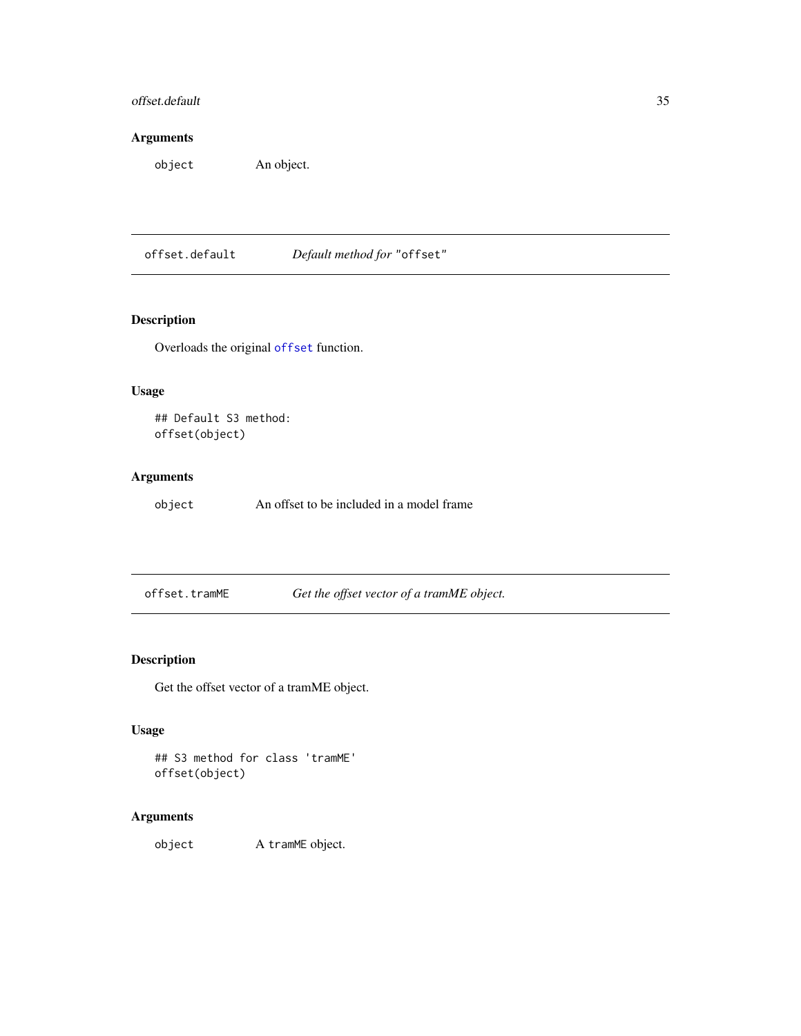# <span id="page-34-0"></span>offset.default 35

# Arguments

object An object.

offset.default *Default method for* "offset"

## Description

Overloads the original [offset](#page-33-1) function.

## Usage

## Default S3 method: offset(object)

## Arguments

object An offset to be included in a model frame

offset.tramME *Get the offset vector of a tramME object.*

## Description

Get the offset vector of a tramME object.

## Usage

```
## S3 method for class 'tramME'
offset(object)
```
## Arguments

object A tramME object.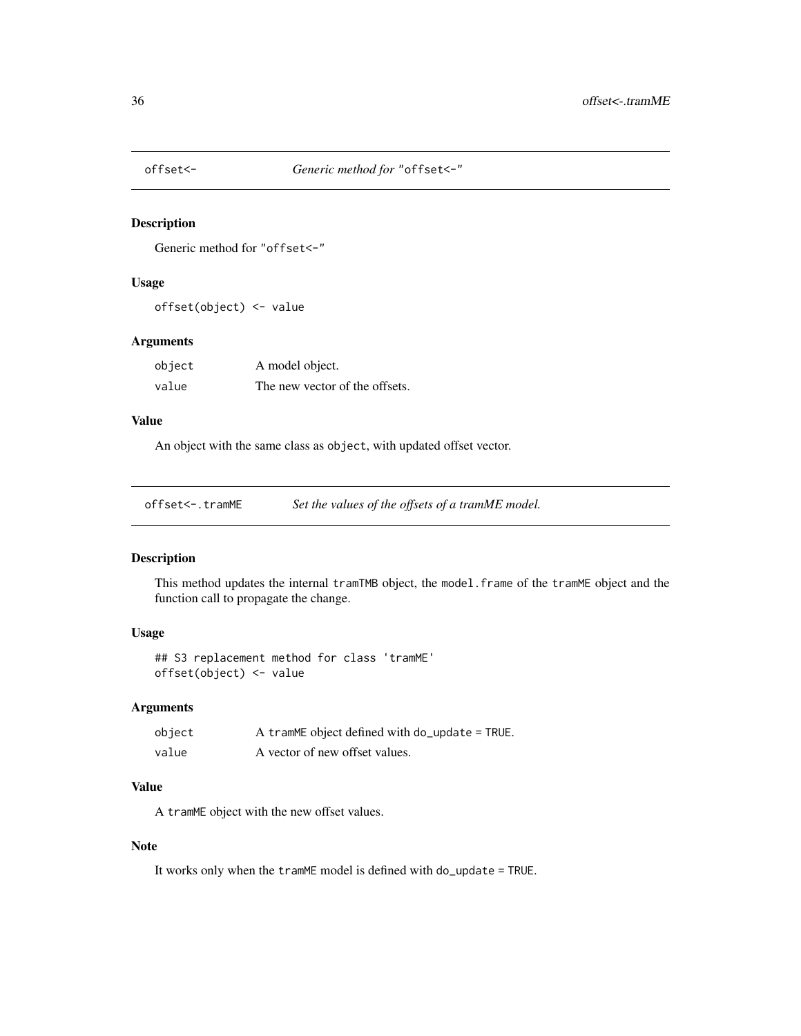<span id="page-35-0"></span>

Generic method for "offset<-"

#### Usage

offset(object) <- value

## Arguments

| object | A model object.                |
|--------|--------------------------------|
| value  | The new vector of the offsets. |

#### Value

An object with the same class as object, with updated offset vector.

offset<-.tramME *Set the values of the offsets of a tramME model.*

## Description

This method updates the internal tramTMB object, the model.frame of the tramME object and the function call to propagate the change.

## Usage

## S3 replacement method for class 'tramME' offset(object) <- value

#### Arguments

| object | A tramME object defined with do_update = TRUE. |
|--------|------------------------------------------------|
| value  | A vector of new offset values.                 |

#### Value

A tramME object with the new offset values.

#### Note

It works only when the tramME model is defined with do\_update = TRUE.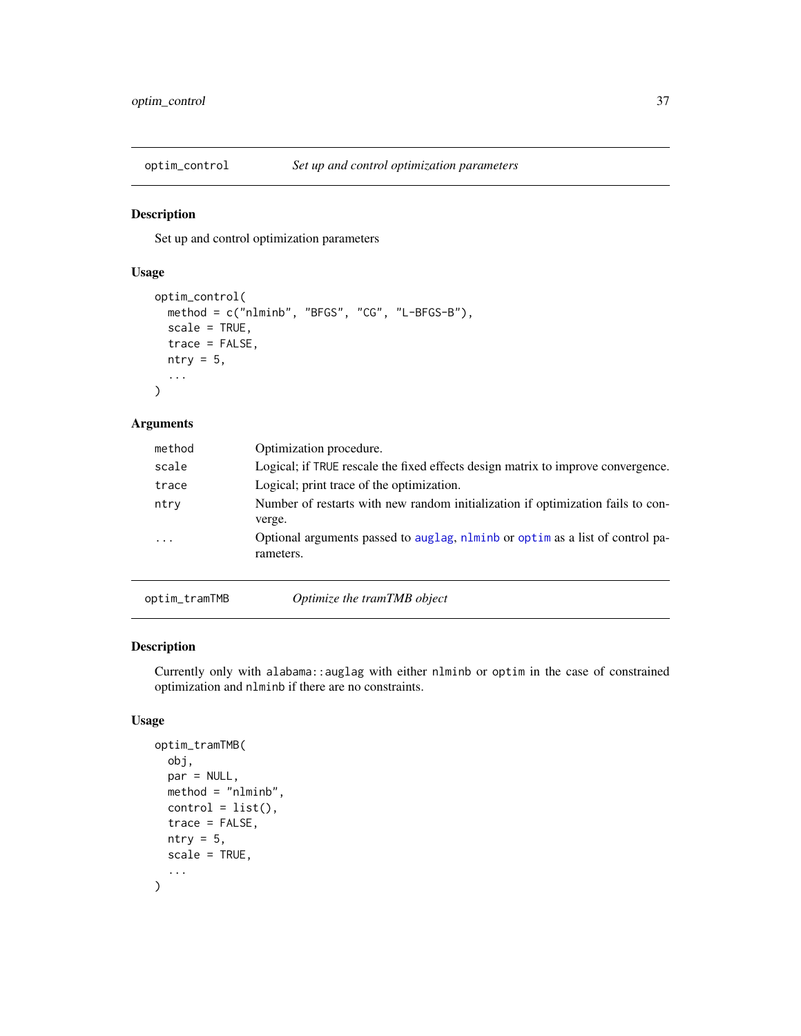<span id="page-36-0"></span>

Set up and control optimization parameters

## Usage

```
optim_control(
  method = c("nlminb", "BFGS", "CG", "L-BFGS-B"),
  scale = TRUE,
  trace = FALSE,
  ntry = 5,
  ...
\mathcal{L}
```
## Arguments

| method   | Optimization procedure.                                                                    |
|----------|--------------------------------------------------------------------------------------------|
| scale    | Logical; if TRUE rescale the fixed effects design matrix to improve convergence.           |
| trace    | Logical; print trace of the optimization.                                                  |
| ntry     | Number of restarts with new random initialization if optimization fails to con-<br>verge.  |
| $\cdots$ | Optional arguments passed to auglag, nlminb or optim as a list of control pa-<br>rameters. |
|          |                                                                                            |

optim\_tramTMB *Optimize the tramTMB object*

# Description

Currently only with alabama::auglag with either nlminb or optim in the case of constrained optimization and nlminb if there are no constraints.

```
optim_tramTMB(
  obj,
  par = NULL,
  method = "nlminb",
  control = list(),trace = FALSE,
  ntry = 5,
  scale = TRUE,
  ...
\mathcal{L}
```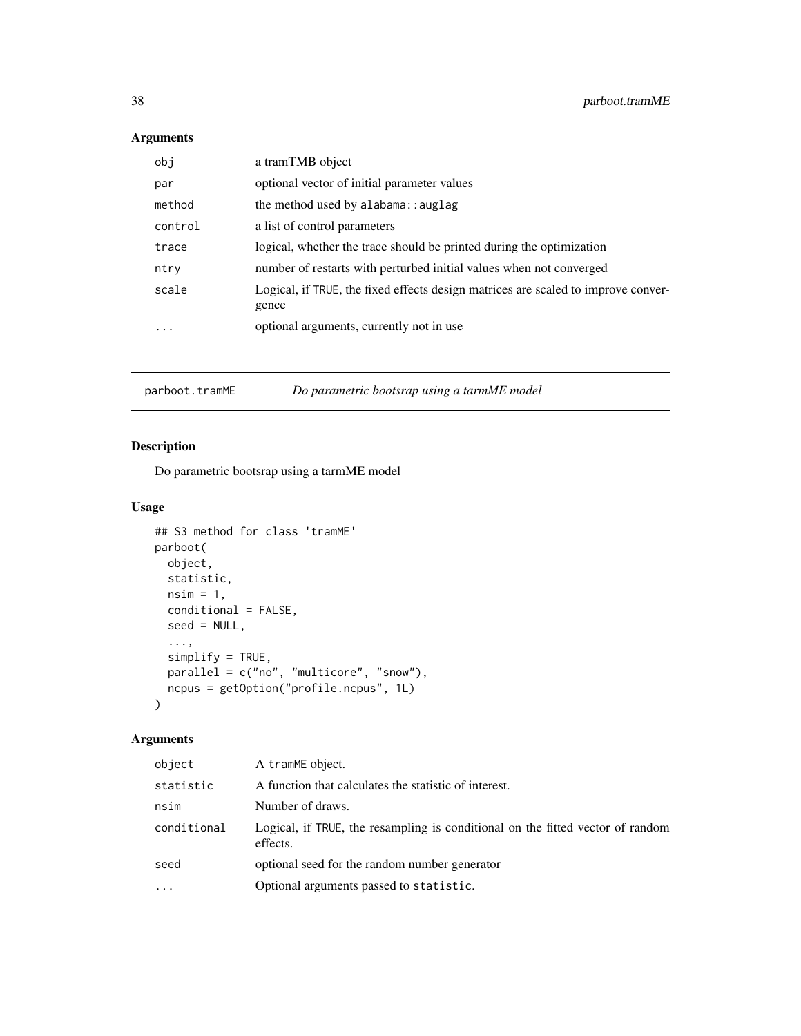# <span id="page-37-0"></span>Arguments

| obj      | a tramTMB object                                                                           |
|----------|--------------------------------------------------------------------------------------------|
| par      | optional vector of initial parameter values                                                |
| method   | the method used by alabama: : auglag                                                       |
| control  | a list of control parameters                                                               |
| trace    | logical, whether the trace should be printed during the optimization                       |
| ntry     | number of restarts with perturbed initial values when not converged                        |
| scale    | Logical, if TRUE, the fixed effects design matrices are scaled to improve conver-<br>gence |
| $\cdots$ | optional arguments, currently not in use                                                   |

# parboot.tramME *Do parametric bootsrap using a tarmME model*

## Description

Do parametric bootsrap using a tarmME model

#### Usage

```
## S3 method for class 'tramME'
parboot(
 object,
 statistic,
 nsim = 1,
 conditional = FALSE,
  seed = NULL,
  ...,
 simplify = TRUE,
 parallel = c("no", "multicore", "snow"),
 ncpus = getOption("profile.ncpus", 1L)
)
```

| object      | A tramME object.                                                                           |
|-------------|--------------------------------------------------------------------------------------------|
| statistic   | A function that calculates the statistic of interest.                                      |
| nsim        | Number of draws.                                                                           |
| conditional | Logical, if TRUE, the resampling is conditional on the fitted vector of random<br>effects. |
| seed        | optional seed for the random number generator                                              |
| $\cdots$    | Optional arguments passed to statistic.                                                    |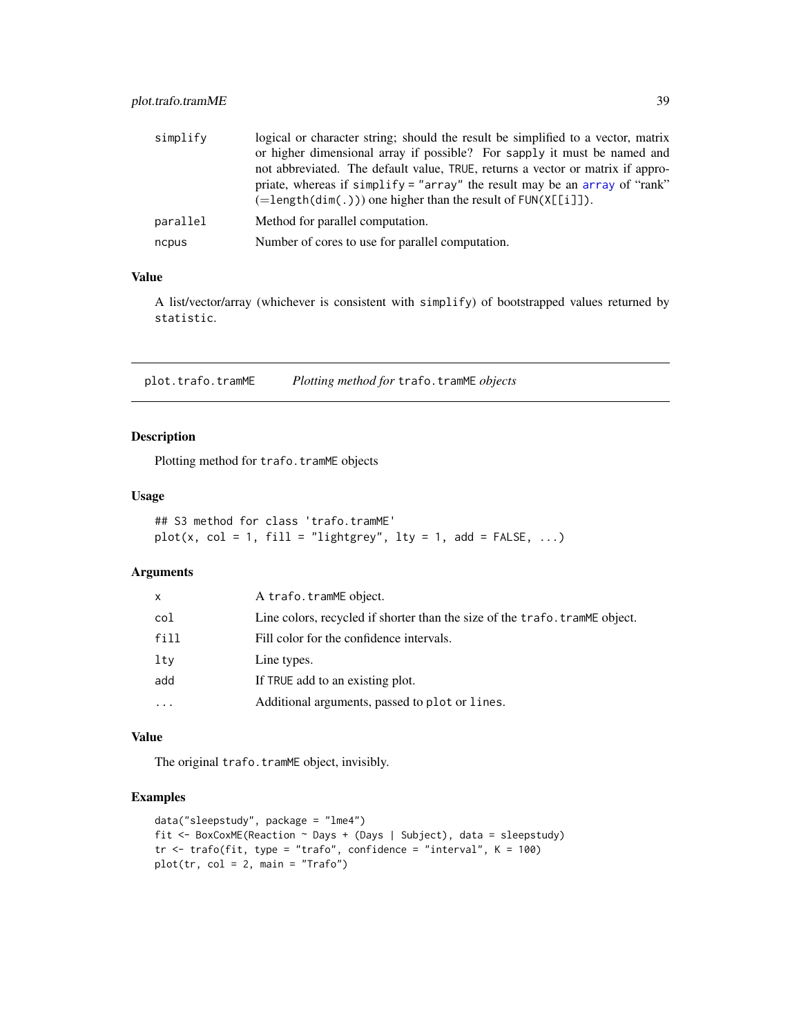<span id="page-38-0"></span>

| simplify | logical or character string; should the result be simplified to a vector, matrix<br>or higher dimensional array if possible? For sapply it must be named and<br>not abbreviated. The default value, TRUE, returns a vector or matrix if appro-<br>priate, whereas if simplify = "array" the result may be an array of "rank"<br>$(=\text{length}(dim(.)))$ one higher than the result of $FUN(X[[i]])$ . |
|----------|----------------------------------------------------------------------------------------------------------------------------------------------------------------------------------------------------------------------------------------------------------------------------------------------------------------------------------------------------------------------------------------------------------|
| parallel | Method for parallel computation.                                                                                                                                                                                                                                                                                                                                                                         |
| ncpus    | Number of cores to use for parallel computation.                                                                                                                                                                                                                                                                                                                                                         |

#### Value

A list/vector/array (whichever is consistent with simplify) of bootstrapped values returned by statistic.

plot.trafo.tramME *Plotting method for* trafo.tramME *objects*

## Description

Plotting method for trafo.tramME objects

#### Usage

```
## S3 method for class 'trafo.tramME'
plot(x, col = 1, fill = "lightgrey", lty = 1, add = FALSE, \dots)
```
## Arguments

| x         | A trafo.tramME object.                                                       |
|-----------|------------------------------------------------------------------------------|
| col       | Line colors, recycled if shorter than the size of the trafo. tram ME object. |
| fill      | Fill color for the confidence intervals.                                     |
| lty       | Line types.                                                                  |
| add       | If TRUE add to an existing plot.                                             |
| $\ddotsc$ | Additional arguments, passed to plot or lines.                               |

#### Value

The original trafo.tramME object, invisibly.

```
data("sleepstudy", package = "lme4")
fit <- BoxCoxME(Reaction ~ Days + (Days | Subject), data = sleepstudy)
tr \le trafo(fit, type = "trafo", confidence = "interval", K = 100)
plot(tr, col = 2, main = "Trafo")
```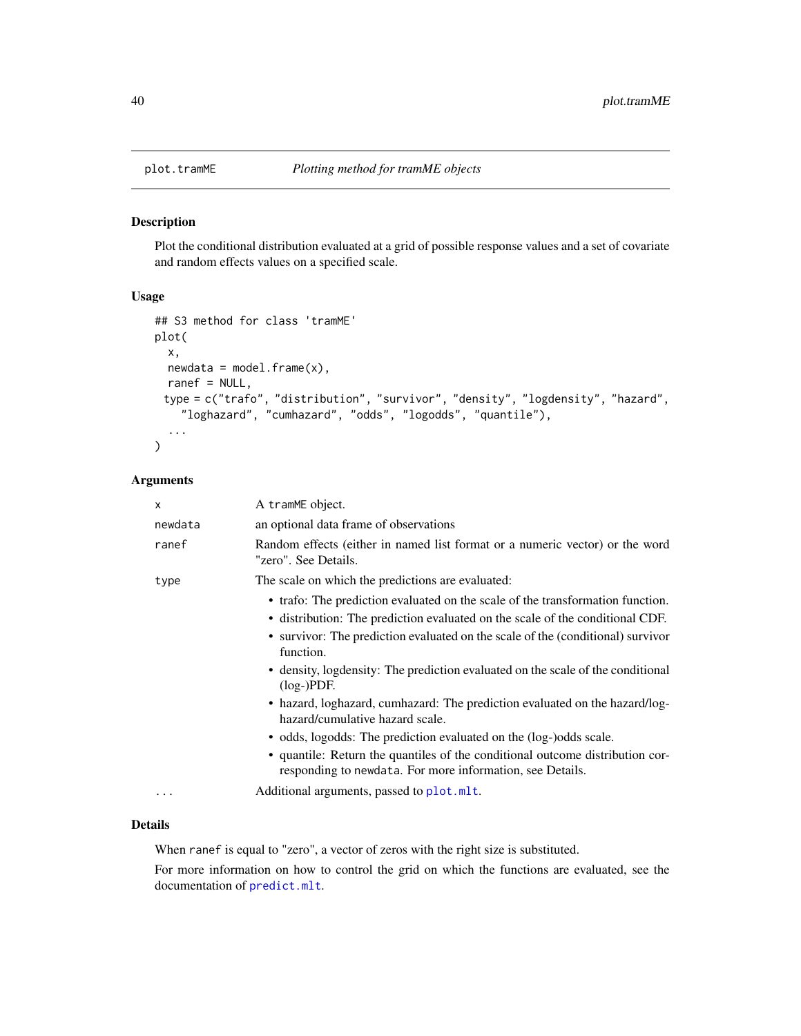<span id="page-39-0"></span>

Plot the conditional distribution evaluated at a grid of possible response values and a set of covariate and random effects values on a specified scale.

#### Usage

```
## S3 method for class 'tramME'
plot(
 x,
 newdata = model-frame(x),ranef = NULL,
 type = c("trafo", "distribution", "survivor", "density", "logdensity", "hazard",
    "loghazard", "cumhazard", "odds", "logodds", "quantile"),
  ...
)
```
#### Arguments

| X       | A tramME object.                                                                                                                                                                                                                                                                                                                                                   |
|---------|--------------------------------------------------------------------------------------------------------------------------------------------------------------------------------------------------------------------------------------------------------------------------------------------------------------------------------------------------------------------|
| newdata | an optional data frame of observations                                                                                                                                                                                                                                                                                                                             |
| ranef   | Random effects (either in named list format or a numeric vector) or the word<br>"zero". See Details.                                                                                                                                                                                                                                                               |
| type    | The scale on which the predictions are evaluated:                                                                                                                                                                                                                                                                                                                  |
|         | • trafo: The prediction evaluated on the scale of the transformation function.<br>• distribution: The prediction evaluated on the scale of the conditional CDF.<br>• survivor: The prediction evaluated on the scale of the (conditional) survivor<br>function.<br>• density, logdensity: The prediction evaluated on the scale of the conditional<br>$(log-)PDF.$ |
|         | • hazard, loghazard, cumhazard: The prediction evaluated on the hazard/log-<br>hazard/cumulative hazard scale.                                                                                                                                                                                                                                                     |
|         | • odds, logodds: The prediction evaluated on the (log-)odds scale.                                                                                                                                                                                                                                                                                                 |
|         | • quantile: Return the quantiles of the conditional outcome distribution cor-<br>responding to newdata. For more information, see Details.                                                                                                                                                                                                                         |
| .       | Additional arguments, passed to plot.mlt.                                                                                                                                                                                                                                                                                                                          |

#### Details

When ranef is equal to "zero", a vector of zeros with the right size is substituted.

For more information on how to control the grid on which the functions are evaluated, see the documentation of [predict.mlt](#page-0-0).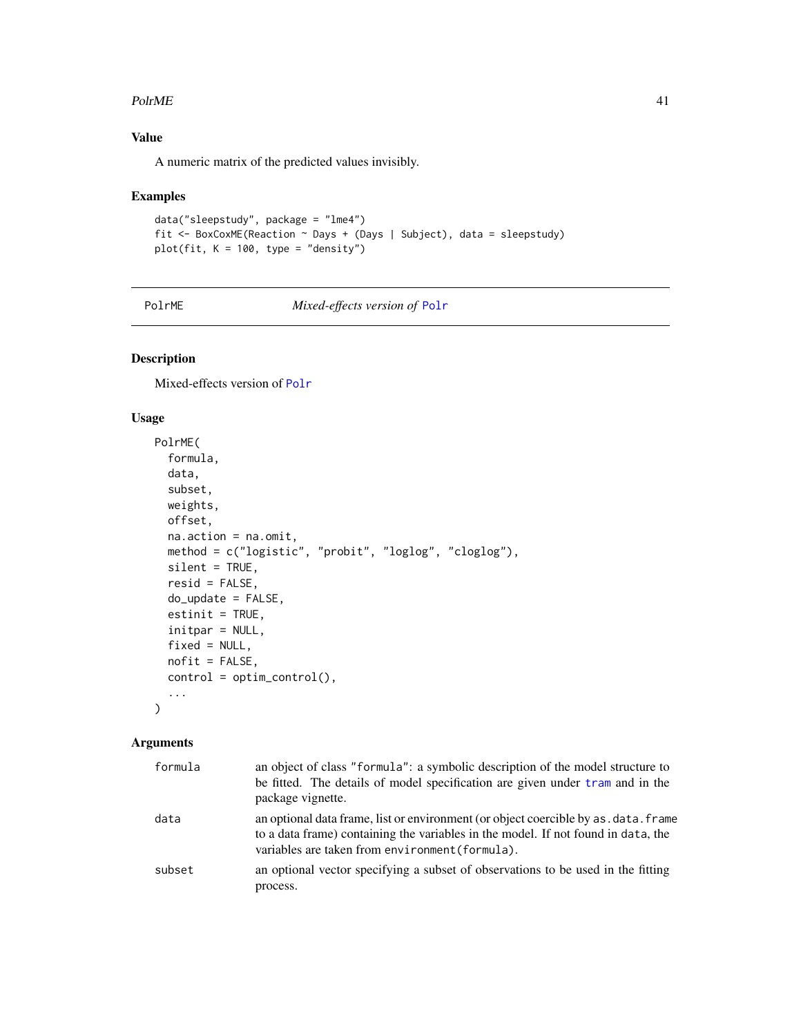#### <span id="page-40-0"></span> $PolrME$  41

# Value

A numeric matrix of the predicted values invisibly.

#### Examples

```
data("sleepstudy", package = "lme4")
fit <- BoxCoxME(Reaction ~ Days + (Days | Subject), data = sleepstudy)
plot(fit, K = 100, type = "density")
```
PolrME *Mixed-effects version of* [Polr](#page-0-0)

## Description

Mixed-effects version of [Polr](#page-0-0)

## Usage

```
PolrME(
  formula,
  data,
  subset,
 weights,
 offset,
 na.action = na.omit,
 method = c("logistic", "probit", "loglog", "cloglog"),
 silent = TRUE,
  resid = FALSE,
 do_update = FALSE,
  estinit = TRUE,
  initpar = NULL,
 fixed = NULL,
 nofit = FALSE,
 control = optim\_control(),...
\mathcal{L}
```

| formula | an object of class "formula": a symbolic description of the model structure to<br>be fitted. The details of model specification are given under tram and in the<br>package vignette.                                         |
|---------|------------------------------------------------------------------------------------------------------------------------------------------------------------------------------------------------------------------------------|
| data    | an optional data frame, list or environment (or object coercible by as . data. frame<br>to a data frame) containing the variables in the model. If not found in data, the<br>variables are taken from environment (formula). |
| subset  | an optional vector specifying a subset of observations to be used in the fitting<br>process.                                                                                                                                 |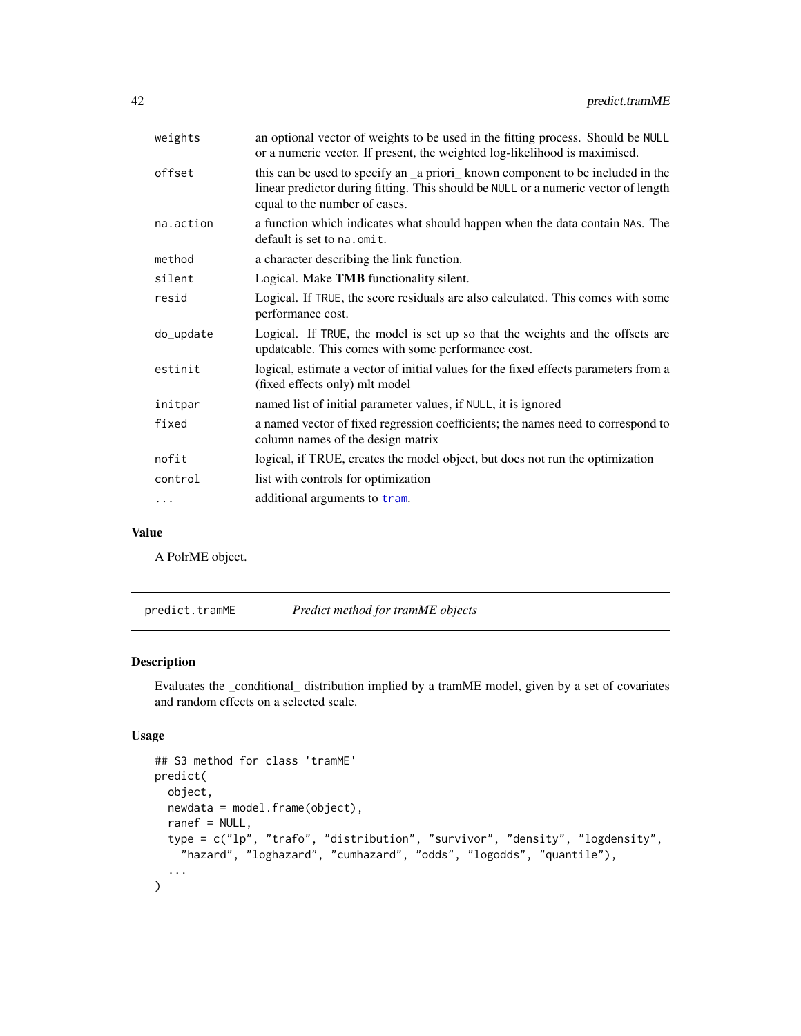<span id="page-41-0"></span>

| weights   | an optional vector of weights to be used in the fitting process. Should be NULL<br>or a numeric vector. If present, the weighted log-likelihood is maximised.                                          |
|-----------|--------------------------------------------------------------------------------------------------------------------------------------------------------------------------------------------------------|
| offset    | this can be used to specify an _a priori_ known component to be included in the<br>linear predictor during fitting. This should be NULL or a numeric vector of length<br>equal to the number of cases. |
| na.action | a function which indicates what should happen when the data contain NAs. The<br>default is set to na. omit.                                                                                            |
| method    | a character describing the link function.                                                                                                                                                              |
| silent    | Logical. Make <b>TMB</b> functionality silent.                                                                                                                                                         |
| resid     | Logical. If TRUE, the score residuals are also calculated. This comes with some<br>performance cost.                                                                                                   |
| do_update | Logical. If TRUE, the model is set up so that the weights and the offsets are<br>updateable. This comes with some performance cost.                                                                    |
| estinit   | logical, estimate a vector of initial values for the fixed effects parameters from a<br>(fixed effects only) mlt model                                                                                 |
| initpar   | named list of initial parameter values, if NULL, it is ignored                                                                                                                                         |
| fixed     | a named vector of fixed regression coefficients; the names need to correspond to<br>column names of the design matrix                                                                                  |
| nofit     | logical, if TRUE, creates the model object, but does not run the optimization                                                                                                                          |
| control   | list with controls for optimization                                                                                                                                                                    |
| $\ddots$  | additional arguments to tram.                                                                                                                                                                          |
|           |                                                                                                                                                                                                        |

#### Value

A PolrME object.

predict.tramME *Predict method for tramME objects*

## Description

Evaluates the \_conditional\_ distribution implied by a tramME model, given by a set of covariates and random effects on a selected scale.

```
## S3 method for class 'tramME'
predict(
 object,
 newdata = model.frame(object),
 ranef = NULL,
  type = c("lp", "trafo", "distribution", "survivor", "density", "logdensity",
    "hazard", "loghazard", "cumhazard", "odds", "logodds", "quantile"),
  ...
)
```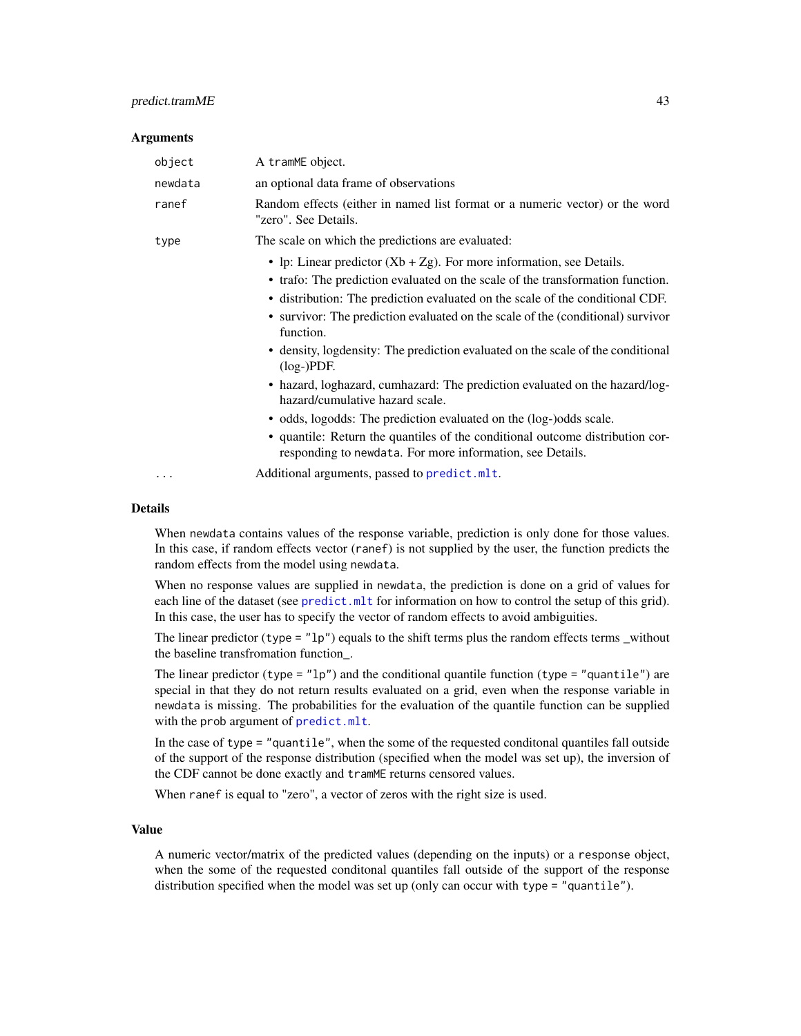#### <span id="page-42-0"></span>predict.tramME 43

#### **Arguments**

| object   | A tramME object.                                                                                                                                                                                                                                                                                                                                                                                                                                                                                                                                                                                                                                                                                                                                                                                                                    |
|----------|-------------------------------------------------------------------------------------------------------------------------------------------------------------------------------------------------------------------------------------------------------------------------------------------------------------------------------------------------------------------------------------------------------------------------------------------------------------------------------------------------------------------------------------------------------------------------------------------------------------------------------------------------------------------------------------------------------------------------------------------------------------------------------------------------------------------------------------|
| newdata  | an optional data frame of observations                                                                                                                                                                                                                                                                                                                                                                                                                                                                                                                                                                                                                                                                                                                                                                                              |
| ranef    | Random effects (either in named list format or a numeric vector) or the word<br>"zero". See Details.                                                                                                                                                                                                                                                                                                                                                                                                                                                                                                                                                                                                                                                                                                                                |
| type     | The scale on which the predictions are evaluated:                                                                                                                                                                                                                                                                                                                                                                                                                                                                                                                                                                                                                                                                                                                                                                                   |
| $\cdots$ | • lp: Linear predictor $(Xb + Zg)$ . For more information, see Details.<br>• trafo: The prediction evaluated on the scale of the transformation function.<br>• distribution: The prediction evaluated on the scale of the conditional CDF.<br>• survivor: The prediction evaluated on the scale of the (conditional) survivor<br>function.<br>• density, logdensity: The prediction evaluated on the scale of the conditional<br>$(log-)PDF.$<br>• hazard, loghazard, cumhazard: The prediction evaluated on the hazard/log-<br>hazard/cumulative hazard scale.<br>• odds, logodds: The prediction evaluated on the (log-)odds scale.<br>• quantile: Return the quantiles of the conditional outcome distribution cor-<br>responding to newdata. For more information, see Details.<br>Additional arguments, passed to predict.mlt. |
|          |                                                                                                                                                                                                                                                                                                                                                                                                                                                                                                                                                                                                                                                                                                                                                                                                                                     |

#### **Details**

When newdata contains values of the response variable, prediction is only done for those values. In this case, if random effects vector (ranef) is not supplied by the user, the function predicts the random effects from the model using newdata.

When no response values are supplied in newdata, the prediction is done on a grid of values for each line of the dataset (see [predict.mlt](#page-0-0) for information on how to control the setup of this grid). In this case, the user has to specify the vector of random effects to avoid ambiguities.

The linear predictor (type =  $"lp"$ ) equals to the shift terms plus the random effects terms \_without the baseline transfromation function\_.

The linear predictor (type =  $"lp"$ ) and the conditional quantile function (type = "quantile") are special in that they do not return results evaluated on a grid, even when the response variable in newdata is missing. The probabilities for the evaluation of the quantile function can be supplied with the prob argument of [predict.mlt](#page-0-0).

In the case of type = "quantile", when the some of the requested conditonal quantiles fall outside of the support of the response distribution (specified when the model was set up), the inversion of the CDF cannot be done exactly and tramME returns censored values.

When ranef is equal to "zero", a vector of zeros with the right size is used.

#### Value

A numeric vector/matrix of the predicted values (depending on the inputs) or a response object, when the some of the requested conditonal quantiles fall outside of the support of the response distribution specified when the model was set up (only can occur with type = "quantile").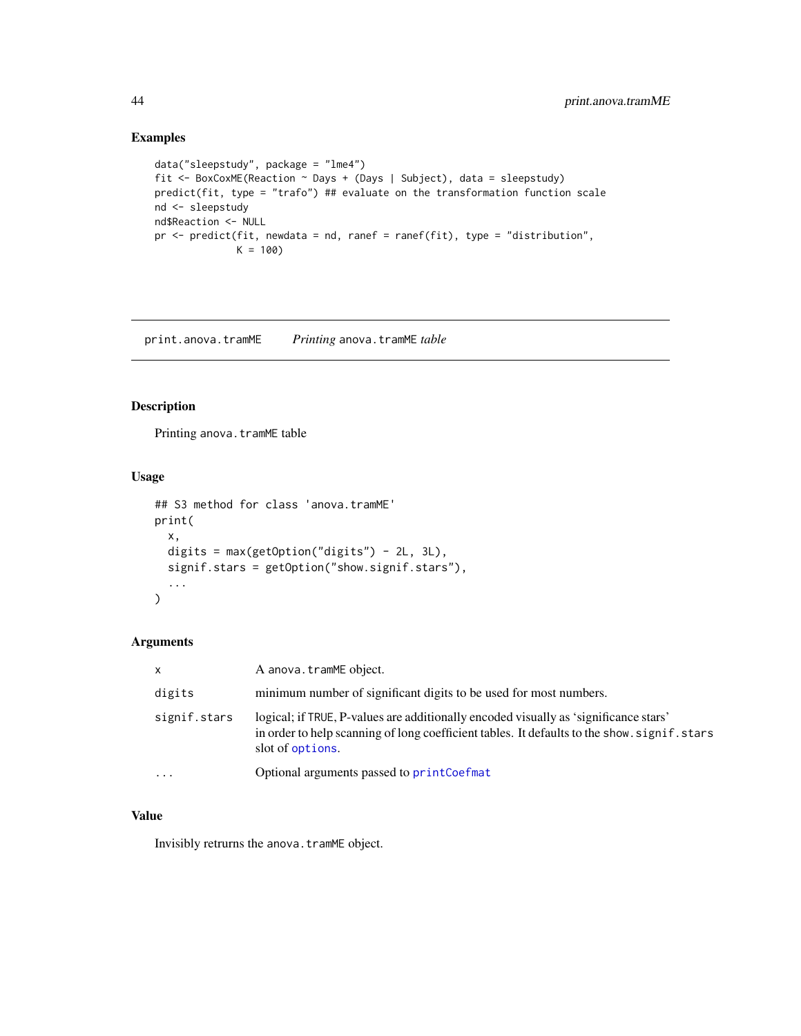#### Examples

```
data("sleepstudy", package = "lme4")
fit <- BoxCoxME(Reaction ~ Days + (Days | Subject), data = sleepstudy)
predict(fit, type = "trafo") ## evaluate on the transformation function scale
nd <- sleepstudy
nd$Reaction <- NULL
pr <- predict(fit, newdata = nd, ranef = ranef(fit), type = "distribution",
             K = 100
```
print.anova.tramME *Printing* anova.tramME *table*

#### Description

Printing anova.tramME table

#### Usage

```
## S3 method for class 'anova.tramME'
print(
 x,
  digits = max(getOption("digits") - 2L, 3L),
  signif.stars = getOption("show.signif.stars"),
  ...
\mathcal{L}
```
## Arguments

| $\mathsf{x}$ | A anova.tramME object.                                                                                                                                                                                   |
|--------------|----------------------------------------------------------------------------------------------------------------------------------------------------------------------------------------------------------|
| digits       | minimum number of significant digits to be used for most numbers.                                                                                                                                        |
| signif.stars | logical; if TRUE, P-values are additionally encoded visually as 'significance stars'<br>in order to help scanning of long coefficient tables. It defaults to the show, signif, stars<br>slot of options. |
| $\ddotsc$    | Optional arguments passed to printCoefmat                                                                                                                                                                |

#### Value

Invisibly retrurns the anova.tramME object.

<span id="page-43-0"></span>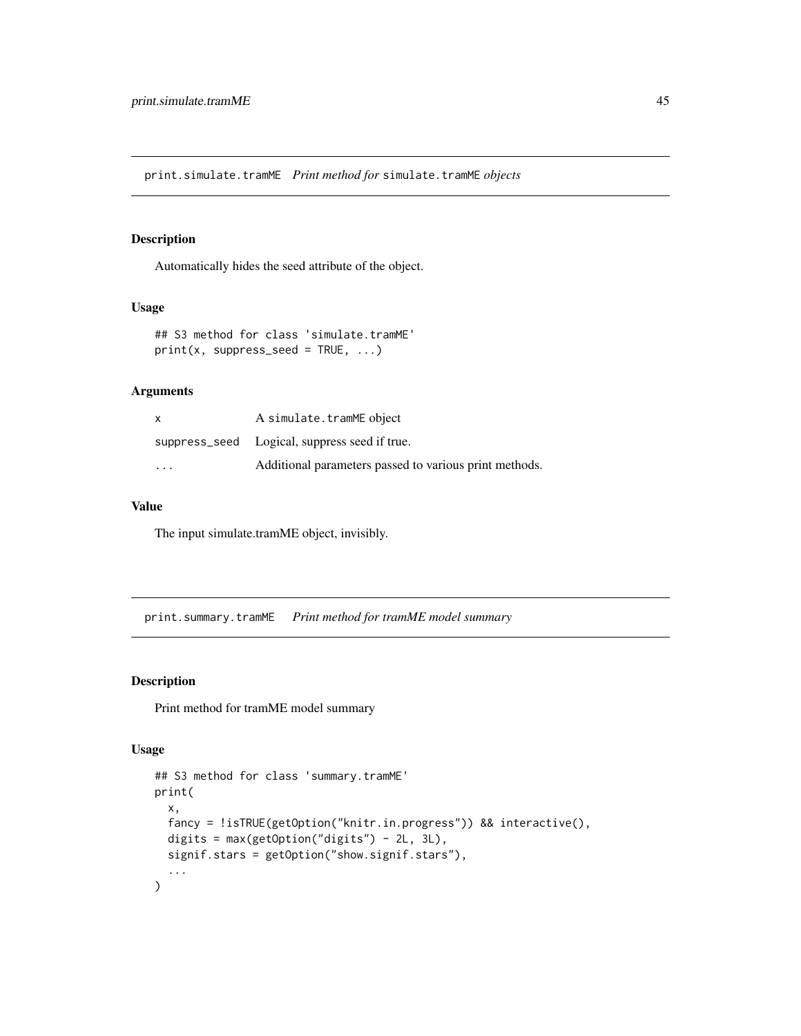<span id="page-44-0"></span>print.simulate.tramME *Print method for* simulate.tramME *objects*

#### Description

Automatically hides the seed attribute of the object.

## Usage

```
## S3 method for class 'simulate.tramME'
print(x, suppress\_seed = TRUE, ...)
```
#### Arguments

| X                       | A simulate.tramME object                               |
|-------------------------|--------------------------------------------------------|
|                         | suppress_seed Logical, suppress seed if true.          |
| $\cdot$ $\cdot$ $\cdot$ | Additional parameters passed to various print methods. |

## Value

The input simulate.tramME object, invisibly.

print.summary.tramME *Print method for tramME model summary*

#### Description

Print method for tramME model summary

```
## S3 method for class 'summary.tramME'
print(
  x,
  fancy = !isTRUE(getOption("knitr.in.progress")) && interactive(),
  digits = max(getOption("digits") - 2L, 3L),
  signif.stars = getOption("show.signif.stars"),
  ...
\mathcal{L}
```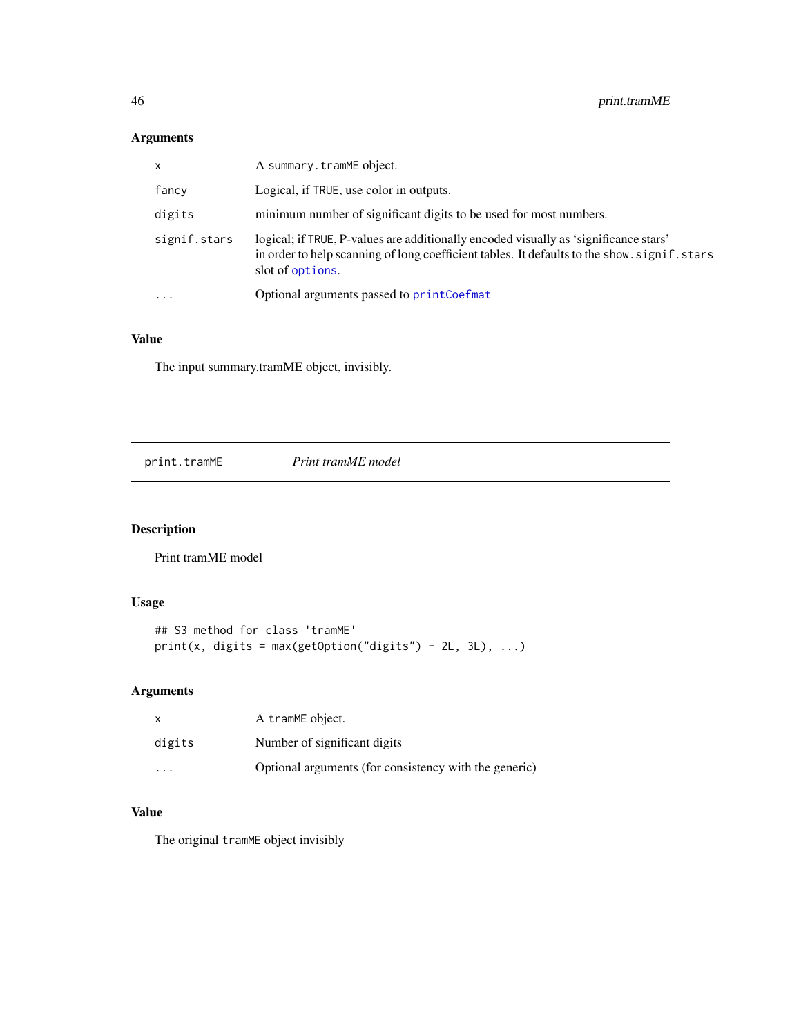# Arguments

| X            | A summary.tramME object.                                                                                                                                                                                 |
|--------------|----------------------------------------------------------------------------------------------------------------------------------------------------------------------------------------------------------|
| fancy        | Logical, if TRUE, use color in outputs.                                                                                                                                                                  |
| digits       | minimum number of significant digits to be used for most numbers.                                                                                                                                        |
| signif.stars | logical; if TRUE, P-values are additionally encoded visually as 'significance stars'<br>in order to help scanning of long coefficient tables. It defaults to the show, signif, stars<br>slot of options. |
| $\ddotsc$    | Optional arguments passed to printCoefmat                                                                                                                                                                |

# Value

The input summary.tramME object, invisibly.

print.tramME *Print tramME model*

## Description

Print tramME model

## Usage

```
## S3 method for class 'tramME'
print(x, digits = max(getOption("digits") - 2L, 3L), ...)
```
# Arguments

| X                    | A tramME object.                                      |
|----------------------|-------------------------------------------------------|
| digits               | Number of significant digits                          |
| $\ddot{\phantom{0}}$ | Optional arguments (for consistency with the generic) |

#### Value

The original tramME object invisibly

<span id="page-45-0"></span>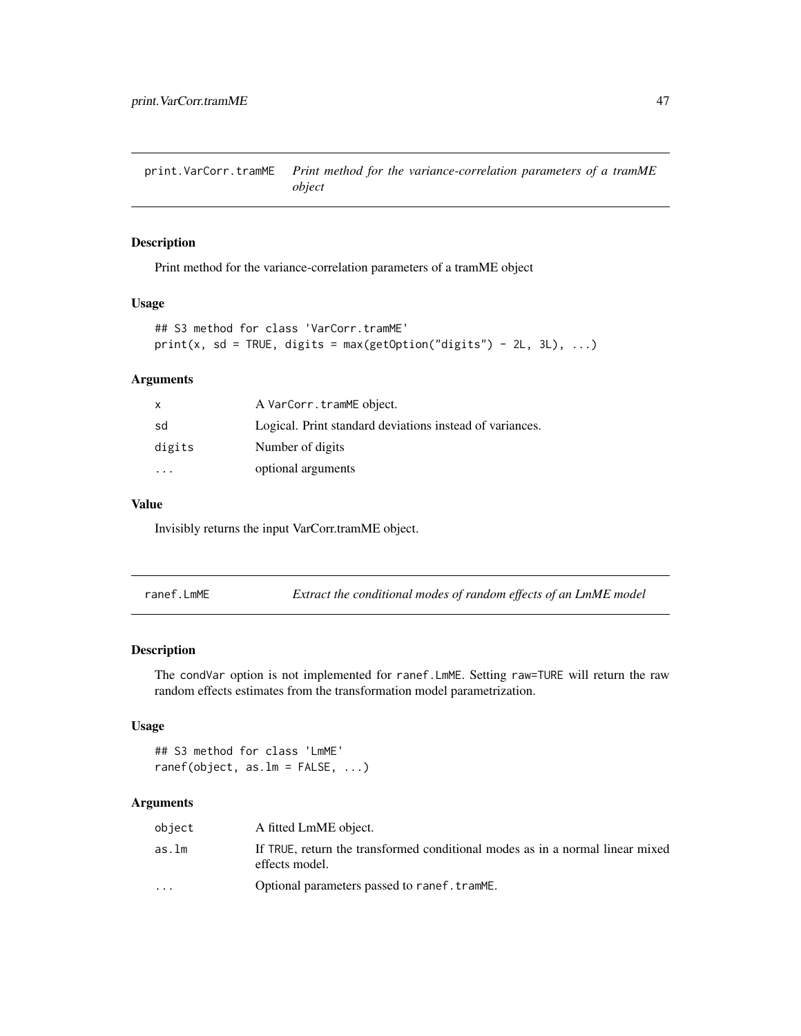<span id="page-46-0"></span>print.VarCorr.tramME *Print method for the variance-correlation parameters of a tramME object*

#### Description

Print method for the variance-correlation parameters of a tramME object

#### Usage

```
## S3 method for class 'VarCorr.tramME'
print(x, sd = TRUE, digits = max(getOption("digits") - 2L, 3L), ...)
```
#### Arguments

| x                       | A VarCorr.tramME object.                                 |
|-------------------------|----------------------------------------------------------|
| sd                      | Logical. Print standard deviations instead of variances. |
| digits                  | Number of digits                                         |
| $\cdot$ $\cdot$ $\cdot$ | optional arguments                                       |

#### Value

Invisibly returns the input VarCorr.tramME object.

| ranef.LmME | Extract the conditional modes of random effects of an LmME model |
|------------|------------------------------------------------------------------|
|------------|------------------------------------------------------------------|

#### Description

The condVar option is not implemented for ranef.LmME. Setting raw=TURE will return the raw random effects estimates from the transformation model parametrization.

## Usage

## S3 method for class 'LmME' ranef(object, as.lm = FALSE, ...)

| object                  | A fitted LmME object.                                                                           |
|-------------------------|-------------------------------------------------------------------------------------------------|
| as.lm                   | If TRUE, return the transformed conditional modes as in a normal linear mixed<br>effects model. |
| $\cdot$ $\cdot$ $\cdot$ | Optional parameters passed to ranef.tramME.                                                     |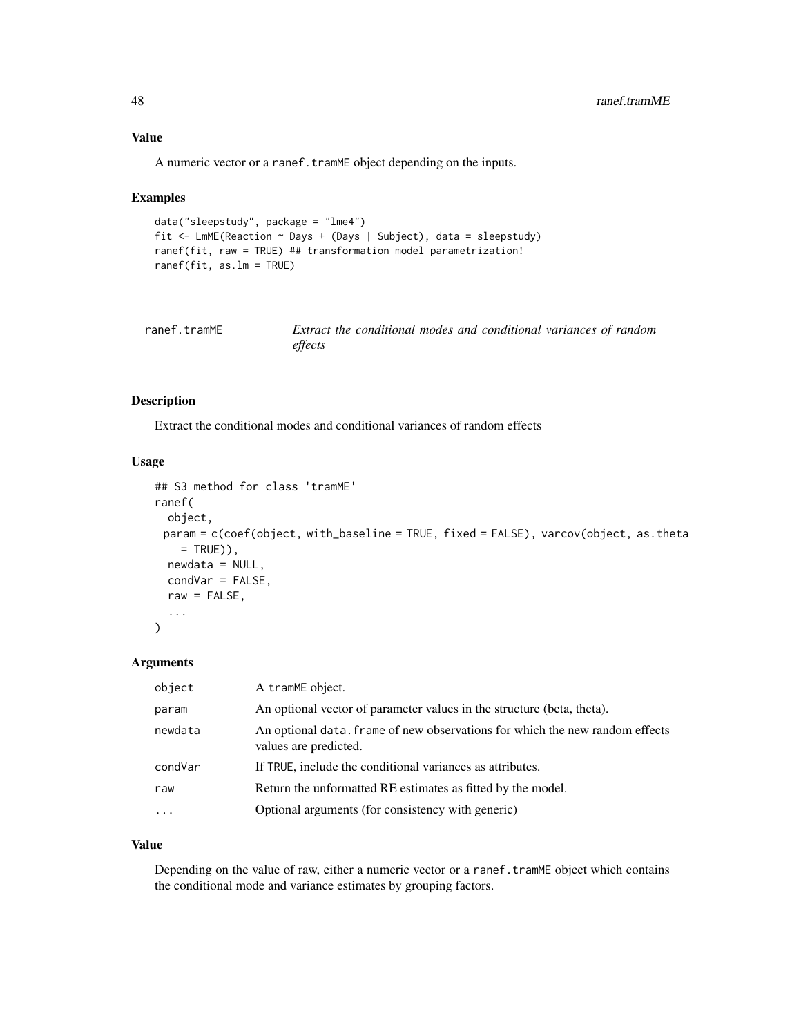#### <span id="page-47-0"></span>Value

A numeric vector or a ranef.tramME object depending on the inputs.

#### Examples

```
data("sleepstudy", package = "lme4")
fit <- LmME(Reaction ~ Days + (Days | Subject), data = sleepstudy)
ranef(fit, raw = TRUE) ## transformation model parametrization!
ranef(fit, as.lm = TRUE)
```

| ranef.tramME | Extract the conditional modes and conditional variances of random |
|--------------|-------------------------------------------------------------------|
|              | effects                                                           |

#### Description

Extract the conditional modes and conditional variances of random effects

#### Usage

```
## S3 method for class 'tramME'
ranef(
  object,
 param = c(coef(object, with_baseline = TRUE, fixed = FALSE), varcov(object, as.theta
   = TRUE)),
 newdata = NULL,
  condVar = FALSE,
  raw = FALSE,...
)
```
#### Arguments

| object                  | A tramME object.                                                                                      |
|-------------------------|-------------------------------------------------------------------------------------------------------|
| param                   | An optional vector of parameter values in the structure (beta, theta).                                |
| newdata                 | An optional data. Frame of new observations for which the new random effects<br>values are predicted. |
| condVar                 | If TRUE, include the conditional variances as attributes.                                             |
| raw                     | Return the unformatted RE estimates as fitted by the model.                                           |
| $\cdot$ $\cdot$ $\cdot$ | Optional arguments (for consistency with generic)                                                     |

#### Value

Depending on the value of raw, either a numeric vector or a ranef.tramME object which contains the conditional mode and variance estimates by grouping factors.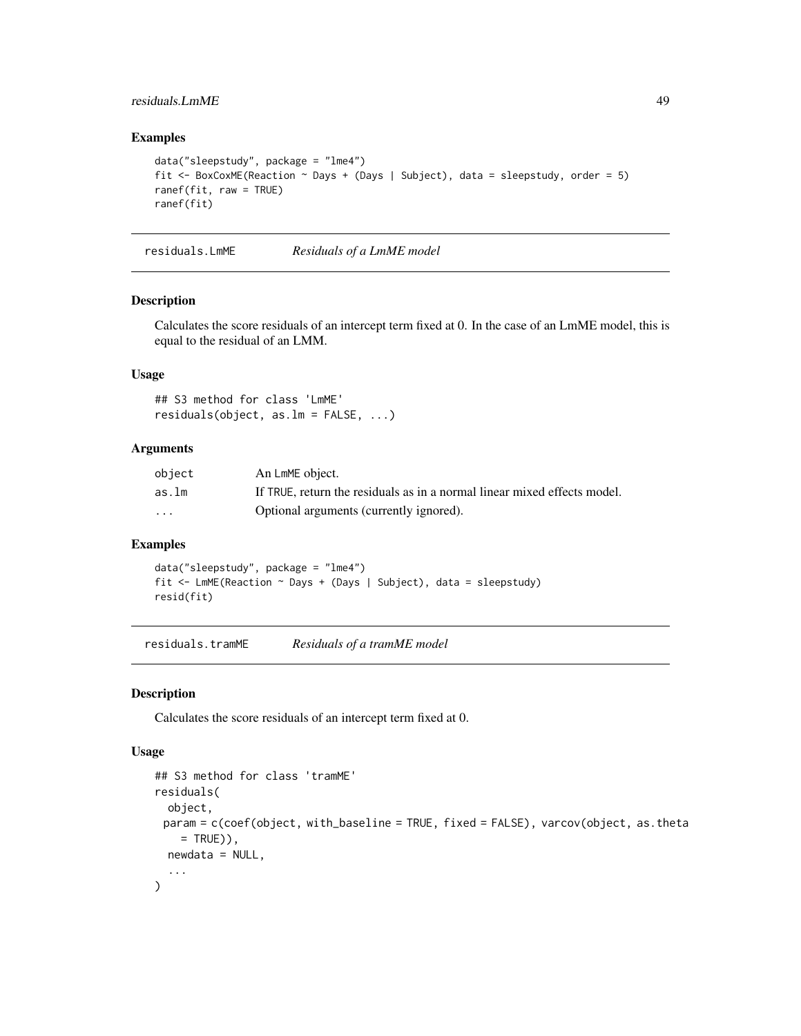#### <span id="page-48-0"></span>residuals.LmME 49

## Examples

```
data("sleepstudy", package = "lme4")
fit <- BoxCoxME(Reaction ~ Days + (Days | Subject), data = sleepstudy, order = 5)
ranef(fit, raw = TRUE)
ranef(fit)
```
residuals.LmME *Residuals of a LmME model*

#### Description

Calculates the score residuals of an intercept term fixed at 0. In the case of an LmME model, this is equal to the residual of an LMM.

# Usage

## S3 method for class 'LmME' residuals(object, as.lm = FALSE, ...)

#### Arguments

| object   | An LmME object.                                                          |
|----------|--------------------------------------------------------------------------|
| as.lm    | If TRUE, return the residuals as in a normal linear mixed effects model. |
| $\cdots$ | Optional arguments (currently ignored).                                  |

#### Examples

```
data("sleepstudy", package = "lme4")
fit <- LmME(Reaction ~ Days + (Days | Subject), data = sleepstudy)
resid(fit)
```
residuals.tramME *Residuals of a tramME model*

#### Description

Calculates the score residuals of an intercept term fixed at 0.

```
## S3 method for class 'tramME'
residuals(
  object,
 param = c(coef(object, with_baseline = TRUE, fixed = FALSE), varcov(object, as.theta
    = TRUE)),
 newdata = NULL,
  ...
\mathcal{L}
```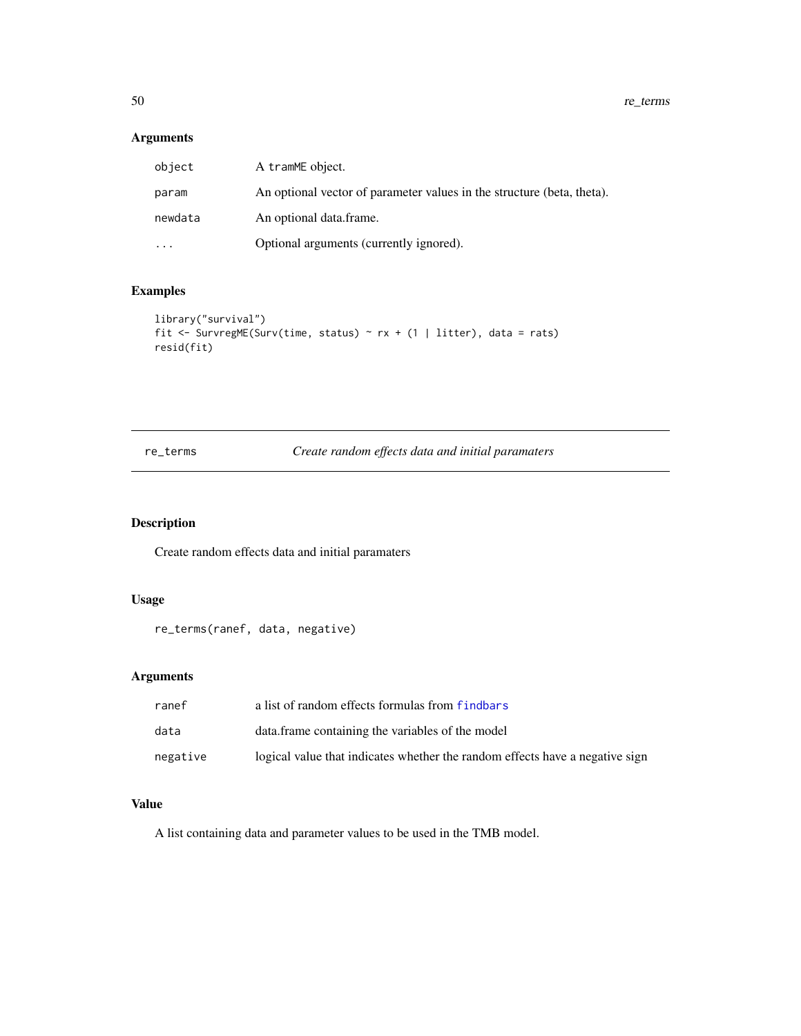# <span id="page-49-0"></span>Arguments

| object  | A tramME object.                                                       |
|---------|------------------------------------------------------------------------|
| param   | An optional vector of parameter values in the structure (beta, theta). |
| newdata | An optional data frame.                                                |
| $\cdot$ | Optional arguments (currently ignored).                                |

## Examples

```
library("survival")
fit <- SurvregME(Surv(time, status) ~ rx + (1 | litter), data = rats)
resid(fit)
```
## re\_terms *Create random effects data and initial paramaters*

## Description

Create random effects data and initial paramaters

#### Usage

re\_terms(ranef, data, negative)

# Arguments

| ranef    | a list of random effects formulas from findbars                              |
|----------|------------------------------------------------------------------------------|
| data     | data. frame containing the variables of the model                            |
| negative | logical value that indicates whether the random effects have a negative sign |

## Value

A list containing data and parameter values to be used in the TMB model.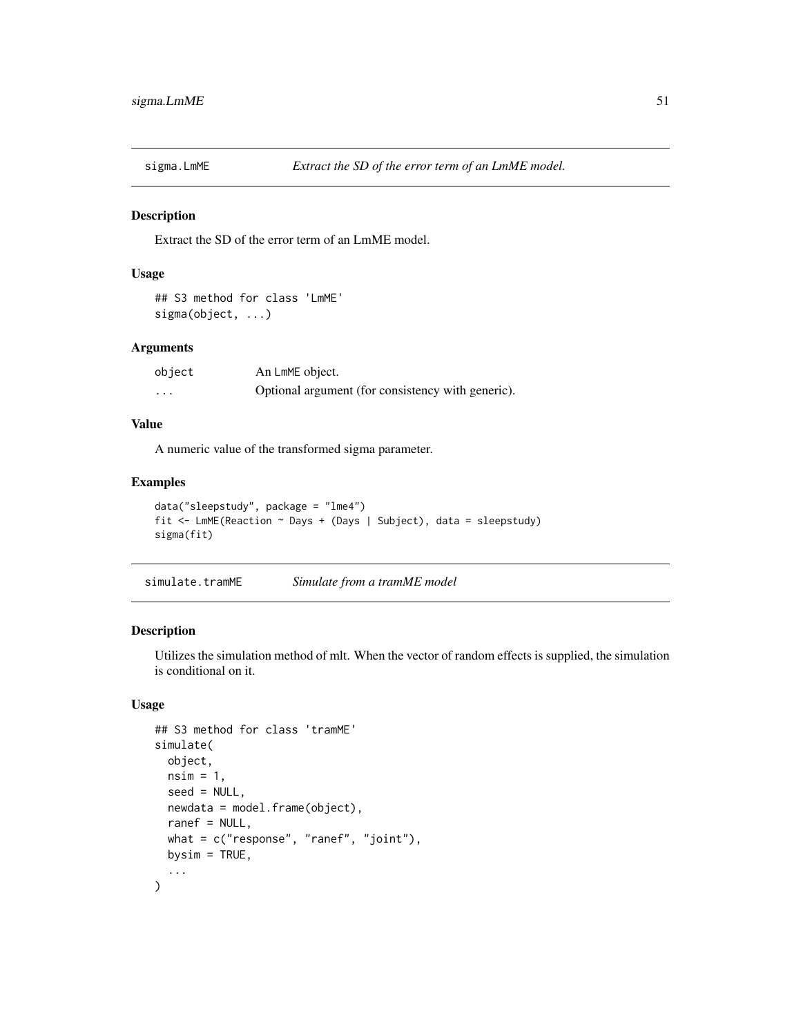<span id="page-50-0"></span>

Extract the SD of the error term of an LmME model.

## Usage

```
## S3 method for class 'LmME'
sigma(object, ...)
```
#### Arguments

| object            | An LmME object.                                   |
|-------------------|---------------------------------------------------|
| $\cdot\cdot\cdot$ | Optional argument (for consistency with generic). |

#### Value

A numeric value of the transformed sigma parameter.

## Examples

```
data("sleepstudy", package = "lme4")
fit <- LmME(Reaction ~ Days + (Days | Subject), data = sleepstudy)
sigma(fit)
```
simulate.tramME *Simulate from a tramME model*

#### Description

Utilizes the simulation method of mlt. When the vector of random effects is supplied, the simulation is conditional on it.

```
## S3 method for class 'tramME'
simulate(
 object,
 nsim = 1,
  seed = NULL,
 newdata = model.frame(object),
  ranef = NULL,
 what = c("response", "ranef", "joint"),
 bysim = TRUE,
  ...
\mathcal{L}
```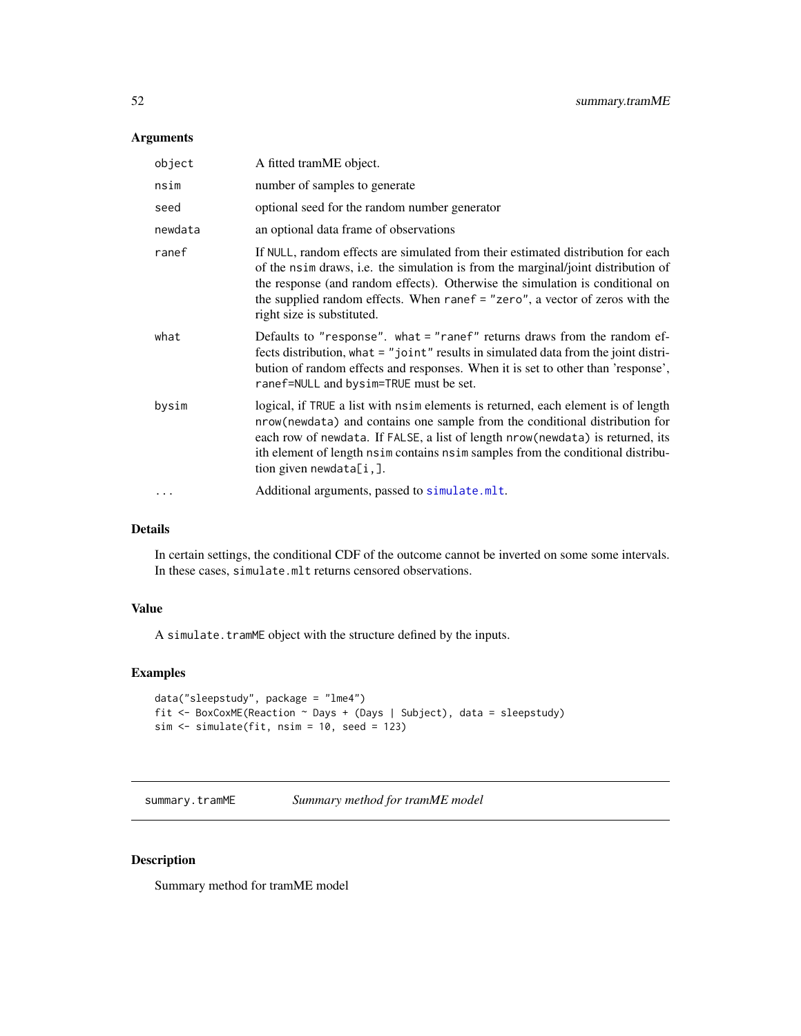#### <span id="page-51-0"></span>Arguments

| object     | A fitted tramME object.                                                                                                                                                                                                                                                                                                                                                |
|------------|------------------------------------------------------------------------------------------------------------------------------------------------------------------------------------------------------------------------------------------------------------------------------------------------------------------------------------------------------------------------|
| nsim       | number of samples to generate                                                                                                                                                                                                                                                                                                                                          |
| seed       | optional seed for the random number generator                                                                                                                                                                                                                                                                                                                          |
| newdata    | an optional data frame of observations                                                                                                                                                                                                                                                                                                                                 |
| ranef      | If NULL, random effects are simulated from their estimated distribution for each<br>of the nsim draws, i.e. the simulation is from the marginal/joint distribution of<br>the response (and random effects). Otherwise the simulation is conditional on<br>the supplied random effects. When ranef $=$ "zero", a vector of zeros with the<br>right size is substituted. |
| what       | Defaults to "response". what = "ranef" returns draws from the random ef-<br>fects distribution, what = "joint" results in simulated data from the joint distri-<br>bution of random effects and responses. When it is set to other than 'response',<br>ranef=NULL and bysim=TRUE must be set.                                                                          |
| bysim      | logical, if TRUE a list with nsime lements is returned, each element is of length<br>nrow(newdata) and contains one sample from the conditional distribution for<br>each row of newdata. If FALSE, a list of length nrow (newdata) is returned, its<br>ith element of length nsim contains nsim samples from the conditional distribu-<br>tion given newdata $[i,].$   |
| $\ddots$ . | Additional arguments, passed to simulate.mlt.                                                                                                                                                                                                                                                                                                                          |

## Details

In certain settings, the conditional CDF of the outcome cannot be inverted on some some intervals. In these cases, simulate.mlt returns censored observations.

## Value

A simulate.tramME object with the structure defined by the inputs.

# Examples

```
data("sleepstudy", package = "lme4")
fit <- BoxCoxME(Reaction ~ Days + (Days | Subject), data = sleepstudy)
sim <- simulate(fit, nsim = 10, seed = 123)
```
summary.tramME *Summary method for tramME model*

## Description

Summary method for tramME model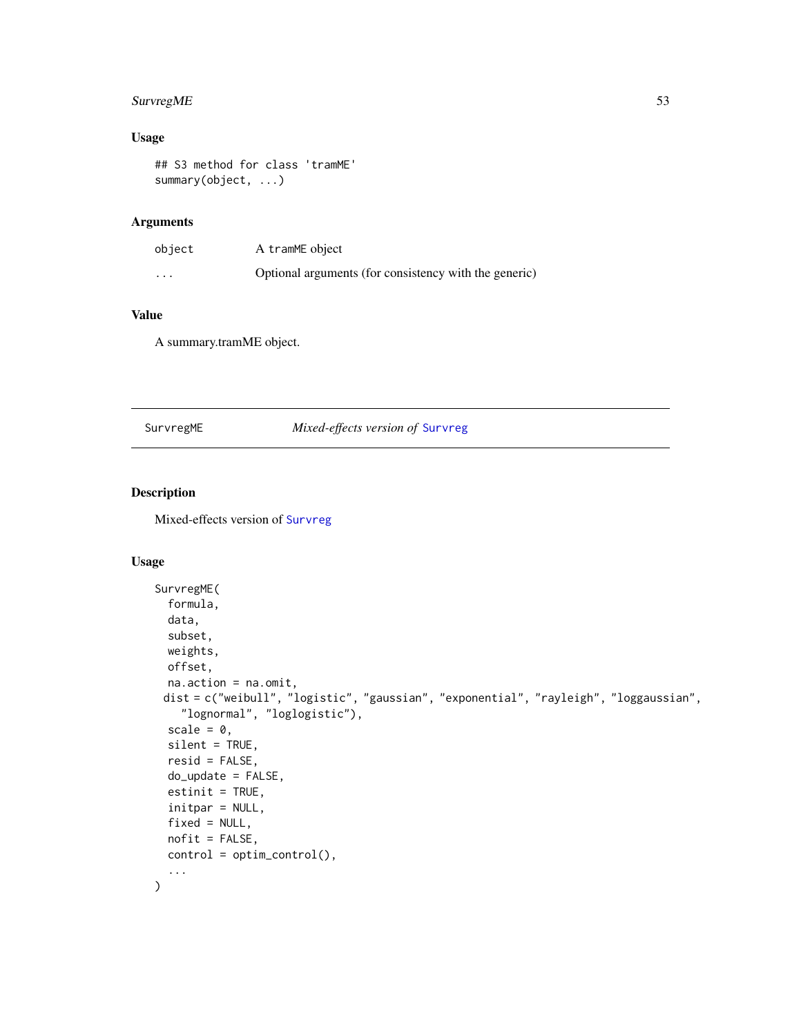## <span id="page-52-0"></span>SurvregME 53

## Usage

## S3 method for class 'tramME' summary(object, ...)

## Arguments

| object | A tramME object                                       |
|--------|-------------------------------------------------------|
| .      | Optional arguments (for consistency with the generic) |

## Value

A summary.tramME object.

#### SurvregME *Mixed-effects version of* [Survreg](#page-0-0)

#### Description

Mixed-effects version of [Survreg](#page-0-0)

```
SurvregME(
  formula,
  data,
  subset,
 weights,
 offset,
 na.action = na.omit,
 dist = c("weibull", "logistic", "gaussian", "exponential", "rayleigh", "loggaussian",
    "lognormal", "loglogistic"),
  scale = 0,
  silent = TRUE,
  resid = FALSE,
  do_update = FALSE,
 estinit = TRUE,
  initpar = NULL,
  fixed = NULL,
 nofit = FALSE,control = optim_control(),
  ...
\mathcal{L}
```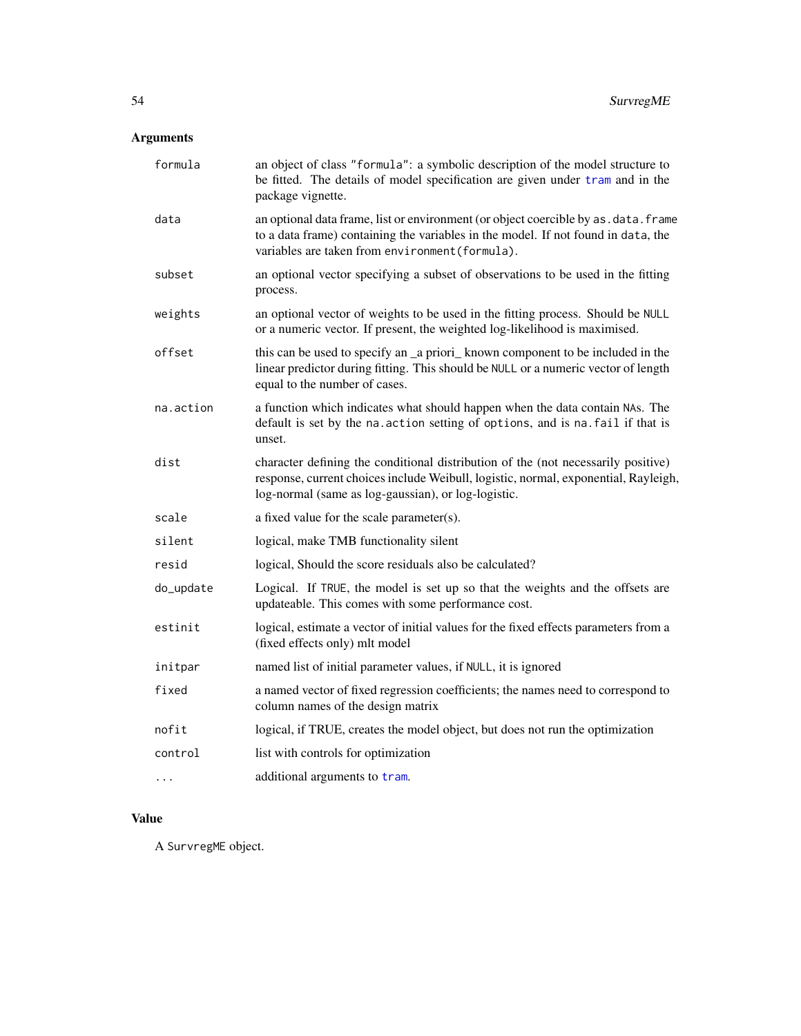# <span id="page-53-0"></span>Arguments

| formula   | an object of class "formula": a symbolic description of the model structure to<br>be fitted. The details of model specification are given under tram and in the<br>package vignette.                                            |
|-----------|---------------------------------------------------------------------------------------------------------------------------------------------------------------------------------------------------------------------------------|
| data      | an optional data frame, list or environment (or object coercible by as . data. frame<br>to a data frame) containing the variables in the model. If not found in data, the<br>variables are taken from environment (formula).    |
| subset    | an optional vector specifying a subset of observations to be used in the fitting<br>process.                                                                                                                                    |
| weights   | an optional vector of weights to be used in the fitting process. Should be NULL<br>or a numeric vector. If present, the weighted log-likelihood is maximised.                                                                   |
| offset    | this can be used to specify an _a priori_ known component to be included in the<br>linear predictor during fitting. This should be NULL or a numeric vector of length<br>equal to the number of cases.                          |
| na.action | a function which indicates what should happen when the data contain NAs. The<br>default is set by the na. action setting of options, and is na. fail if that is<br>unset.                                                       |
| dist      | character defining the conditional distribution of the (not necessarily positive)<br>response, current choices include Weibull, logistic, normal, exponential, Rayleigh,<br>log-normal (same as log-gaussian), or log-logistic. |
| scale     | a fixed value for the scale parameter(s).                                                                                                                                                                                       |
| silent    | logical, make TMB functionality silent                                                                                                                                                                                          |
| resid     | logical, Should the score residuals also be calculated?                                                                                                                                                                         |
| do_update | Logical. If TRUE, the model is set up so that the weights and the offsets are<br>updateable. This comes with some performance cost.                                                                                             |
| estinit   | logical, estimate a vector of initial values for the fixed effects parameters from a<br>(fixed effects only) mlt model                                                                                                          |
| initpar   | named list of initial parameter values, if NULL, it is ignored                                                                                                                                                                  |
| fixed     | a named vector of fixed regression coefficients; the names need to correspond to<br>column names of the design matrix                                                                                                           |
| nofit     | logical, if TRUE, creates the model object, but does not run the optimization                                                                                                                                                   |
| control   | list with controls for optimization                                                                                                                                                                                             |
| $\cdots$  | additional arguments to tram.                                                                                                                                                                                                   |

# Value

A SurvregME object.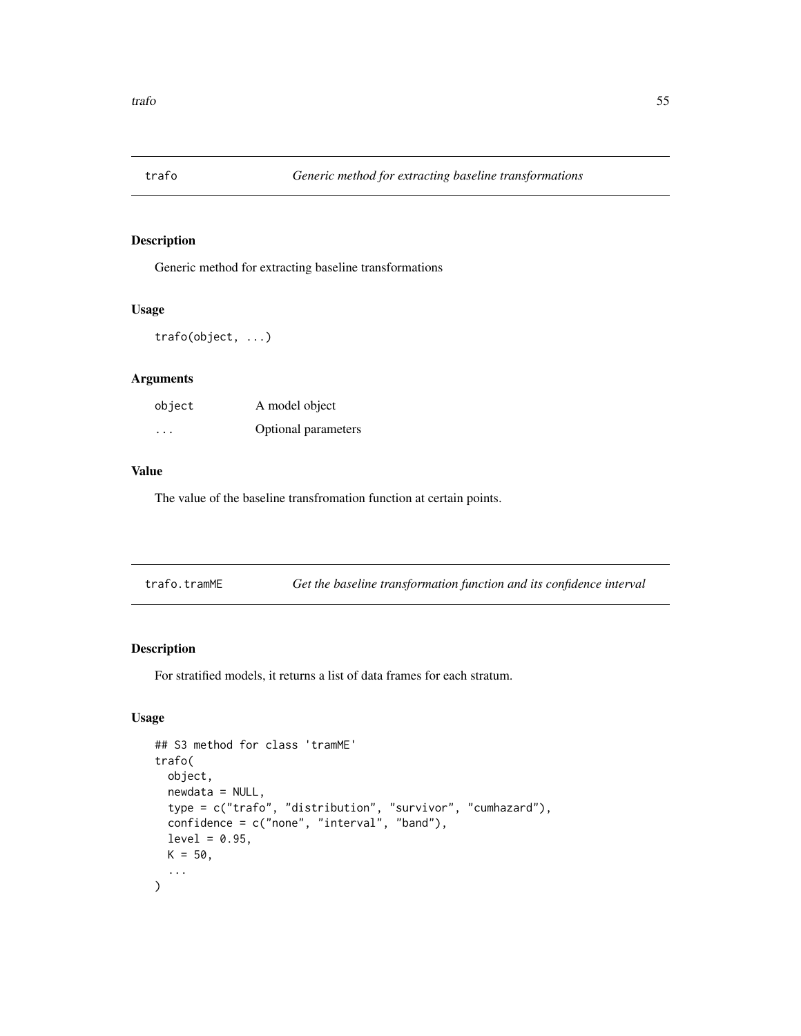<span id="page-54-0"></span>

Generic method for extracting baseline transformations

#### Usage

trafo(object, ...)

## Arguments

| object  | A model object      |
|---------|---------------------|
| $\cdot$ | Optional parameters |

#### Value

The value of the baseline transfromation function at certain points.

| trafo.tramME |  |  |  | Get the baseline transformation function and its confidence interval |  |
|--------------|--|--|--|----------------------------------------------------------------------|--|
|--------------|--|--|--|----------------------------------------------------------------------|--|

#### Description

For stratified models, it returns a list of data frames for each stratum.

```
## S3 method for class 'tramME'
trafo(
 object,
  newdata = NULL,
  type = c("trafo", "distribution", "survivor", "cumhazard"),
  confidence = c("none", "interval", "band"),
  level = 0.95,K = 50,
  ...
\mathcal{L}
```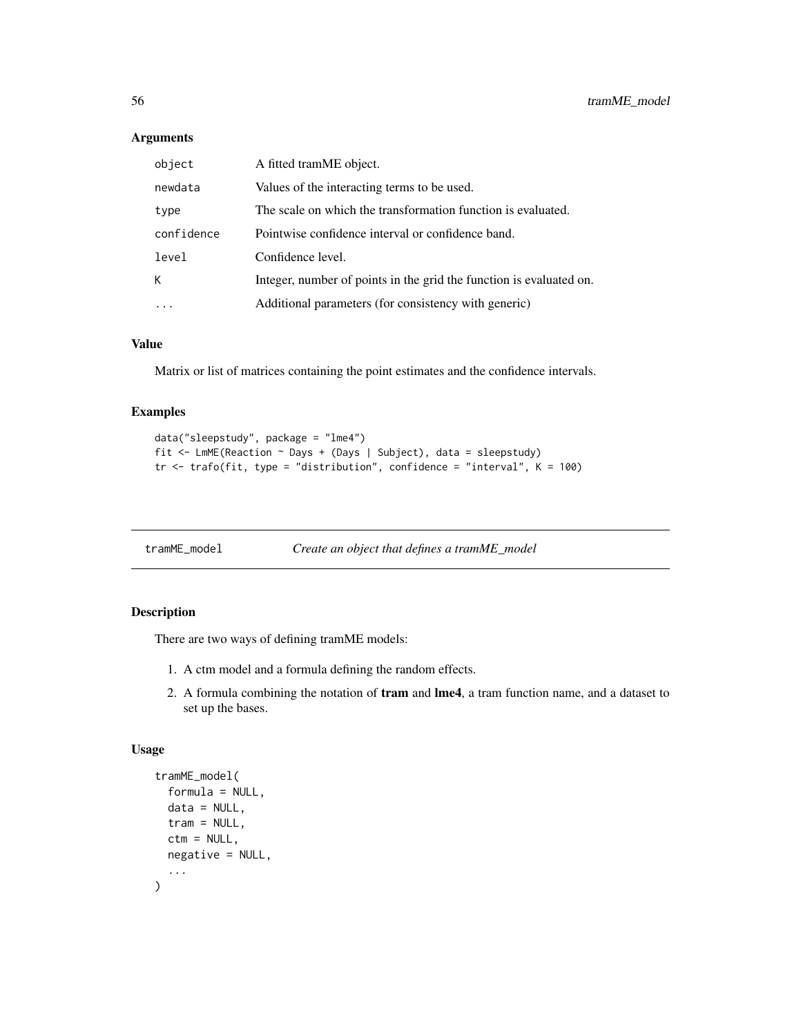## Arguments

| object     | A fitted tramME object.                                             |
|------------|---------------------------------------------------------------------|
| newdata    | Values of the interacting terms to be used.                         |
| type       | The scale on which the transformation function is evaluated.        |
| confidence | Pointwise confidence interval or confidence band.                   |
| level      | Confidence level.                                                   |
| К          | Integer, number of points in the grid the function is evaluated on. |
|            | Additional parameters (for consistency with generic)                |

## Value

Matrix or list of matrices containing the point estimates and the confidence intervals.

#### Examples

```
data("sleepstudy", package = "lme4")
fit <- LmME(Reaction ~ Days + (Days | Subject), data = sleepstudy)
tr \le trafo(fit, type = "distribution", confidence = "interval", K = 100)
```

| tramME_model | Create an object that defines a tramME_model |  |
|--------------|----------------------------------------------|--|
|              |                                              |  |

#### Description

There are two ways of defining tramME models:

- 1. A ctm model and a formula defining the random effects.
- 2. A formula combining the notation of tram and lme4, a tram function name, and a dataset to set up the bases.

```
tramME_model(
  formula = NULL,
  data = NULL,tram = NULL,
  ctm = NULL,negative = NULL,
  ...
\mathcal{L}
```
<span id="page-55-0"></span>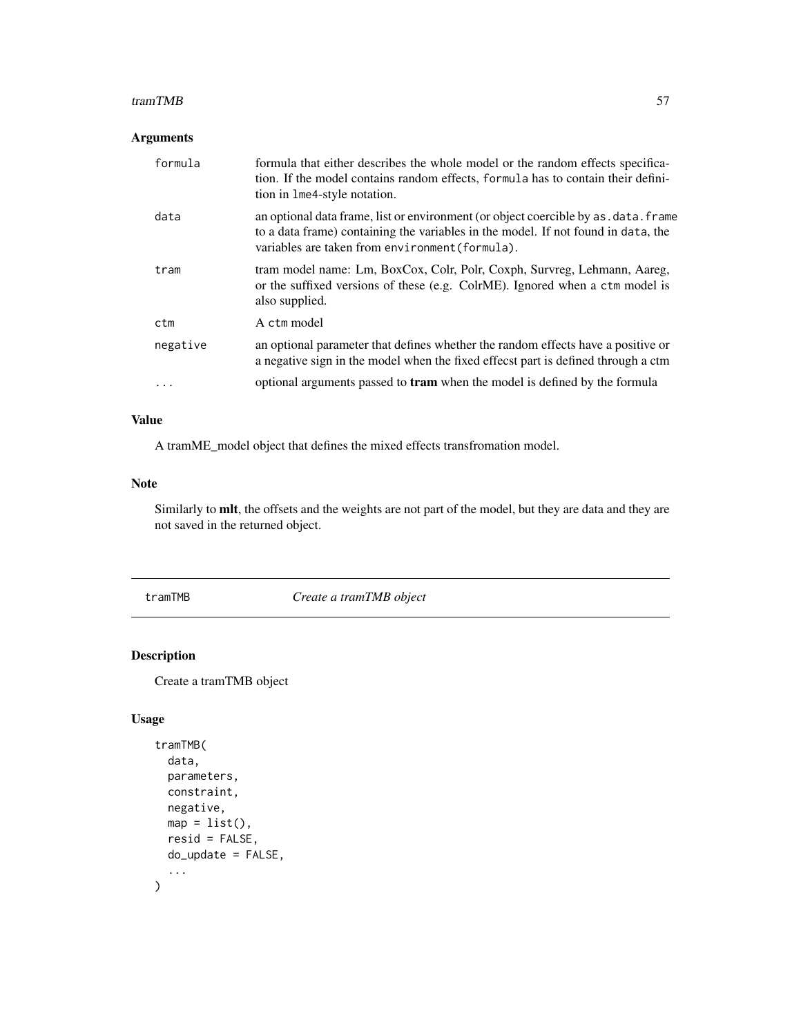#### <span id="page-56-0"></span>tramTMB 57

#### Arguments

| formula  | formula that either describes the whole model or the random effects specifica-<br>tion. If the model contains random effects, formula has to contain their defini-<br>tion in 1me4-style notation.                           |
|----------|------------------------------------------------------------------------------------------------------------------------------------------------------------------------------------------------------------------------------|
| data     | an optional data frame, list or environment (or object coercible by as . data. frame<br>to a data frame) containing the variables in the model. If not found in data, the<br>variables are taken from environment (formula). |
| tram     | tram model name: Lm, BoxCox, Colr, Polr, Coxph, Survreg, Lehmann, Aareg,<br>or the suffixed versions of these (e.g. ColrME). Ignored when a ctm model is<br>also supplied.                                                   |
| ctm      | A ctm model                                                                                                                                                                                                                  |
| negative | an optional parameter that defines whether the random effects have a positive or<br>a negative sign in the model when the fixed effecst part is defined through a ctm                                                        |
| .        | optional arguments passed to <b>tram</b> when the model is defined by the formula                                                                                                                                            |

# Value

A tramME\_model object that defines the mixed effects transfromation model.

#### Note

Similarly to mlt, the offsets and the weights are not part of the model, but they are data and they are not saved in the returned object.

tramTMB *Create a tramTMB object*

# Description

Create a tramTMB object

```
tramTMB(
  data,
  parameters,
  constraint,
  negative,
  map = list(),
  resid = FALSE,
  do_update = FALSE,
  ...
\mathcal{L}
```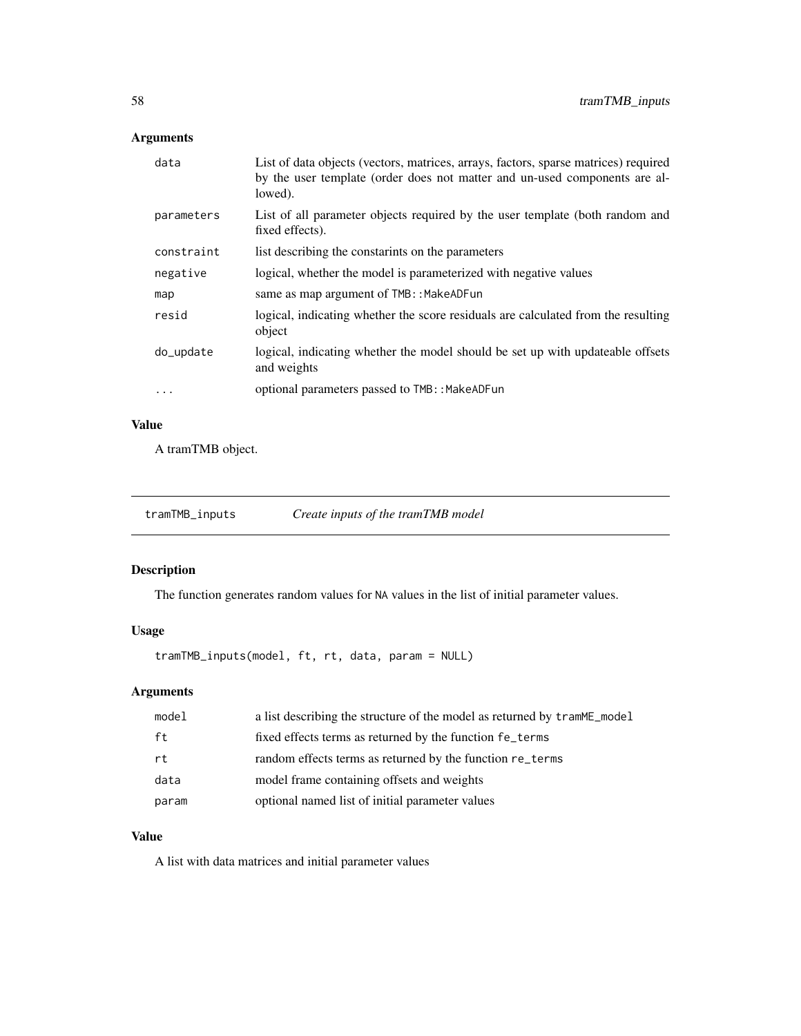# <span id="page-57-0"></span>Arguments

| data       | List of data objects (vectors, matrices, arrays, factors, sparse matrices) required<br>by the user template (order does not matter and un-used components are al-<br>lowed). |
|------------|------------------------------------------------------------------------------------------------------------------------------------------------------------------------------|
| parameters | List of all parameter objects required by the user template (both random and<br>fixed effects).                                                                              |
| constraint | list describing the constarints on the parameters                                                                                                                            |
| negative   | logical, whether the model is parameterized with negative values                                                                                                             |
| map        | same as map argument of TMB:: MakeADFun                                                                                                                                      |
| resid      | logical, indicating whether the score residuals are calculated from the resulting<br>object                                                                                  |
| do_update  | logical, indicating whether the model should be set up with updateable offsets<br>and weights                                                                                |
| $\cdot$    | optional parameters passed to TMB:: MakeADFun                                                                                                                                |
|            |                                                                                                                                                                              |

# Value

A tramTMB object.

| tramTMB_inputs |  | Create inputs of the tramTMB model |
|----------------|--|------------------------------------|
|----------------|--|------------------------------------|

# Description

The function generates random values for NA values in the list of initial parameter values.

## Usage

tramTMB\_inputs(model, ft, rt, data, param = NULL)

# Arguments

| model | a list describing the structure of the model as returned by tramme model |
|-------|--------------------------------------------------------------------------|
| ft    | fixed effects terms as returned by the function fe_terms                 |
| rt    | random effects terms as returned by the function re_terms                |
| data  | model frame containing offsets and weights                               |
| param | optional named list of initial parameter values                          |

# Value

A list with data matrices and initial parameter values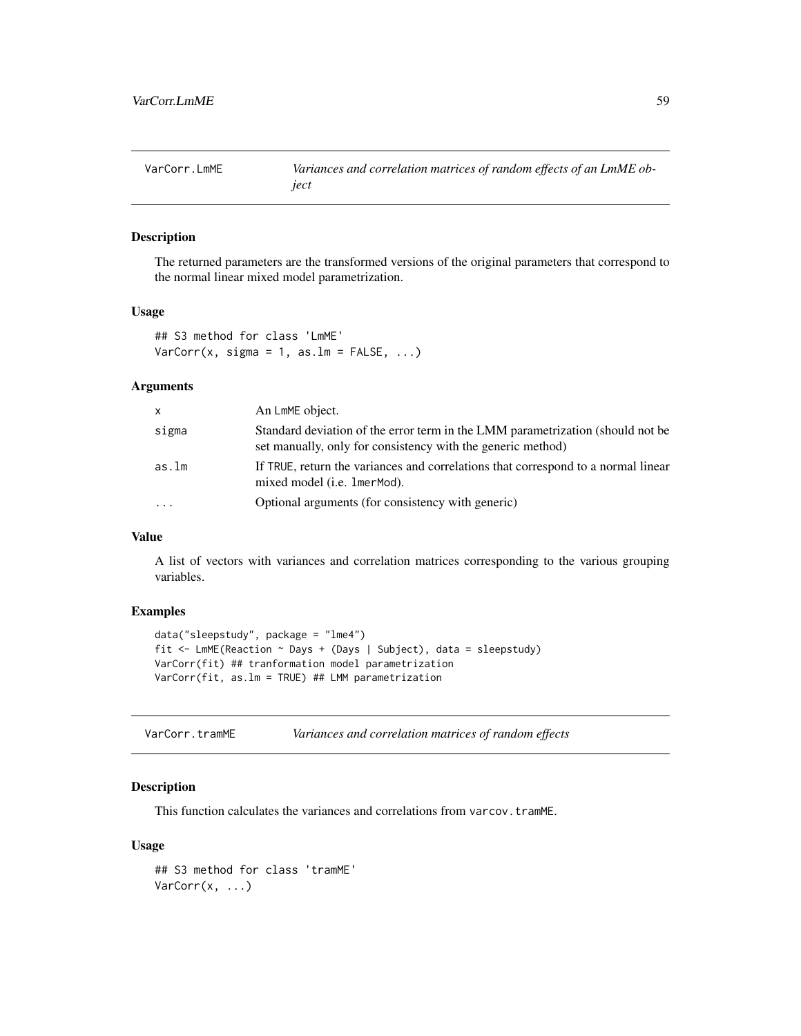<span id="page-58-0"></span>VarCorr.LmME *Variances and correlation matrices of random effects of an LmME object*

## Description

The returned parameters are the transformed versions of the original parameters that correspond to the normal linear mixed model parametrization.

#### Usage

## S3 method for class 'LmME'  $VarCorr(x, sigma = 1, as.lm = FALSE, ...)$ 

#### Arguments

| x     | An LmME object.                                                                                                                               |
|-------|-----------------------------------------------------------------------------------------------------------------------------------------------|
| sigma | Standard deviation of the error term in the LMM parametrization (should not be<br>set manually, only for consistency with the generic method) |
| as.lm | If TRUE, return the variances and correlations that correspond to a normal linear<br>mixed model ( <i>i.e.</i> 1 mer Mod).                    |
| .     | Optional arguments (for consistency with generic)                                                                                             |

#### Value

A list of vectors with variances and correlation matrices corresponding to the various grouping variables.

## Examples

```
data("sleepstudy", package = "lme4")
fit <- LmME(Reaction ~ Days + (Days | Subject), data = sleepstudy)
VarCorr(fit) ## tranformation model parametrization
VarCorr(fit, as.lm = TRUE) ## LMM parametrization
```
VarCorr.tramME *Variances and correlation matrices of random effects*

#### Description

This function calculates the variances and correlations from varcov.tramME.

```
## S3 method for class 'tramME'
VarCorr(x, \ldots)
```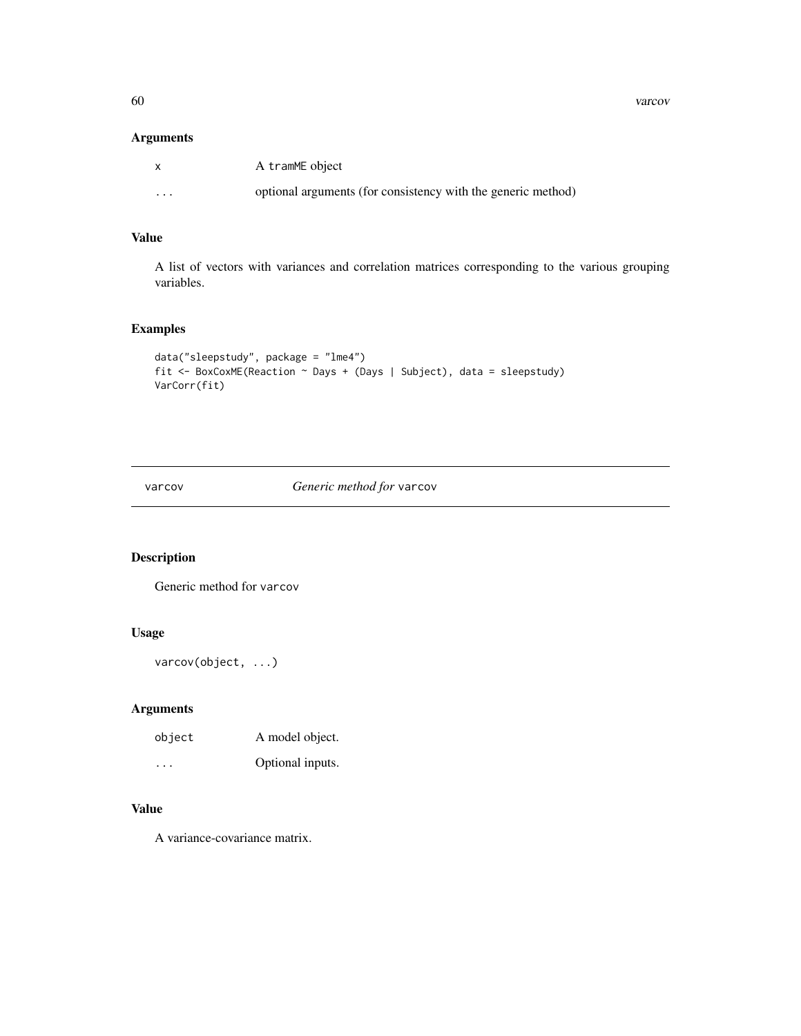<span id="page-59-0"></span>60 varcov

## Arguments

|          | A tramME object                                              |
|----------|--------------------------------------------------------------|
| $\cdots$ | optional arguments (for consistency with the generic method) |

## Value

A list of vectors with variances and correlation matrices corresponding to the various grouping variables.

## Examples

```
data("sleepstudy", package = "lme4")
fit <- BoxCoxME(Reaction ~ Days + (Days | Subject), data = sleepstudy)
VarCorr(fit)
```
varcov *Generic method for* varcov

# Description

Generic method for varcov

# Usage

```
varcov(object, ...)
```
## Arguments

| object   | A model object.  |
|----------|------------------|
| $\cdots$ | Optional inputs. |

# Value

A variance-covariance matrix.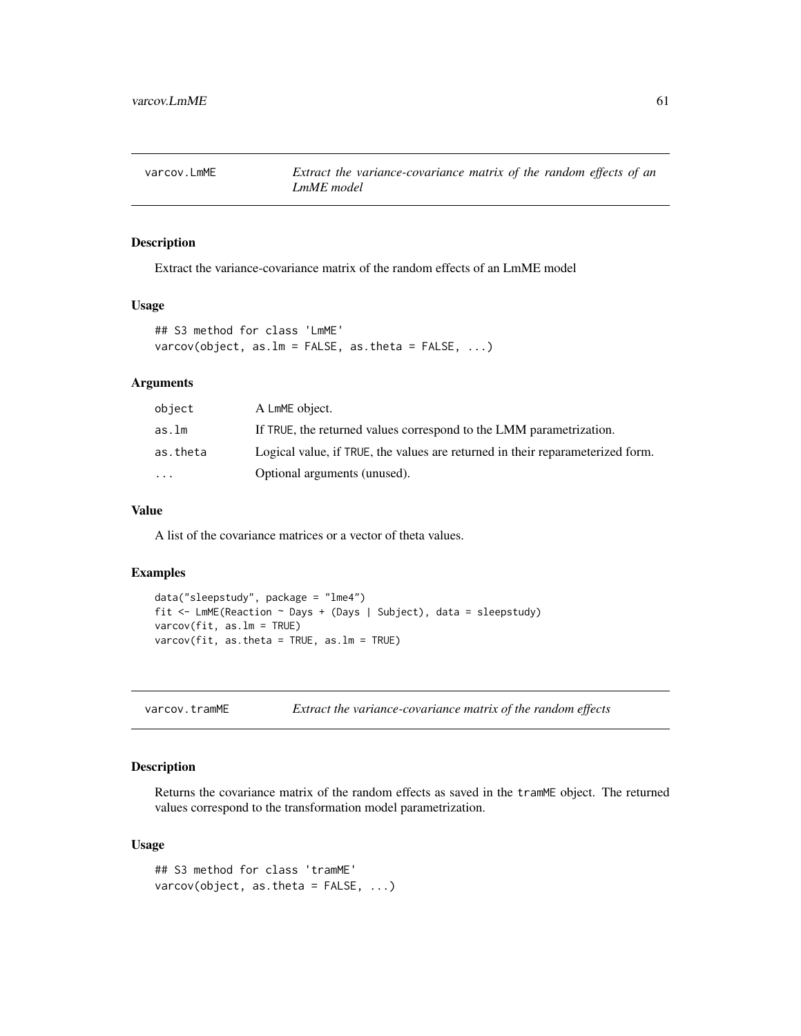<span id="page-60-0"></span>

Extract the variance-covariance matrix of the random effects of an LmME model

#### Usage

```
## S3 method for class 'LmME'
varcov(object, as.lm = FALSE, as.theta = FALSE, ...)
```
#### Arguments

| object   | A LmME object.                                                                 |
|----------|--------------------------------------------------------------------------------|
| as.lm    | If TRUE, the returned values correspond to the LMM parametrization.            |
| as.theta | Logical value, if TRUE, the values are returned in their reparameterized form. |
| $\cdots$ | Optional arguments (unused).                                                   |

#### Value

A list of the covariance matrices or a vector of theta values.

#### Examples

```
data("sleepstudy", package = "lme4")
fit <- LmME(Reaction ~ Days + (Days | Subject), data = sleepstudy)
varcov(fit, as.lm = TRUE)
varcov(fit, as.theta = TRUE, as.lm = TRUE)
```
varcov.tramME *Extract the variance-covariance matrix of the random effects*

#### Description

Returns the covariance matrix of the random effects as saved in the tramME object. The returned values correspond to the transformation model parametrization.

```
## S3 method for class 'tramME'
varcov(object, as.theta = FALSE, ...)
```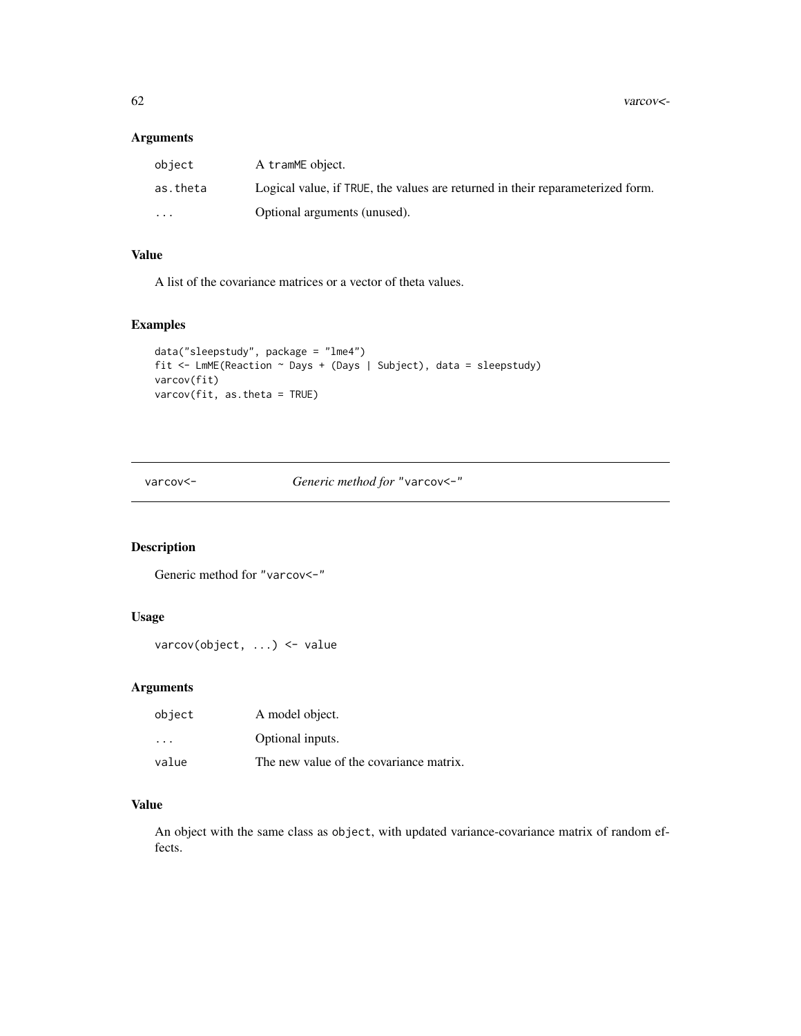<span id="page-61-0"></span>62 varcov<-

#### Arguments

| object                  | A tramME object.                                                               |
|-------------------------|--------------------------------------------------------------------------------|
| as.theta                | Logical value, if TRUE, the values are returned in their reparameterized form. |
| $\cdot$ $\cdot$ $\cdot$ | Optional arguments (unused).                                                   |

# Value

A list of the covariance matrices or a vector of theta values.

#### Examples

```
data("sleepstudy", package = "lme4")
fit <- LmME(Reaction ~ Days + (Days | Subject), data = sleepstudy)
varcov(fit)
varcov(fit, as.theta = TRUE)
```
varcov<- *Generic method for* "varcov<-"

# Description

Generic method for "varcov<-"

## Usage

```
varcov(object, ...) <- value
```
## Arguments

| object                  | A model object.                         |
|-------------------------|-----------------------------------------|
| $\cdot$ $\cdot$ $\cdot$ | Optional inputs.                        |
| value                   | The new value of the covariance matrix. |

#### Value

An object with the same class as object, with updated variance-covariance matrix of random effects.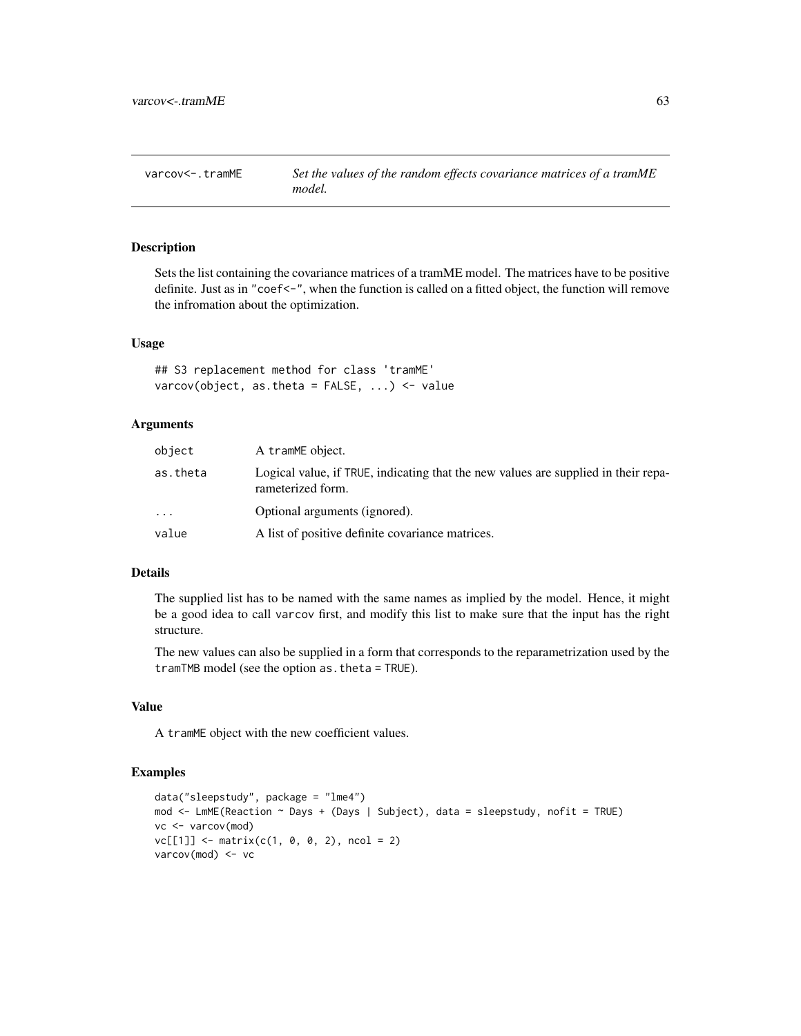<span id="page-62-0"></span>varcov<-.tramME *Set the values of the random effects covariance matrices of a tramME model.*

#### Description

Sets the list containing the covariance matrices of a tramME model. The matrices have to be positive definite. Just as in "coef<-", when the function is called on a fitted object, the function will remove the infromation about the optimization.

#### Usage

## S3 replacement method for class 'tramME' varcov(object, as.theta =  $FALSE, ...$ ) <- value

#### Arguments

| object                  | A tramME object.                                                                                        |
|-------------------------|---------------------------------------------------------------------------------------------------------|
| as.theta                | Logical value, if TRUE, indicating that the new values are supplied in their repa-<br>rameterized form. |
| $\cdot$ $\cdot$ $\cdot$ | Optional arguments (ignored).                                                                           |
| value                   | A list of positive definite covariance matrices.                                                        |

#### Details

The supplied list has to be named with the same names as implied by the model. Hence, it might be a good idea to call varcov first, and modify this list to make sure that the input has the right structure.

The new values can also be supplied in a form that corresponds to the reparametrization used by the tramTMB model (see the option as.theta = TRUE).

#### Value

A tramME object with the new coefficient values.

```
data("sleepstudy", package = "lme4")
mod <- LmME(Reaction ~ Days + (Days | Subject), data = sleepstudy, nofit = TRUE)
vc <- varcov(mod)
vc[[1]] \leq \text{matrix}(c(1, 0, 0, 2), ncol = 2)varcov(mod) <- vc
```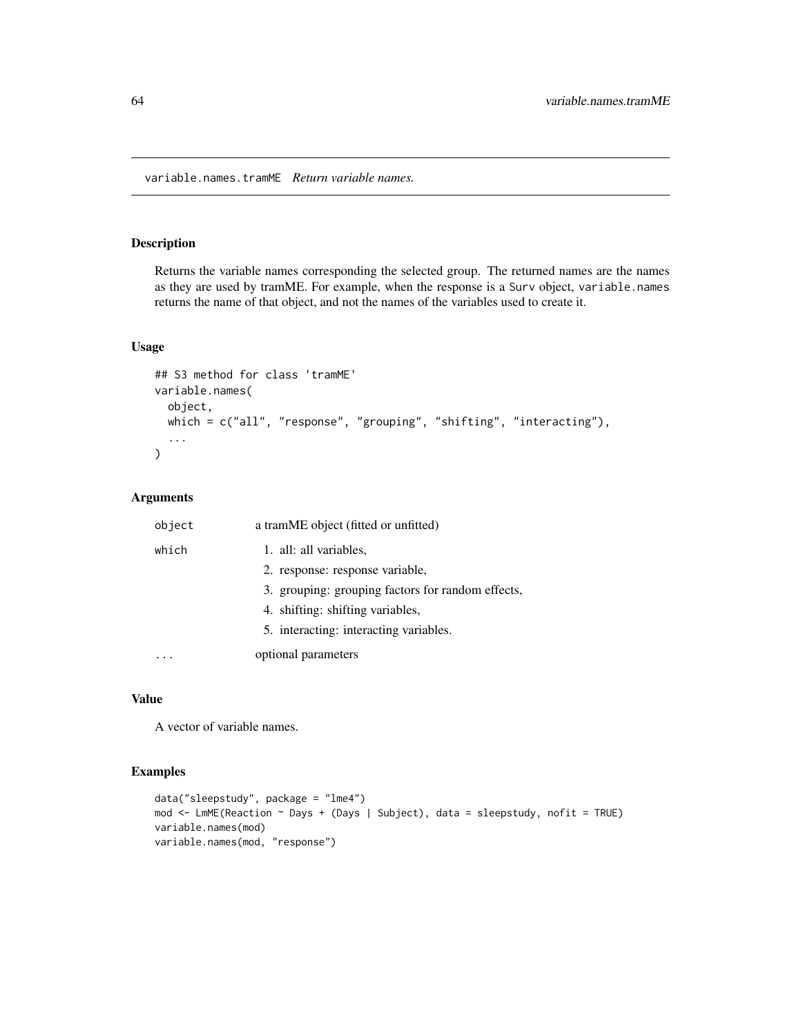<span id="page-63-0"></span>variable.names.tramME *Return variable names.*

## Description

Returns the variable names corresponding the selected group. The returned names are the names as they are used by tramME. For example, when the response is a Surv object, variable.names returns the name of that object, and not the names of the variables used to create it.

## Usage

```
## S3 method for class 'tramME'
variable.names(
  object,
 which = c("all", "response", "grouping", "shifting", "interacting"),
  ...
\mathcal{L}
```
## Arguments

| object | a tramME object (fitted or unfitted)              |
|--------|---------------------------------------------------|
| which  | 1. all: all variables,                            |
|        | 2. response: response variable,                   |
|        | 3. grouping: grouping factors for random effects, |
|        | 4. shifting: shifting variables,                  |
|        | 5. interacting: interacting variables.            |
|        | optional parameters                               |

## Value

A vector of variable names.

```
data("sleepstudy", package = "lme4")
mod <- LmME(Reaction ~ Days + (Days | Subject), data = sleepstudy, nofit = TRUE)
variable.names(mod)
variable.names(mod, "response")
```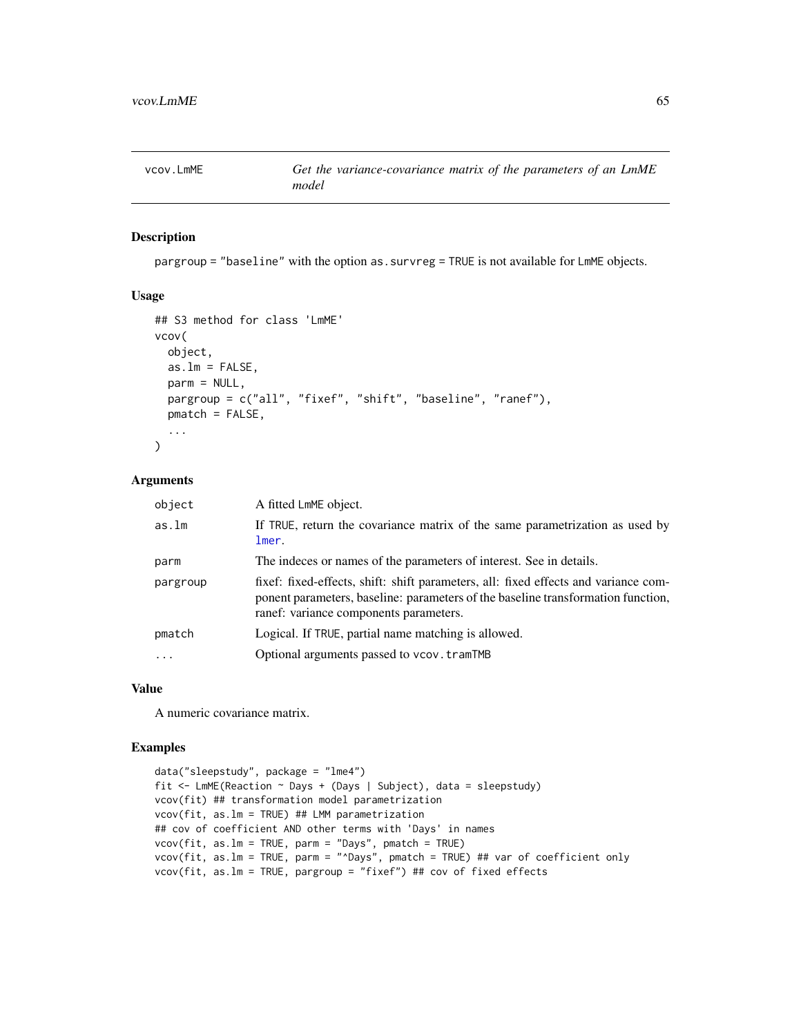<span id="page-64-0"></span>

pargroup = "baseline" with the option as.survreg = TRUE is not available for LmME objects.

#### Usage

```
## S3 method for class 'LmME'
vcov(
  object,
 as.lm = FALSE,parm = NULL,
 pargroup = c("all", "fixef", "shift", "baseline", "ranef"),
  pmatch = FALSE,
  ...
\mathcal{L}
```
#### Arguments

| object    | A fitted LmME object.                                                                                                                                                                                             |
|-----------|-------------------------------------------------------------------------------------------------------------------------------------------------------------------------------------------------------------------|
| as.lm     | If TRUE, return the covariance matrix of the same parametrization as used by<br>lmer.                                                                                                                             |
| parm      | The indeces or names of the parameters of interest. See in details.                                                                                                                                               |
| pargroup  | fixef: fixed-effects, shift: shift parameters, all: fixed effects and variance com-<br>ponent parameters, baseline: parameters of the baseline transformation function,<br>ranef: variance components parameters. |
| pmatch    | Logical. If TRUE, partial name matching is allowed.                                                                                                                                                               |
| $\ddotsc$ | Optional arguments passed to vcov. tramTMB                                                                                                                                                                        |

## Value

A numeric covariance matrix.

```
data("sleepstudy", package = "lme4")
fit <- LmME(Reaction ~ Days + (Days | Subject), data = sleepstudy)
vcov(fit) ## transformation model parametrization
vcov(fit, as.lm = TRUE) ## LMM parametrization
## cov of coefficient AND other terms with 'Days' in names
vcov(fit, as.lm = TRUE, parm = "Days", pmatch = TRUE)
vcov(fit, as.lm = TRUE, parm = "^Days", pmatch = TRUE) ## var of coefficient only
vcov(fit, as.lm = TRUE, pargroup = "fixef") # to v of fixed effects
```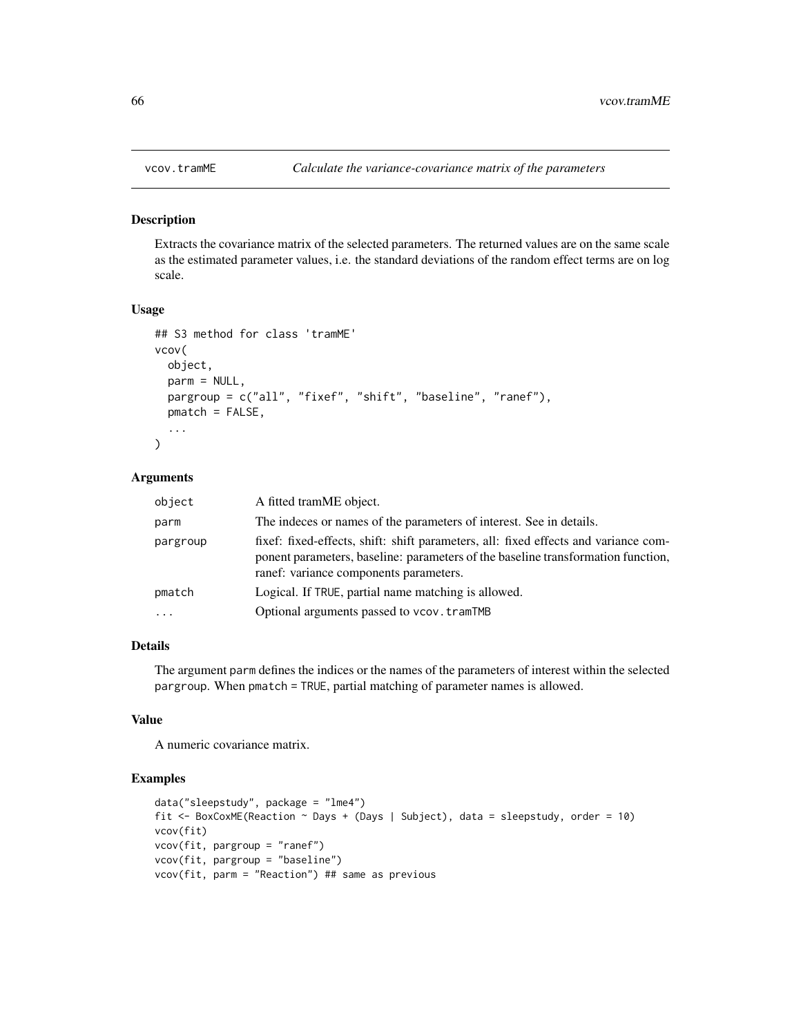<span id="page-65-0"></span>

Extracts the covariance matrix of the selected parameters. The returned values are on the same scale as the estimated parameter values, i.e. the standard deviations of the random effect terms are on log scale.

#### Usage

```
## S3 method for class 'tramME'
vcov(
  object,
  parm = NULL,
  pargroup = c("all", "fixef", "shift", "baseline", "ranef"),
 pmatch = FALSE,
  ...
)
```
#### Arguments

| object    | A fitted tramME object.                                                                                                                                                                                           |
|-----------|-------------------------------------------------------------------------------------------------------------------------------------------------------------------------------------------------------------------|
| parm      | The indeces or names of the parameters of interest. See in details.                                                                                                                                               |
| pargroup  | fixef: fixed-effects, shift: shift parameters, all: fixed effects and variance com-<br>ponent parameters, baseline: parameters of the baseline transformation function,<br>ranef: variance components parameters. |
| pmatch    | Logical. If TRUE, partial name matching is allowed.                                                                                                                                                               |
| $\ddotsc$ | Optional arguments passed to vcov. tramTMB                                                                                                                                                                        |

#### Details

The argument parm defines the indices or the names of the parameters of interest within the selected pargroup. When pmatch = TRUE, partial matching of parameter names is allowed.

## Value

A numeric covariance matrix.

```
data("sleepstudy", package = "lme4")
fit \leq BoxCoxME(Reaction \sim Days + (Days | Subject), data = sleepstudy, order = 10)
vcov(fit)
vcov(fit, pargroup = "ranef")
vcov(fit, pargroup = "baseline")
vcov(fit, parm = "Reaction") ## same as previous
```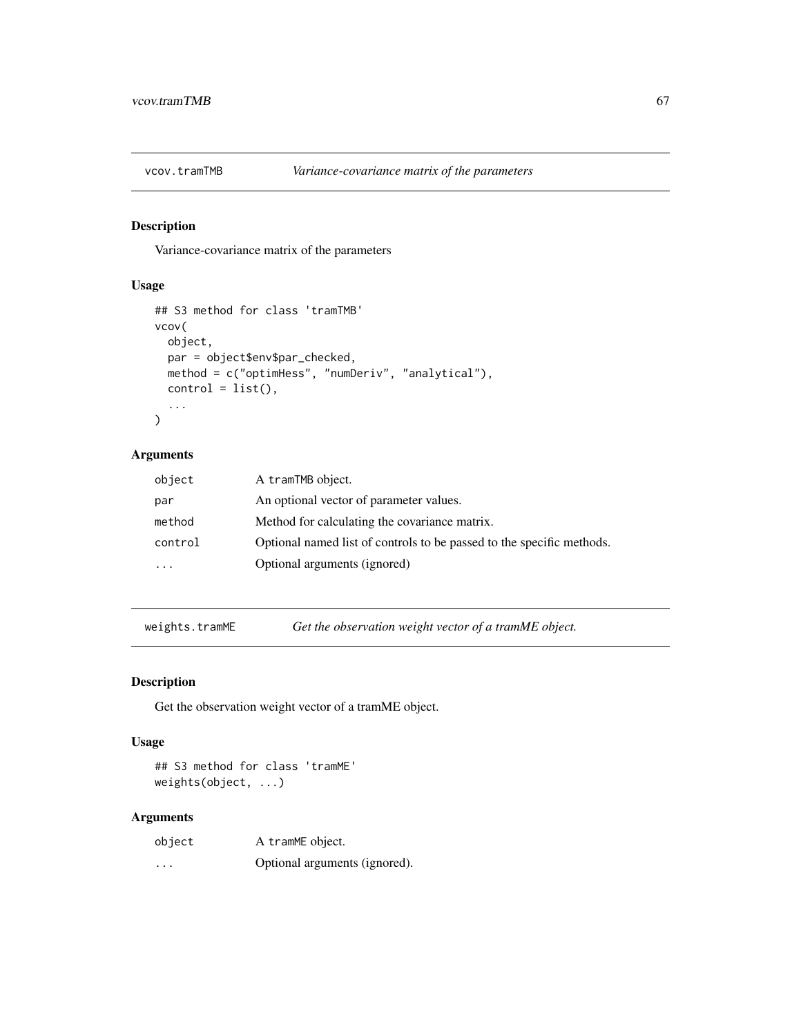<span id="page-66-0"></span>

Variance-covariance matrix of the parameters

#### Usage

```
## S3 method for class 'tramTMB'
vcov(
 object,
 par = object$env$par_checked,
 method = c("optimHess", "numDeriv", "analytical"),
 control = list(),...
)
```
#### Arguments

| object  | A tramTMB object.                                                     |
|---------|-----------------------------------------------------------------------|
| par     | An optional vector of parameter values.                               |
| method  | Method for calculating the covariance matrix.                         |
| control | Optional named list of controls to be passed to the specific methods. |
|         | Optional arguments (ignored)                                          |

weights.tramME *Get the observation weight vector of a tramME object.*

## Description

Get the observation weight vector of a tramME object.

#### Usage

## S3 method for class 'tramME' weights(object, ...)

| object                  | A tramME object.              |
|-------------------------|-------------------------------|
| $\cdot$ $\cdot$ $\cdot$ | Optional arguments (ignored). |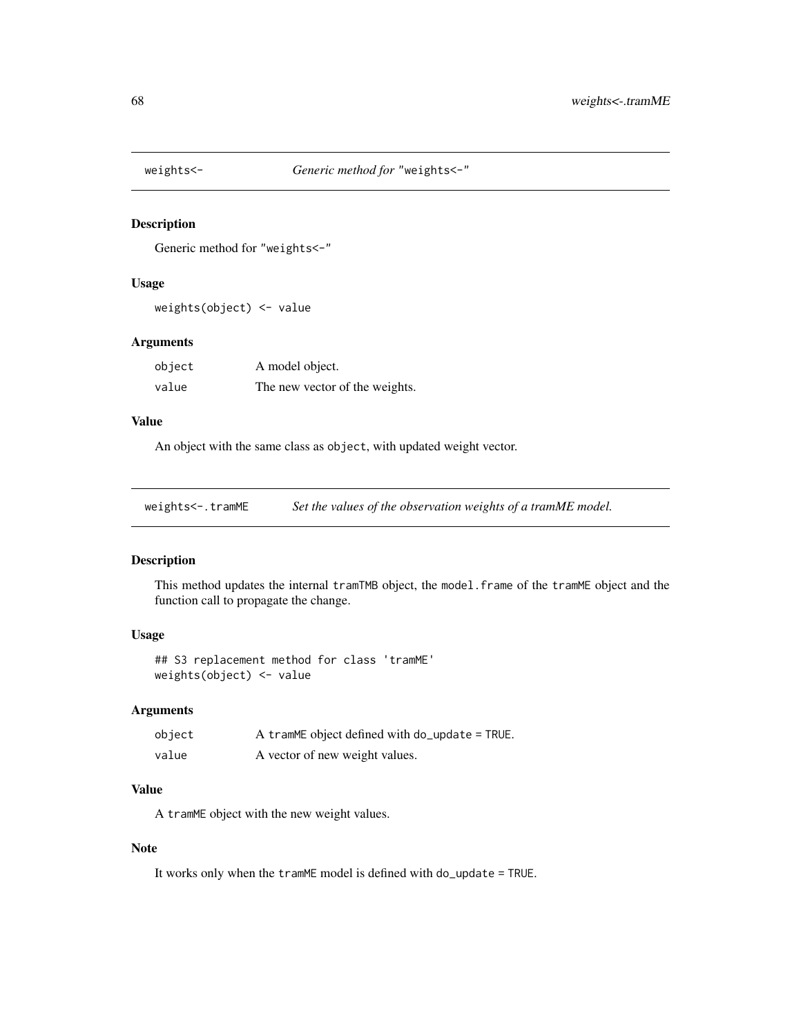<span id="page-67-0"></span>

Generic method for "weights<-"

#### Usage

weights(object) <- value

## Arguments

| object | A model object.                |
|--------|--------------------------------|
| value  | The new vector of the weights. |

#### Value

An object with the same class as object, with updated weight vector.

weights<-.tramME *Set the values of the observation weights of a tramME model.* 

# Description

This method updates the internal tramTMB object, the model.frame of the tramME object and the function call to propagate the change.

#### Usage

```
## S3 replacement method for class 'tramME'
weights(object) <- value
```
#### Arguments

| object | A tramME object defined with $do$ -update = TRUE. |
|--------|---------------------------------------------------|
| value  | A vector of new weight values.                    |

#### Value

A tramME object with the new weight values.

## Note

It works only when the tramME model is defined with do\_update = TRUE.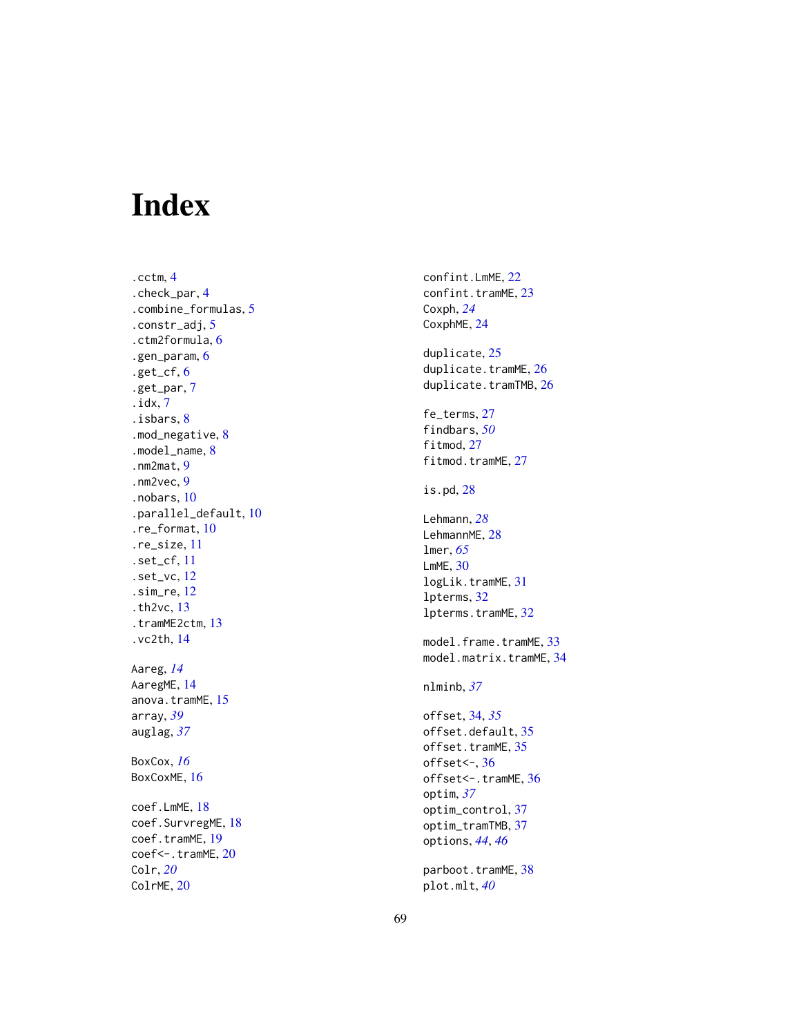# <span id="page-68-0"></span>Index

.cctm , [4](#page-3-0) .check\_par , [4](#page-3-0) .combine\_formulas , [5](#page-4-0) .constr\_adj , [5](#page-4-0) .ctm2formula , [6](#page-5-0) .gen\_param , [6](#page-5-0) .get\_cf , [6](#page-5-0) .get\_par , [7](#page-6-0) .idx , [7](#page-6-0) .isbars , [8](#page-7-0) .mod\_negative , [8](#page-7-0) .model\_name , [8](#page-7-0) .nm2mat , [9](#page-8-0) .nm2vec , [9](#page-8-0) .nobars , [10](#page-9-0) .parallel\_default , [10](#page-9-0) .re\_format , [10](#page-9-0) .re\_size , [11](#page-10-0) .set\_cf , [11](#page-10-0) .set\_vc , [12](#page-11-0) .sim\_re , [12](#page-11-0) .th2vc , [13](#page-12-0) .tramME2ctm , [13](#page-12-0) .vc2th , [14](#page-13-0) Aareg , *[14](#page-13-0)* AaregME , [14](#page-13-0) anova.tramME , [15](#page-14-0) array , *[39](#page-38-0)* auglag , *[37](#page-36-0)* BoxCox , *[16](#page-15-0)* BoxCoxME, [16](#page-15-0) coef.LmME , [18](#page-17-0) coef.SurvregME, [18](#page-17-0) coef.tramME , [19](#page-18-0) coef<-.tramME,  $20$ Colr , *[20](#page-19-0)* ColrME, [20](#page-19-0)

confint.LmME , [22](#page-21-0) confint.tramME, [23](#page-22-0) Coxph , *[24](#page-23-0)* CoxphME, [24](#page-23-0) duplicate , [25](#page-24-0) duplicate.tramME, [26](#page-25-0)  $d$ uplicate.tramTMB, $26$ fe\_terms , [27](#page-26-0) findbars , *[50](#page-49-0)* fitmod, [27](#page-26-0) fitmod.tramME, [27](#page-26-0) is.pd , [28](#page-27-0) Lehmann , *[28](#page-27-0)* LehmannME, [28](#page-27-0) lmer , *[65](#page-64-0)* LmME , [30](#page-29-0) logLik.tramME, [31](#page-30-0) lpterms , [32](#page-31-0) lpterms.tramME , [32](#page-31-0) model.frame.tramME, [33](#page-32-0) model.matrix.tramME, [34](#page-33-0) nlminb , *[37](#page-36-0)* offset , [34](#page-33-0) , *[35](#page-34-0)* offset.default , [35](#page-34-0) offset.tramME, [35](#page-34-0) offset<- , [36](#page-35-0) offset<-.tramME, [36](#page-35-0) optim , *[37](#page-36-0)* optim\_control , [37](#page-36-0) optim\_tramTMB, [37](#page-36-0) options , *[44](#page-43-0)* , *[46](#page-45-0)* parboot.tramME, [38](#page-37-0) plot.mlt , *[40](#page-39-0)*